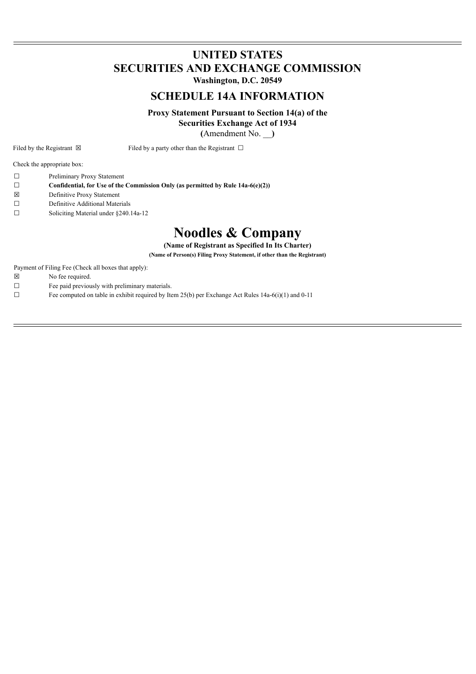# **UNITED STATES SECURITIES AND EXCHANGE COMMISSION**

**Washington, D.C. 20549**

# **SCHEDULE 14A INFORMATION**

**Proxy Statement Pursuant to Section 14(a) of the**

**Securities Exchange Act of 1934**

**(**Amendment No. \_\_**)**

Filed by the Registrant  $\boxtimes$  Filed by a party other than the Registrant  $\Box$ 

Check the appropriate box:

- ☐ Preliminary Proxy Statement
- ☐ **Confidential, for Use of the Commission Only (as permitted by Rule 14a-6(e)(2))**
- ☒ Definitive Proxy Statement
- ☐ Definitive Additional Materials
- ☐ Soliciting Material under §240.14a-12

# **Noodles & Company**

**(Name of Registrant as Specified In Its Charter)**

**(Name of Person(s) Filing Proxy Statement, if other than the Registrant)**

Payment of Filing Fee (Check all boxes that apply):

- ☒ No fee required.
- $\Box$  Fee paid previously with preliminary materials.
- □ Fee computed on table in exhibit required by Item  $25(b)$  per Exchange Act Rules 14a-6(i)(1) and 0-11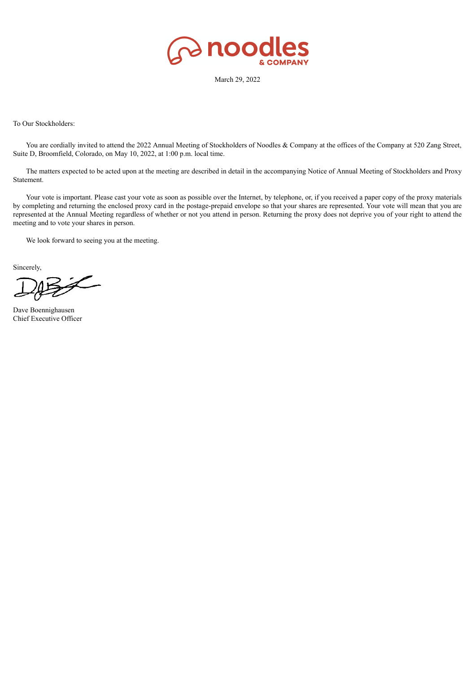

March 29, 2022

To Our Stockholders:

You are cordially invited to attend the 2022 Annual Meeting of Stockholders of Noodles & Company at the offices of the Company at 520 Zang Street, Suite D, Broomfield, Colorado, on May 10, 2022, at 1:00 p.m. local time.

The matters expected to be acted upon at the meeting are described in detail in the accompanying Notice of Annual Meeting of Stockholders and Proxy Statement.

Your vote is important. Please cast your vote as soon as possible over the Internet, by telephone, or, if you received a paper copy of the proxy materials by completing and returning the enclosed proxy card in the postage-prepaid envelope so that your shares are represented. Your vote will mean that you are represented at the Annual Meeting regardless of whether or not you attend in person. Returning the proxy does not deprive you of your right to attend the meeting and to vote your shares in person.

We look forward to seeing you at the meeting.

Sincerely,

Dave Boennighausen Chief Executive Officer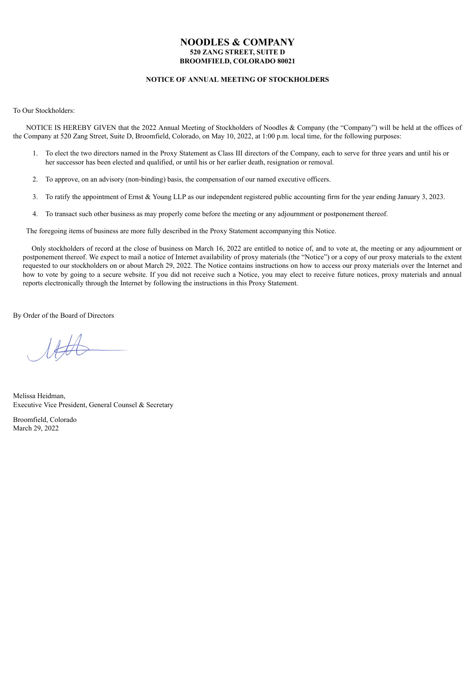# **NOODLES & COMPANY 520 ZANG STREET, SUITE D BROOMFIELD, COLORADO 80021**

# **NOTICE OF ANNUAL MEETING OF STOCKHOLDERS**

To Our Stockholders:

NOTICE IS HEREBY GIVEN that the 2022 Annual Meeting of Stockholders of Noodles & Company (the "Company") will be held at the offices of the Company at 520 Zang Street, Suite D, Broomfield, Colorado, on May 10, 2022, at 1:00 p.m. local time, for the following purposes:

- 1. To elect the two directors named in the Proxy Statement as Class III directors of the Company, each to serve for three years and until his or her successor has been elected and qualified, or until his or her earlier death, resignation or removal.
- 2. To approve, on an advisory (non-binding) basis, the compensation of our named executive officers.
- 3. To ratify the appointment of Ernst & Young LLP as our independent registered public accounting firm for the year ending January 3, 2023.
- 4. To transact such other business as may properly come before the meeting or any adjournment or postponement thereof.

The foregoing items of business are more fully described in the Proxy Statement accompanying this Notice.

Only stockholders of record at the close of business on March 16, 2022 are entitled to notice of, and to vote at, the meeting or any adjournment or postponement thereof. We expect to mail a notice of Internet availability of proxy materials (the "Notice") or a copy of our proxy materials to the extent requested to our stockholders on or about March 29, 2022. The Notice contains instructions on how to access our proxy materials over the Internet and how to vote by going to a secure website. If you did not receive such a Notice, you may elect to receive future notices, proxy materials and annual reports electronically through the Internet by following the instructions in this Proxy Statement.

By Order of the Board of Directors

 $\mathcal{U}\neq\mathcal{U}$ 

Melissa Heidman, Executive Vice President, General Counsel & Secretary

Broomfield, Colorado March 29, 2022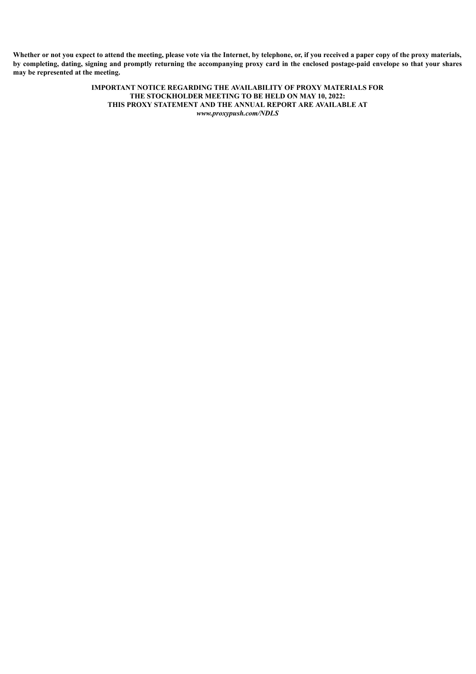Whether or not you expect to attend the meeting, please vote via the Internet, by telephone, or, if you received a paper copy of the proxy materials, by completing, dating, signing and promptly returning the accompanying proxy card in the enclosed postage-paid envelope so that your shares **may be represented at the meeting.**

> **IMPORTANT NOTICE REGARDING THE AVAILABILITY OF PROXY MATERIALS FOR THE STOCKHOLDER MEETING TO BE HELD ON MAY 10, 2022: THIS PROXY STATEMENT AND THE ANNUAL REPORT ARE AVAILABLE AT** *www.proxypush.com/NDLS*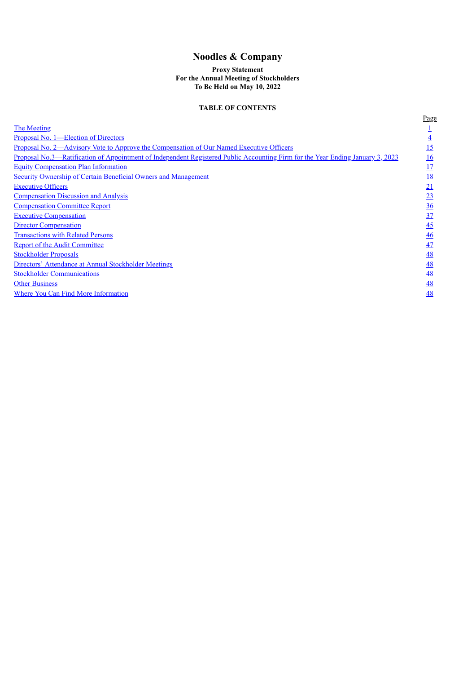# **Noodles & Company**

# **Proxy Statement For the Annual Meeting of Stockholders To Be Held on May 10, 2022**

# **TABLE OF CONTENTS**

<span id="page-4-0"></span>

|                                                                                                                                | Page           |
|--------------------------------------------------------------------------------------------------------------------------------|----------------|
| <b>The Meeting</b>                                                                                                             |                |
| Proposal No. 1—Election of Directors                                                                                           |                |
| <u>Proposal No. 2—Advisory Vote to Approve the Compensation of Our Named Executive Officers</u>                                | <u> 15</u>     |
| Proposal No.3—Ratification of Appointment of Independent Registered Public Accounting Firm for the Year Ending January 3, 2023 | <u>16</u>      |
| <b>Equity Compensation Plan Information</b>                                                                                    | 17             |
| <b>Security Ownership of Certain Beneficial Owners and Management</b>                                                          | <u>18</u>      |
| <b>Executive Officers</b>                                                                                                      | 21             |
| <b>Compensation Discussion and Analysis</b>                                                                                    | 23             |
| <b>Compensation Committee Report</b>                                                                                           | $\frac{36}{5}$ |
| <b>Executive Compensation</b>                                                                                                  | 37             |
| <b>Director Compensation</b>                                                                                                   | 45             |
| <b>Transactions with Related Persons</b>                                                                                       | 46             |
| <b>Report of the Audit Committee</b>                                                                                           | 47             |
| <b>Stockholder Proposals</b>                                                                                                   | 48             |
| Directors' Attendance at Annual Stockholder Meetings                                                                           | 48             |
| <b>Stockholder Communications</b>                                                                                              | 48             |
| <b>Other Business</b>                                                                                                          | 48             |
| Where You Can Find More Information                                                                                            | 48             |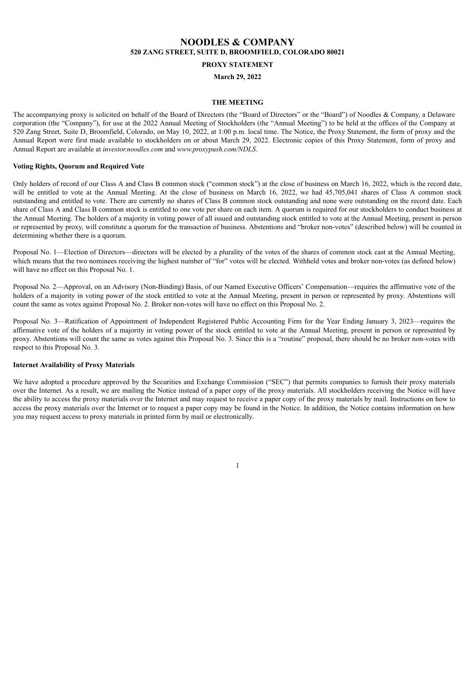# **NOODLES & COMPANY 520 ZANG STREET, SUITE D, BROOMFIELD, COLORADO 80021**

# **PROXY STATEMENT**

# **March 29, 2022**

# **THE MEETING**

The accompanying proxy is solicited on behalf of the Board of Directors (the "Board of Directors" or the "Board") of Noodles & Company, a Delaware corporation (the "Company"), for use at the 2022 Annual Meeting of Stockholders (the "Annual Meeting") to be held at the offices of the Company at 520 Zang Street, Suite D, Broomfield, Colorado, on May 10, 2022, at 1:00 p.m. local time. The Notice, the Proxy Statement, the form of proxy and the Annual Report were first made available to stockholders on or about March 29, 2022. Electronic copies of this Proxy Statement, form of proxy and Annual Report are available at *investor.noodles.com* and *www.proxypush.com/NDLS*.

## **Voting Rights, Quorum and Required Vote**

Only holders of record of our Class A and Class B common stock ("common stock") at the close of business on March 16, 2022, which is the record date, will be entitled to vote at the Annual Meeting. At the close of business on March 16, 2022, we had 45,705,041 shares of Class A common stock outstanding and entitled to vote. There are currently no shares of Class B common stock outstanding and none were outstanding on the record date. Each share of Class A and Class B common stock is entitled to one vote per share on each item. A quorum is required for our stockholders to conduct business at the Annual Meeting. The holders of a majority in voting power of all issued and outstanding stock entitled to vote at the Annual Meeting, present in person or represented by proxy, will constitute a quorum for the transaction of business. Abstentions and "broker non-votes" (described below) will be counted in determining whether there is a quorum.

Proposal No. 1—Election of Directors—directors will be elected by a plurality of the votes of the shares of common stock cast at the Annual Meeting. which means that the two nominees receiving the highest number of "for" votes will be elected. Withheld votes and broker non-votes (as defined below) will have no effect on this Proposal No. 1.

Proposal No. 2—Approval, on an Advisory (Non-Binding) Basis, of our Named Executive Officers' Compensation—requires the affirmative vote of the holders of a majority in voting power of the stock entitled to vote at the Annual Meeting, present in person or represented by proxy. Abstentions will count the same as votes against Proposal No. 2. Broker non-votes will have no effect on this Proposal No. 2.

Proposal No. 3—Ratification of Appointment of Independent Registered Public Accounting Firm for the Year Ending January 3, 2023—requires the affirmative vote of the holders of a majority in voting power of the stock entitled to vote at the Annual Meeting, present in person or represented by proxy. Abstentions will count the same as votes against this Proposal No. 3. Since this is a "routine" proposal, there should be no broker non-votes with respect to this Proposal No. 3.

# **Internet Availability of Proxy Materials**

We have adopted a procedure approved by the Securities and Exchange Commission ("SEC") that permits companies to furnish their proxy materials over the Internet. As a result, we are mailing the Notice instead of a paper copy of the proxy materials. All stockholders receiving the Notice will have the ability to access the proxy materials over the Internet and may request to receive a paper copy of the proxy materials by mail. Instructions on how to access the proxy materials over the Internet or to request a paper copy may be found in the Notice. In addition, the Notice contains information on how you may request access to proxy materials in printed form by mail or electronically.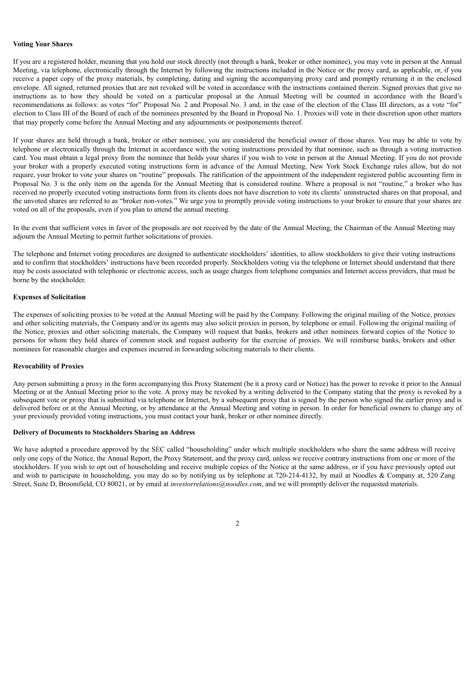#### **Voting Your Shares**

If you are a registered holder, meaning that you hold our stock directly (not through a bank, broker or other nominee), you may vote in person at the Annual Meeting, via telephone, electronically through the Internet by following the instructions included in the Notice or the proxy card, as applicable, or, if you receive a paper copy of the proxy materials, by completing, dating and signing the accompanying proxy card and promptly returning it in the enclosed envelope. All signed, returned proxies that are not revoked will be voted in accordance with the instructions contained therein. Signed proxies that give no instructions as to how they should be voted on a particular proposal at the Annual Meeting will be counted in accordance with the Board's recommendations as follows: as votes "for" Proposal No. 2 and Proposal No. 3 and, in the case of the election of the Class III directors, as a vote "for" election to Class III of the Board of each of the nominees presented by the Board in Proposal No. 1. Proxies will vote in their discretion upon other matters that may properly come before the Annual Meeting and any adjournments or postponements thereof.

If your shares are held through a bank, broker or other nominee, you are considered the beneficial owner of those shares. You may be able to vote by telephone or electronically through the Internet in accordance with the voting instructions provided by that nominee, such as through a voting instruction card. You must obtain a legal proxy from the nominee that holds your shares if you wish to vote in person at the Annual Meeting. If you do not provide your broker with a properly executed voting instructions form in advance of the Annual Meeting, New York Stock Exchange rules allow, but do not require, your broker to vote your shares on "routine" proposals. The ratification of the appointment of the independent registered public accounting firm in Proposal No. 3 is the only item on the agenda for the Annual Meeting that is considered routine. Where a proposal is not "routine," a broker who has received no properly executed voting instructions form from its clients does not have discretion to vote its clients' uninstructed shares on that proposal, and the unvoted shares are referred to as "broker non-votes." We urge you to promptly provide voting instructions to your broker to ensure that your shares are voted on all of the proposals, even if you plan to attend the annual meeting.

In the event that sufficient votes in favor of the proposals are not received by the date of the Annual Meeting, the Chairman of the Annual Meeting may adjourn the Annual Meeting to permit further solicitations of proxies.

The telephone and Internet voting procedures are designed to authenticate stockholders' identities, to allow stockholders to give their voting instructions and to confirm that stockholders' instructions have been recorded properly. Stockholders voting via the telephone or Internet should understand that there may be costs associated with telephonic or electronic access, such as usage charges from telephone companies and Internet access providers, that must be borne by the stockholder.

# **Expenses of Solicitation**

The expenses of soliciting proxies to be voted at the Annual Meeting will be paid by the Company. Following the original mailing of the Notice, proxies and other soliciting materials, the Company and/or its agents may also solicit proxies in person, by telephone or email. Following the original mailing of the Notice, proxies and other soliciting materials, the Company will request that banks, brokers and other nominees forward copies of the Notice to persons for whom they hold shares of common stock and request authority for the exercise of proxies. We will reimburse banks, brokers and other nominees for reasonable charges and expenses incurred in forwarding soliciting materials to their clients.

# **Revocability of Proxies**

Any person submitting a proxy in the form accompanying this Proxy Statement (be it a proxy card or Notice) has the power to revoke it prior to the Annual Meeting or at the Annual Meeting prior to the vote. A proxy may be revoked by a writing delivered to the Company stating that the proxy is revoked by a subsequent vote or proxy that is submitted via telephone or Internet, by a subsequent proxy that is signed by the person who signed the earlier proxy and is delivered before or at the Annual Meeting, or by attendance at the Annual Meeting and voting in person. In order for beneficial owners to change any of your previously provided voting instructions, you must contact your bank, broker or other nominee directly.

#### **Delivery of Documents to Stockholders Sharing an Address**

We have adopted a procedure approved by the SEC called "householding" under which multiple stockholders who share the same address will receive only one copy of the Notice, the Annual Report, the Proxy Statement, and the proxy card, unless we receive contrary instructions from one or more of the stockholders. If you wish to opt out of householding and receive multiple copies of the Notice at the same address, or if you have previously opted out and wish to participate in householding, you may do so by notifying us by telephone at 720-214-4132, by mail at Noodles & Company at, 520 Zang Street, Suite D, Broomfield, CO 80021, or by email at *investorrelations@noodles.com*, and we will promptly deliver the requested materials.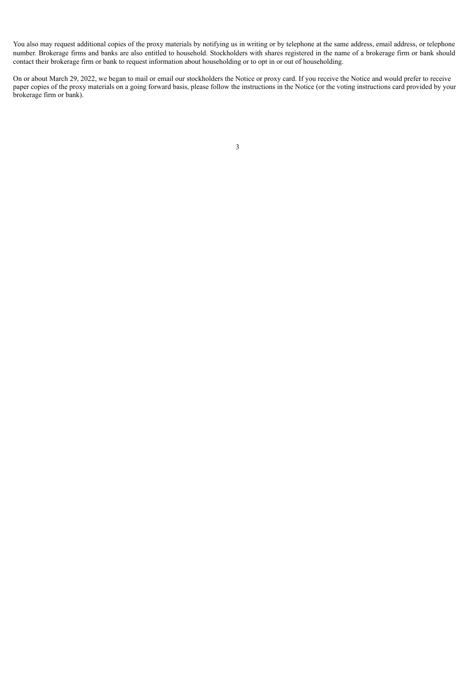You also may request additional copies of the proxy materials by notifying us in writing or by telephone at the same address, email address, or telephone number. Brokerage firms and banks are also entitled to household. Stockholders with shares registered in the name of a brokerage firm or bank should contact their brokerage firm or bank to request information about householding or to opt in or out of householding.

<span id="page-7-0"></span>On or about March 29, 2022, we began to mail or email our stockholders the Notice or proxy card. If you receive the Notice and would prefer to receive paper copies of the proxy materials on a going forward basis, please follow the instructions in the Notice (or the voting instructions card provided by your brokerage firm or bank).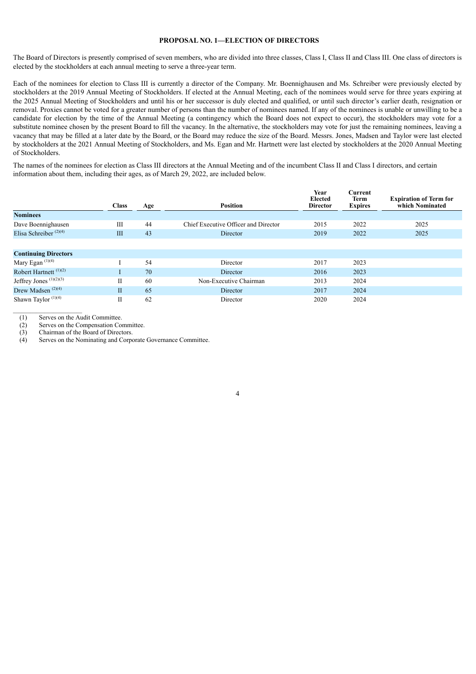# **PROPOSAL NO. 1—ELECTION OF DIRECTORS**

The Board of Directors is presently comprised of seven members, who are divided into three classes, Class I, Class II and Class III. One class of directors is elected by the stockholders at each annual meeting to serve a three-year term.

Each of the nominees for election to Class III is currently a director of the Company. Mr. Boennighausen and Ms. Schreiber were previously elected by stockholders at the 2019 Annual Meeting of Stockholders. If elected at the Annual Meeting, each of the nominees would serve for three years expiring at the 2025 Annual Meeting of Stockholders and until his or her successor is duly elected and qualified, or until such director's earlier death, resignation or removal. Proxies cannot be voted for a greater number of persons than the number of nominees named. If any of the nominees is unable or unwilling to be a candidate for election by the time of the Annual Meeting (a contingency which the Board does not expect to occur), the stockholders may vote for a substitute nominee chosen by the present Board to fill the vacancy. In the alternative, the stockholders may vote for just the remaining nominees, leaving a vacancy that may be filled at a later date by the Board, or the Board may reduce the size of the Board. Messrs. Jones, Madsen and Taylor were last elected by stockholders at the 2021 Annual Meeting of Stockholders, and Ms. Egan and Mr. Hartnett were last elected by stockholders at the 2020 Annual Meeting of Stockholders.

The names of the nominees for election as Class III directors at the Annual Meeting and of the incumbent Class II and Class I directors, and certain information about them, including their ages, as of March 29, 2022, are included below.

|                                   | <b>Class</b> | Age | <b>Position</b>                      | Year<br>Elected<br><b>Director</b> | Current<br>Term<br><b>Expires</b> | <b>Expiration of Term for</b><br>which Nominated |
|-----------------------------------|--------------|-----|--------------------------------------|------------------------------------|-----------------------------------|--------------------------------------------------|
| <b>Nominees</b>                   |              |     |                                      |                                    |                                   |                                                  |
| Dave Boennighausen                | Ш            | 44  | Chief Executive Officer and Director | 2015                               | 2022                              | 2025                                             |
| Elisa Schreiber $(2)(4)$          | III          | 43  | Director                             | 2019                               | 2022                              | 2025                                             |
|                                   |              |     |                                      |                                    |                                   |                                                  |
| <b>Continuing Directors</b>       |              |     |                                      |                                    |                                   |                                                  |
| Mary Egan $(1)(4)$                |              | 54  | Director                             | 2017                               | 2023                              |                                                  |
| Robert Hartnett <sup>(1)(2)</sup> |              | 70  | Director                             | 2016                               | 2023                              |                                                  |
| Jeffrey Jones $(1)(2)(3)$         | П            | 60  | Non-Executive Chairman               | 2013                               | 2024                              |                                                  |
| Drew Madsen <sup>(2)(4)</sup>     | $\mathbf{I}$ | 65  | Director                             | 2017                               | 2024                              |                                                  |
| Shawn Taylor <sup>(1)(4)</sup>    | П            | 62  | Director                             | 2020                               | 2024                              |                                                  |

(1) Serves on the Audit Committee.

 $\mathcal{L}_\text{max}$ 

(2) Serves on the Compensation Committee.

(3) Chairman of the Board of Directors.

(4) Serves on the Nominating and Corporate Governance Committee.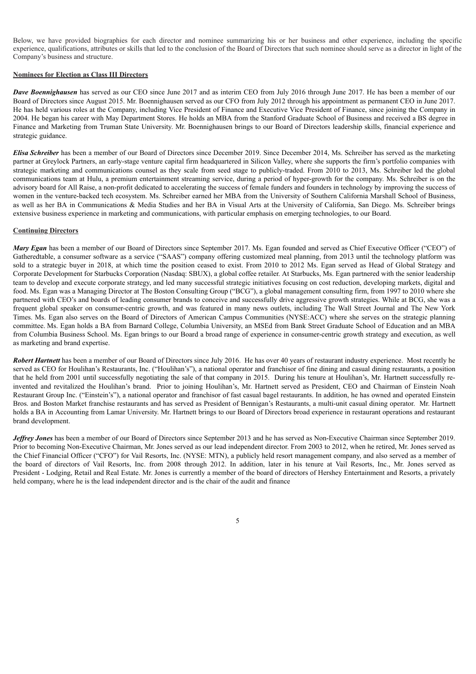Below, we have provided biographies for each director and nominee summarizing his or her business and other experience, including the specific experience, qualifications, attributes or skills that led to the conclusion of the Board of Directors that such nominee should serve as a director in light of the Company's business and structure.

# **Nominees for Election as Class III Directors**

*Dave Boennighausen* has served as our CEO since June 2017 and as interim CEO from July 2016 through June 2017. He has been a member of our Board of Directors since August 2015. Mr. Boennighausen served as our CFO from July 2012 through his appointment as permanent CEO in June 2017. He has held various roles at the Company, including Vice President of Finance and Executive Vice President of Finance, since joining the Company in 2004. He began his career with May Department Stores. He holds an MBA from the Stanford Graduate School of Business and received a BS degree in Finance and Marketing from Truman State University. Mr. Boennighausen brings to our Board of Directors leadership skills, financial experience and strategic guidance.

*Elisa Schreiber* has been a member of our Board of Directors since December 2019. Since December 2014, Ms. Schreiber has served as the marketing partner at Greylock Partners, an early-stage venture capital firm headquartered in Silicon Valley, where she supports the firm's portfolio companies with strategic marketing and communications counsel as they scale from seed stage to publicly-traded. From 2010 to 2013, Ms. Schreiber led the global communications team at Hulu, a premium entertainment streaming service, during a period of hyper-growth for the company. Ms. Schreiber is on the advisory board for All Raise, a non-profit dedicated to accelerating the success of female funders and founders in technology by improving the success of women in the venture-backed tech ecosystem. Ms. Schreiber earned her MBA from the University of Southern California Marshall School of Business, as well as her BA in Communications & Media Studies and her BA in Visual Arts at the University of California, San Diego. Ms. Schreiber brings extensive business experience in marketing and communications, with particular emphasis on emerging technologies, to our Board.

#### **Continuing Directors**

*Mary Egan* has been a member of our Board of Directors since September 2017. Ms. Egan founded and served as Chief Executive Officer ("CEO") of Gatheredtable, a consumer software as a service ("SAAS") company offering customized meal planning, from 2013 until the technology platform was sold to a strategic buyer in 2018, at which time the position ceased to exist. From 2010 to 2012 Ms. Egan served as Head of Global Strategy and Corporate Development for Starbucks Corporation (Nasdaq: SBUX), a global coffee retailer. At Starbucks, Ms. Egan partnered with the senior leadership team to develop and execute corporate strategy, and led many successful strategic initiatives focusing on cost reduction, developing markets, digital and food. Ms. Egan was a Managing Director at The Boston Consulting Group ("BCG"), a global management consulting firm, from 1997 to 2010 where she partnered with CEO's and boards of leading consumer brands to conceive and successfully drive aggressive growth strategies. While at BCG, she was a frequent global speaker on consumer-centric growth, and was featured in many news outlets, including The Wall Street Journal and The New York Times. Ms. Egan also serves on the Board of Directors of American Campus Communities (NYSE:ACC) where she serves on the strategic planning committee. Ms. Egan holds a BA from Barnard College, Columbia University, an MSEd from Bank Street Graduate School of Education and an MBA from Columbia Business School. Ms. Egan brings to our Board a broad range of experience in consumer-centric growth strategy and execution, as well as marketing and brand expertise.

*Robert Hartnett* has been a member of our Board of Directors since July 2016. He has over 40 years of restaurant industry experience. Most recently he served as CEO for Houlihan's Restaurants, Inc. ("Houlihan's"), a national operator and franchisor of fine dining and casual dining restaurants, a position that he held from 2001 until successfully negotiating the sale of that company in 2015. During his tenure at Houlihan's, Mr. Hartnett successfully reinvented and revitalized the Houlihan's brand. Prior to joining Houlihan's, Mr. Hartnett served as President, CEO and Chairman of Einstein Noah Restaurant Group Inc. ("Einstein's"), a national operator and franchisor of fast casual bagel restaurants. In addition, he has owned and operated Einstein Bros. and Boston Market franchise restaurants and has served as President of Bennigan's Restaurants, a multi-unit casual dining operator. Mr. Hartnett holds a BA in Accounting from Lamar University. Mr. Hartnett brings to our Board of Directors broad experience in restaurant operations and restaurant brand development.

*Jeffrey Jones* has been a member of our Board of Directors since September 2013 and he has served as Non-Executive Chairman since September 2019. Prior to becoming Non-Executive Chairman, Mr. Jones served as our lead independent director. From 2003 to 2012, when he retired, Mr. Jones served as the Chief Financial Officer ("CFO") for Vail Resorts, Inc. (NYSE: MTN), a publicly held resort management company, and also served as a member of the board of directors of Vail Resorts, Inc. from 2008 through 2012. In addition, later in his tenure at Vail Resorts, Inc., Mr. Jones served as President - Lodging, Retail and Real Estate. Mr. Jones is currently a member of the board of directors of Hershey Entertainment and Resorts, a privately held company, where he is the lead independent director and is the chair of the audit and finance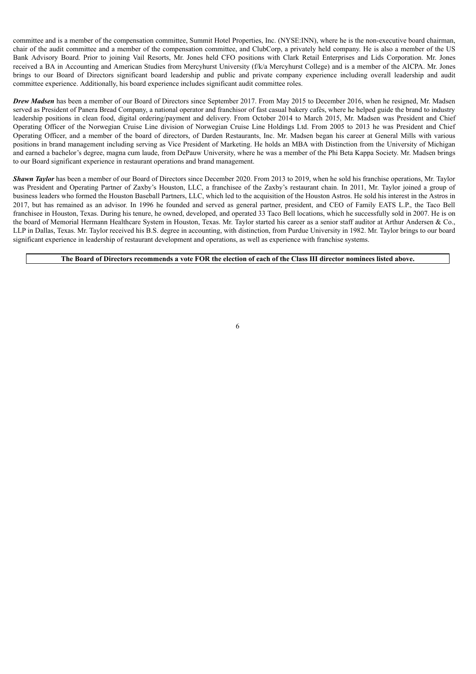committee and is a member of the compensation committee, Summit Hotel Properties, Inc. (NYSE:INN), where he is the non-executive board chairman, chair of the audit committee and a member of the compensation committee, and ClubCorp, a privately held company. He is also a member of the US Bank Advisory Board. Prior to joining Vail Resorts, Mr. Jones held CFO positions with Clark Retail Enterprises and Lids Corporation. Mr. Jones received a BA in Accounting and American Studies from Mercyhurst University (f/k/a Mercyhurst College) and is a member of the AICPA. Mr. Jones brings to our Board of Directors significant board leadership and public and private company experience including overall leadership and audit committee experience. Additionally, his board experience includes significant audit committee roles.

*Drew Madsen* has been a member of our Board of Directors since September 2017. From May 2015 to December 2016, when he resigned, Mr. Madsen served as President of Panera Bread Company, a national operator and franchisor of fast casual bakery cafés, where he helped guide the brand to industry leadership positions in clean food, digital ordering/payment and delivery. From October 2014 to March 2015, Mr. Madsen was President and Chief Operating Officer of the Norwegian Cruise Line division of Norwegian Cruise Line Holdings Ltd. From 2005 to 2013 he was President and Chief Operating Officer, and a member of the board of directors, of Darden Restaurants, Inc. Mr. Madsen began his career at General Mills with various positions in brand management including serving as Vice President of Marketing. He holds an MBA with Distinction from the University of Michigan and earned a bachelor's degree, magna cum laude, from DePauw University, where he was a member of the Phi Beta Kappa Society. Mr. Madsen brings to our Board significant experience in restaurant operations and brand management.

*Shawn Taylor* has been a member of our Board of Directors since December 2020. From 2013 to 2019, when he sold his franchise operations, Mr. Taylor was President and Operating Partner of Zaxby's Houston, LLC, a franchisee of the Zaxby's restaurant chain. In 2011, Mr. Taylor joined a group of business leaders who formed the Houston Baseball Partners, LLC, which led to the acquisition of the Houston Astros. He sold his interest in the Astros in 2017, but has remained as an advisor. In 1996 he founded and served as general partner, president, and CEO of Family EATS L.P., the Taco Bell franchisee in Houston, Texas. During his tenure, he owned, developed, and operated 33 Taco Bell locations, which he successfully sold in 2007. He is on the board of Memorial Hermann Healthcare System in Houston, Texas. Mr. Taylor started his career as a senior staff auditor at Arthur Andersen & Co., LLP in Dallas, Texas. Mr. Taylor received his B.S. degree in accounting, with distinction, from Purdue University in 1982. Mr. Taylor brings to our board significant experience in leadership of restaurant development and operations, as well as experience with franchise systems.

The Board of Directors recommends a vote FOR the election of each of the Class III director nominees listed above.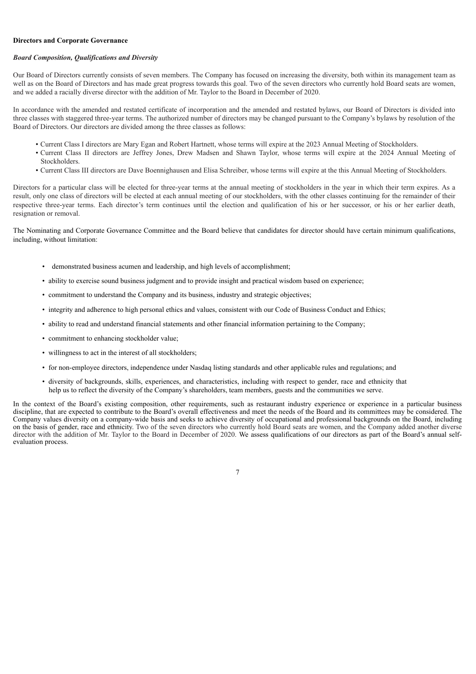# **Directors and Corporate Governance**

# *Board Composition, Qualifications and Diversity*

Our Board of Directors currently consists of seven members. The Company has focused on increasing the diversity, both within its management team as well as on the Board of Directors and has made great progress towards this goal. Two of the seven directors who currently hold Board seats are women, and we added a racially diverse director with the addition of Mr. Taylor to the Board in December of 2020.

In accordance with the amended and restated certificate of incorporation and the amended and restated bylaws, our Board of Directors is divided into three classes with staggered three-year terms. The authorized number of directors may be changed pursuant to the Company's bylaws by resolution of the Board of Directors. Our directors are divided among the three classes as follows:

- Current Class I directors are Mary Egan and Robert Hartnett, whose terms will expire at the 2023 Annual Meeting of Stockholders.
- Current Class II directors are Jeffrey Jones, Drew Madsen and Shawn Taylor, whose terms will expire at the 2024 Annual Meeting of Stockholders.
- Current Class III directors are Dave Boennighausen and Elisa Schreiber, whose terms will expire at the this Annual Meeting of Stockholders.

Directors for a particular class will be elected for three-year terms at the annual meeting of stockholders in the year in which their term expires. As a result, only one class of directors will be elected at each annual meeting of our stockholders, with the other classes continuing for the remainder of their respective three-year terms. Each director's term continues until the election and qualification of his or her successor, or his or her earlier death, resignation or removal.

The Nominating and Corporate Governance Committee and the Board believe that candidates for director should have certain minimum qualifications, including, without limitation:

- demonstrated business acumen and leadership, and high levels of accomplishment;
- ability to exercise sound business judgment and to provide insight and practical wisdom based on experience;
- commitment to understand the Company and its business, industry and strategic objectives;
- integrity and adherence to high personal ethics and values, consistent with our Code of Business Conduct and Ethics;
- ability to read and understand financial statements and other financial information pertaining to the Company;
- commitment to enhancing stockholder value;
- willingness to act in the interest of all stockholders;
- for non-employee directors, independence under Nasdaq listing standards and other applicable rules and regulations; and
- diversity of backgrounds, skills, experiences, and characteristics, including with respect to gender, race and ethnicity that help us to reflect the diversity of the Company's shareholders, team members, guests and the communities we serve.

In the context of the Board's existing composition, other requirements, such as restaurant industry experience or experience in a particular business discipline, that are expected to contribute to the Board's overall effectiveness and meet the needs of the Board and its committees may be considered. The Company values diversity on a company-wide basis and seeks to achieve diversity of occupational and professional backgrounds on the Board, including on the basis of gender, race and ethnicity. Two of the seven directors who currently hold Board seats are women, and the Company added another diverse director with the addition of Mr. Taylor to the Board in December of 2020. We assess qualifications of our directors as part of the Board's annual selfevaluation process.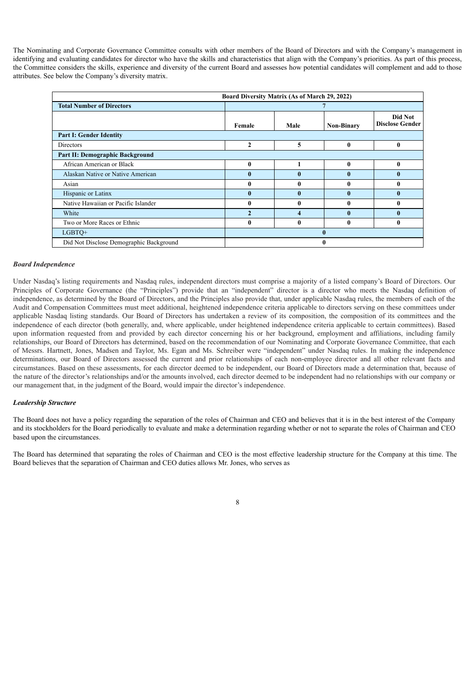The Nominating and Corporate Governance Committee consults with other members of the Board of Directors and with the Company's management in identifying and evaluating candidates for director who have the skills and characteristics that align with the Company's priorities. As part of this process, the Committee considers the skills, experience and diversity of the current Board and assesses how potential candidates will complement and add to those attributes. See below the Company's diversity matrix.

|                                         | Board Diversity Matrix (As of March 29, 2022) |              |                   |                                   |  |
|-----------------------------------------|-----------------------------------------------|--------------|-------------------|-----------------------------------|--|
| <b>Total Number of Directors</b>        |                                               |              |                   |                                   |  |
|                                         | Female                                        | Male         | <b>Non-Binary</b> | Did Not<br><b>Disclose Gender</b> |  |
| <b>Part I: Gender Identity</b>          |                                               |              |                   |                                   |  |
| Directors                               | $\mathbf{2}$                                  | 5            | 0                 | $\bf{0}$                          |  |
| Part II: Demographic Background         |                                               |              |                   |                                   |  |
| African American or Black               | $\mathbf{0}$                                  |              | $\mathbf{0}$      | $\mathbf{0}$                      |  |
| Alaskan Native or Native American       | $\mathbf{0}$                                  | $\mathbf{0}$ | $\mathbf{0}$      | $\mathbf{0}$                      |  |
| Asian                                   | 0                                             | 0            | 0                 | $\mathbf{0}$                      |  |
| Hispanic or Latinx                      | $\mathbf{0}$                                  | $\mathbf{0}$ | $\mathbf{0}$      | $\mathbf{0}$                      |  |
| Native Hawaiian or Pacific Islander     | 0                                             | 0            | 0                 | 0                                 |  |
| White                                   |                                               |              | 0                 | $\mathbf{0}$                      |  |
| Two or More Races or Ethnic             | $\mathbf{0}$                                  | 0            | 0                 | $\bf{0}$                          |  |
| LGBTQ+                                  |                                               |              |                   |                                   |  |
| Did Not Disclose Demographic Background |                                               |              |                   |                                   |  |

# *Board Independence*

Under Nasdaq's listing requirements and Nasdaq rules, independent directors must comprise a majority of a listed company's Board of Directors. Our Principles of Corporate Governance (the "Principles") provide that an "independent" director is a director who meets the Nasdaq definition of independence, as determined by the Board of Directors, and the Principles also provide that, under applicable Nasdaq rules, the members of each of the Audit and Compensation Committees must meet additional, heightened independence criteria applicable to directors serving on these committees under applicable Nasdaq listing standards. Our Board of Directors has undertaken a review of its composition, the composition of its committees and the independence of each director (both generally, and, where applicable, under heightened independence criteria applicable to certain committees). Based upon information requested from and provided by each director concerning his or her background, employment and affiliations, including family relationships, our Board of Directors has determined, based on the recommendation of our Nominating and Corporate Governance Committee, that each of Messrs. Hartnett, Jones, Madsen and Taylor, Ms. Egan and Ms. Schreiber were "independent" under Nasdaq rules. In making the independence determinations, our Board of Directors assessed the current and prior relationships of each non-employee director and all other relevant facts and circumstances. Based on these assessments, for each director deemed to be independent, our Board of Directors made a determination that, because of the nature of the director's relationships and/or the amounts involved, each director deemed to be independent had no relationships with our company or our management that, in the judgment of the Board, would impair the director's independence.

# *Leadership Structure*

The Board does not have a policy regarding the separation of the roles of Chairman and CEO and believes that it is in the best interest of the Company and its stockholders for the Board periodically to evaluate and make a determination regarding whether or not to separate the roles of Chairman and CEO based upon the circumstances.

The Board has determined that separating the roles of Chairman and CEO is the most effective leadership structure for the Company at this time. The Board believes that the separation of Chairman and CEO duties allows Mr. Jones, who serves as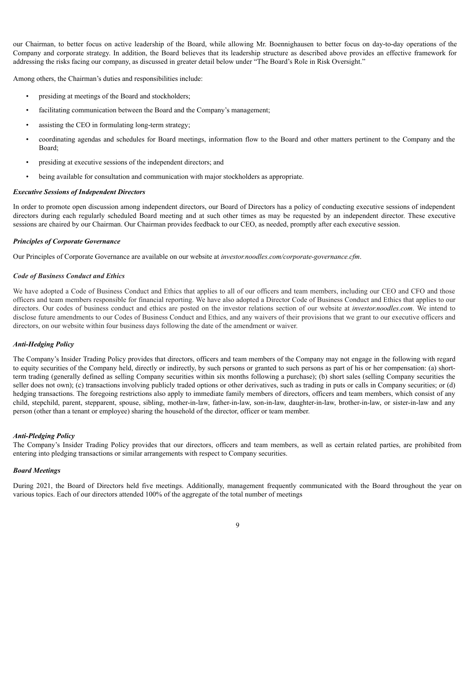our Chairman, to better focus on active leadership of the Board, while allowing Mr. Boennighausen to better focus on day-to-day operations of the Company and corporate strategy. In addition, the Board believes that its leadership structure as described above provides an effective framework for addressing the risks facing our company, as discussed in greater detail below under "The Board's Role in Risk Oversight."

Among others, the Chairman's duties and responsibilities include:

- presiding at meetings of the Board and stockholders;
- facilitating communication between the Board and the Company's management;
- assisting the CEO in formulating long-term strategy;
- coordinating agendas and schedules for Board meetings, information flow to the Board and other matters pertinent to the Company and the Board;
- presiding at executive sessions of the independent directors; and
- being available for consultation and communication with major stockholders as appropriate.

#### *Executive Sessions of Independent Directors*

In order to promote open discussion among independent directors, our Board of Directors has a policy of conducting executive sessions of independent directors during each regularly scheduled Board meeting and at such other times as may be requested by an independent director. These executive sessions are chaired by our Chairman. Our Chairman provides feedback to our CEO, as needed, promptly after each executive session.

# *Principles of Corporate Governance*

Our Principles of Corporate Governance are available on our website at *investor.noodles.com/corporate-governance.cfm*.

# *Code of Business Conduct and Ethics*

We have adopted a Code of Business Conduct and Ethics that applies to all of our officers and team members, including our CEO and CFO and those officers and team members responsible for financial reporting. We have also adopted a Director Code of Business Conduct and Ethics that applies to our directors. Our codes of business conduct and ethics are posted on the investor relations section of our website at *investor.noodles.com*. We intend to disclose future amendments to our Codes of Business Conduct and Ethics, and any waivers of their provisions that we grant to our executive officers and directors, on our website within four business days following the date of the amendment or waiver.

# *Anti-Hedging Policy*

The Company's Insider Trading Policy provides that directors, officers and team members of the Company may not engage in the following with regard to equity securities of the Company held, directly or indirectly, by such persons or granted to such persons as part of his or her compensation: (a) shortterm trading (generally defined as selling Company securities within six months following a purchase); (b) short sales (selling Company securities the seller does not own); (c) transactions involving publicly traded options or other derivatives, such as trading in puts or calls in Company securities; or (d) hedging transactions. The foregoing restrictions also apply to immediate family members of directors, officers and team members, which consist of any child, stepchild, parent, stepparent, spouse, sibling, mother-in-law, father-in-law, son-in-law, daughter-in-law, brother-in-law, or sister-in-law and any person (other than a tenant or employee) sharing the household of the director, officer or team member.

# *Anti-Pledging Policy*

The Company's Insider Trading Policy provides that our directors, officers and team members, as well as certain related parties, are prohibited from entering into pledging transactions or similar arrangements with respect to Company securities.

#### *Board Meetings*

During 2021, the Board of Directors held five meetings. Additionally, management frequently communicated with the Board throughout the year on various topics. Each of our directors attended 100% of the aggregate of the total number of meetings

# $\overline{Q}$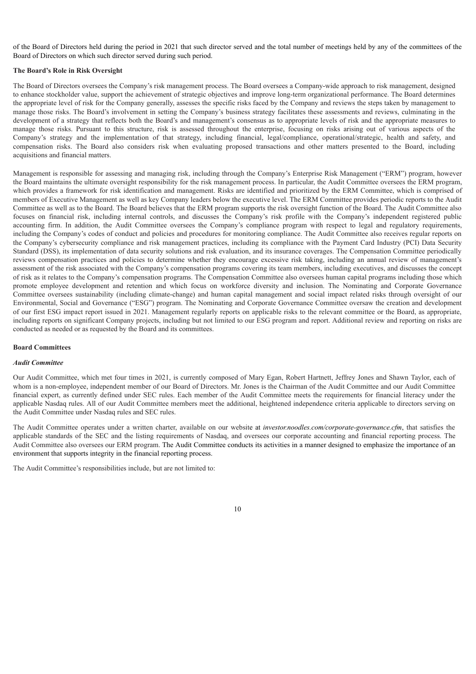of the Board of Directors held during the period in 2021 that such director served and the total number of meetings held by any of the committees of the Board of Directors on which such director served during such period.

# **The Board's Role in Risk Oversight**

The Board of Directors oversees the Company's risk management process. The Board oversees a Company-wide approach to risk management, designed to enhance stockholder value, support the achievement of strategic objectives and improve long-term organizational performance. The Board determines the appropriate level of risk for the Company generally, assesses the specific risks faced by the Company and reviews the steps taken by management to manage those risks. The Board's involvement in setting the Company's business strategy facilitates these assessments and reviews, culminating in the development of a strategy that reflects both the Board's and management's consensus as to appropriate levels of risk and the appropriate measures to manage those risks. Pursuant to this structure, risk is assessed throughout the enterprise, focusing on risks arising out of various aspects of the Company's strategy and the implementation of that strategy, including financial, legal/compliance, operational/strategic, health and safety, and compensation risks. The Board also considers risk when evaluating proposed transactions and other matters presented to the Board, including acquisitions and financial matters.

Management is responsible for assessing and managing risk, including through the Company's Enterprise Risk Management ("ERM") program, however the Board maintains the ultimate oversight responsibility for the risk management process. In particular, the Audit Committee oversees the ERM program, which provides a framework for risk identification and management. Risks are identified and prioritized by the ERM Committee, which is comprised of members of Executive Management as well as key Company leaders below the executive level. The ERM Committee provides periodic reports to the Audit Committee as well as to the Board. The Board believes that the ERM program supports the risk oversight function of the Board. The Audit Committee also focuses on financial risk, including internal controls, and discusses the Company's risk profile with the Company's independent registered public accounting firm. In addition, the Audit Committee oversees the Company's compliance program with respect to legal and regulatory requirements, including the Company's codes of conduct and policies and procedures for monitoring compliance. The Audit Committee also receives regular reports on the Company's cybersecurity compliance and risk management practices, including its compliance with the Payment Card Industry (PCI) Data Security Standard (DSS), its implementation of data security solutions and risk evaluation, and its insurance coverages. The Compensation Committee periodically reviews compensation practices and policies to determine whether they encourage excessive risk taking, including an annual review of management's assessment of the risk associated with the Company's compensation programs covering its team members, including executives, and discusses the concept of risk as it relates to the Company's compensation programs. The Compensation Committee also oversees human capital programs including those which promote employee development and retention and which focus on workforce diversity and inclusion. The Nominating and Corporate Governance Committee oversees sustainability (including climate-change) and human capital management and social impact related risks through oversight of our Environmental, Social and Governance ("ESG") program. The Nominating and Corporate Governance Committee oversaw the creation and development of our first ESG impact report issued in 2021. Management regularly reports on applicable risks to the relevant committee or the Board, as appropriate, including reports on significant Company projects, including but not limited to our ESG program and report. Additional review and reporting on risks are conducted as needed or as requested by the Board and its committees.

#### **Board Committees**

#### *Audit Committee*

Our Audit Committee, which met four times in 2021, is currently composed of Mary Egan, Robert Hartnett, Jeffrey Jones and Shawn Taylor, each of whom is a non-employee, independent member of our Board of Directors. Mr. Jones is the Chairman of the Audit Committee and our Audit Committee financial expert, as currently defined under SEC rules. Each member of the Audit Committee meets the requirements for financial literacy under the applicable Nasdaq rules. All of our Audit Committee members meet the additional, heightened independence criteria applicable to directors serving on the Audit Committee under Nasdaq rules and SEC rules.

The Audit Committee operates under a written charter, available on our website at *investor.noodles.com/corporate-governance.cfm*, that satisfies the applicable standards of the SEC and the listing requirements of Nasdaq, and oversees our corporate accounting and financial reporting process. The Audit Committee also oversees our ERM program. The Audit Committee conducts its activities in a manner designed to emphasize the importance of an environment that supports integrity in the financial reporting process.

The Audit Committee's responsibilities include, but are not limited to: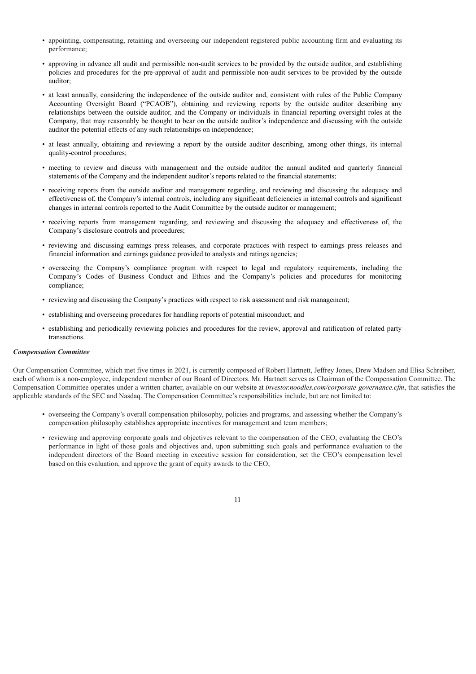- appointing, compensating, retaining and overseeing our independent registered public accounting firm and evaluating its performance;
- approving in advance all audit and permissible non-audit services to be provided by the outside auditor, and establishing policies and procedures for the pre-approval of audit and permissible non-audit services to be provided by the outside auditor;
- at least annually, considering the independence of the outside auditor and, consistent with rules of the Public Company Accounting Oversight Board ("PCAOB"), obtaining and reviewing reports by the outside auditor describing any relationships between the outside auditor, and the Company or individuals in financial reporting oversight roles at the Company, that may reasonably be thought to bear on the outside auditor's independence and discussing with the outside auditor the potential effects of any such relationships on independence;
- at least annually, obtaining and reviewing a report by the outside auditor describing, among other things, its internal quality-control procedures;
- meeting to review and discuss with management and the outside auditor the annual audited and quarterly financial statements of the Company and the independent auditor's reports related to the financial statements;
- receiving reports from the outside auditor and management regarding, and reviewing and discussing the adequacy and effectiveness of, the Company's internal controls, including any significant deficiencies in internal controls and significant changes in internal controls reported to the Audit Committee by the outside auditor or management;
- receiving reports from management regarding, and reviewing and discussing the adequacy and effectiveness of, the Company's disclosure controls and procedures;
- reviewing and discussing earnings press releases, and corporate practices with respect to earnings press releases and financial information and earnings guidance provided to analysts and ratings agencies;
- overseeing the Company's compliance program with respect to legal and regulatory requirements, including the Company's Codes of Business Conduct and Ethics and the Company's policies and procedures for monitoring compliance;
- reviewing and discussing the Company's practices with respect to risk assessment and risk management;
- establishing and overseeing procedures for handling reports of potential misconduct; and
- establishing and periodically reviewing policies and procedures for the review, approval and ratification of related party transactions.

#### *Compensation Committee*

Our Compensation Committee, which met five times in 2021, is currently composed of Robert Hartnett, Jeffrey Jones, Drew Madsen and Elisa Schreiber, each of whom is a non-employee, independent member of our Board of Directors. Mr. Hartnett serves as Chairman of the Compensation Committee. The Compensation Committee operates under a written charter, available on our website at *investor.noodles.com/corporate-governance.cfm*, that satisfies the applicable standards of the SEC and Nasdaq. The Compensation Committee's responsibilities include, but are not limited to:

- overseeing the Company's overall compensation philosophy, policies and programs, and assessing whether the Company's compensation philosophy establishes appropriate incentives for management and team members;
- reviewing and approving corporate goals and objectives relevant to the compensation of the CEO, evaluating the CEO's performance in light of those goals and objectives and, upon submitting such goals and performance evaluation to the independent directors of the Board meeting in executive session for consideration, set the CEO's compensation level based on this evaluation, and approve the grant of equity awards to the CEO;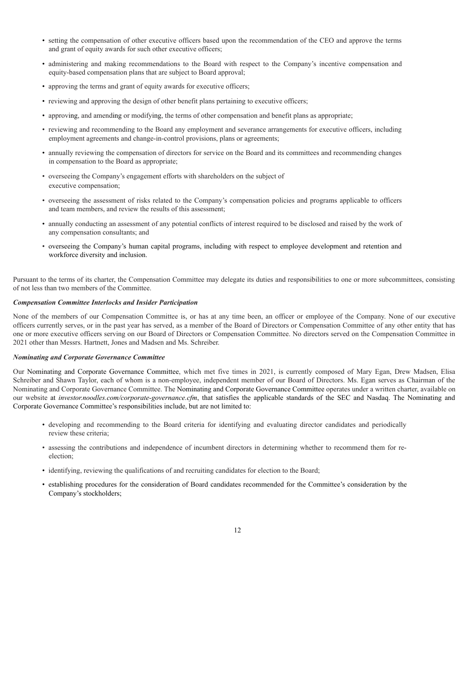- setting the compensation of other executive officers based upon the recommendation of the CEO and approve the terms and grant of equity awards for such other executive officers;
- administering and making recommendations to the Board with respect to the Company's incentive compensation and equity-based compensation plans that are subject to Board approval;
- approving the terms and grant of equity awards for executive officers;
- reviewing and approving the design of other benefit plans pertaining to executive officers;
- approving, and amending or modifying, the terms of other compensation and benefit plans as appropriate;
- reviewing and recommending to the Board any employment and severance arrangements for executive officers, including employment agreements and change-in-control provisions, plans or agreements;
- annually reviewing the compensation of directors for service on the Board and its committees and recommending changes in compensation to the Board as appropriate;
- overseeing the Company's engagement efforts with shareholders on the subject of executive compensation;
- overseeing the assessment of risks related to the Company's compensation policies and programs applicable to officers and team members, and review the results of this assessment;
- annually conducting an assessment of any potential conflicts of interest required to be disclosed and raised by the work of any compensation consultants; and
- overseeing the Company's human capital programs, including with respect to employee development and retention and workforce diversity and inclusion.

Pursuant to the terms of its charter, the Compensation Committee may delegate its duties and responsibilities to one or more subcommittees, consisting of not less than two members of the Committee.

# *Compensation Committee Interlocks and Insider Participation*

None of the members of our Compensation Committee is, or has at any time been, an officer or employee of the Company. None of our executive officers currently serves, or in the past year has served, as a member of the Board of Directors or Compensation Committee of any other entity that has one or more executive officers serving on our Board of Directors or Compensation Committee. No directors served on the Compensation Committee in 2021 other than Messrs. Hartnett, Jones and Madsen and Ms. Schreiber.

# *Nominating and Corporate Governance Committee*

Our Nominating and Corporate Governance Committee, which met five times in 2021, is currently composed of Mary Egan, Drew Madsen, Elisa Schreiber and Shawn Taylor, each of whom is a non-employee, independent member of our Board of Directors. Ms. Egan serves as Chairman of the Nominating and Corporate Governance Committee. The Nominating and Corporate Governance Committee operates under a written charter, available on our website at *investor.noodles.com/corporate-governance.cfm*, that satisfies the applicable standards of the SEC and Nasdaq. The Nominating and Corporate Governance Committee's responsibilities include, but are not limited to:

- developing and recommending to the Board criteria for identifying and evaluating director candidates and periodically review these criteria;
- assessing the contributions and independence of incumbent directors in determining whether to recommend them for reelection;
- identifying, reviewing the qualifications of and recruiting candidates for election to the Board;
- establishing procedures for the consideration of Board candidates recommended for the Committee's consideration by the Company's stockholders;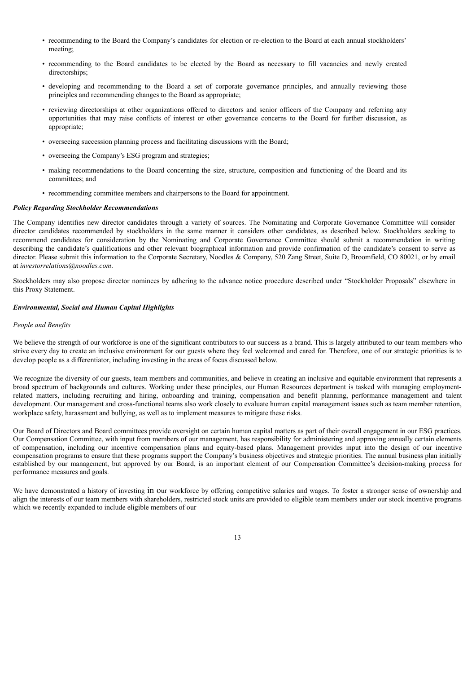- recommending to the Board the Company's candidates for election or re-election to the Board at each annual stockholders' meeting;
- recommending to the Board candidates to be elected by the Board as necessary to fill vacancies and newly created directorships;
- developing and recommending to the Board a set of corporate governance principles, and annually reviewing those principles and recommending changes to the Board as appropriate;
- reviewing directorships at other organizations offered to directors and senior officers of the Company and referring any opportunities that may raise conflicts of interest or other governance concerns to the Board for further discussion, as appropriate;
- overseeing succession planning process and facilitating discussions with the Board;
- overseeing the Company's ESG program and strategies;
- making recommendations to the Board concerning the size, structure, composition and functioning of the Board and its committees; and
- recommending committee members and chairpersons to the Board for appointment.

# *Policy Regarding Stockholder Recommendations*

The Company identifies new director candidates through a variety of sources. The Nominating and Corporate Governance Committee will consider director candidates recommended by stockholders in the same manner it considers other candidates, as described below. Stockholders seeking to recommend candidates for consideration by the Nominating and Corporate Governance Committee should submit a recommendation in writing describing the candidate's qualifications and other relevant biographical information and provide confirmation of the candidate's consent to serve as director. Please submit this information to the Corporate Secretary, Noodles & Company, 520 Zang Street, Suite D, Broomfield, CO 80021, or by email at *investorrelations@noodles.com*.

Stockholders may also propose director nominees by adhering to the advance notice procedure described under "Stockholder Proposals" elsewhere in this Proxy Statement.

# *Environmental, Social and Human Capital Highlights*

# *People and Benefits*

We believe the strength of our workforce is one of the significant contributors to our success as a brand. This is largely attributed to our team members who strive every day to create an inclusive environment for our guests where they feel welcomed and cared for. Therefore, one of our strategic priorities is to develop people as a differentiator, including investing in the areas of focus discussed below.

We recognize the diversity of our guests, team members and communities, and believe in creating an inclusive and equitable environment that represents a broad spectrum of backgrounds and cultures. Working under these principles, our Human Resources department is tasked with managing employmentrelated matters, including recruiting and hiring, onboarding and training, compensation and benefit planning, performance management and talent development. Our management and cross-functional teams also work closely to evaluate human capital management issues such as team member retention, workplace safety, harassment and bullying, as well as to implement measures to mitigate these risks.

Our Board of Directors and Board committees provide oversight on certain human capital matters as part of their overall engagement in our ESG practices. Our Compensation Committee, with input from members of our management, has responsibility for administering and approving annually certain elements of compensation, including our incentive compensation plans and equity-based plans. Management provides input into the design of our incentive compensation programs to ensure that these programs support the Company's business objectives and strategic priorities. The annual business plan initially established by our management, but approved by our Board, is an important element of our Compensation Committee's decision-making process for performance measures and goals.

We have demonstrated a history of investing in our workforce by offering competitive salaries and wages. To foster a stronger sense of ownership and align the interests of our team members with shareholders, restricted stock units are provided to eligible team members under our stock incentive programs which we recently expanded to include eligible members of our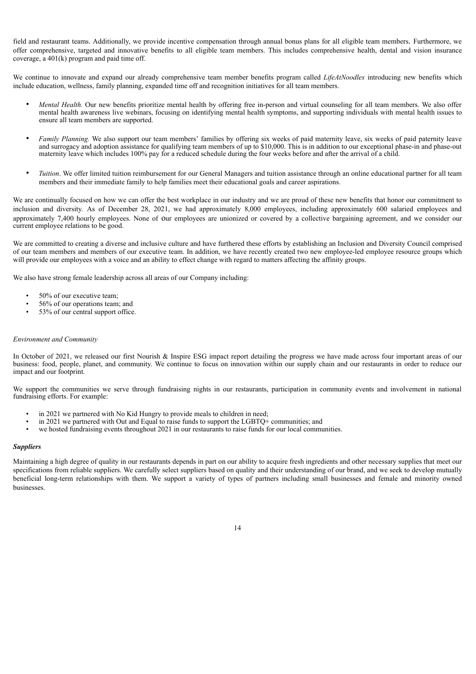field and restaurant teams. Additionally, we provide incentive compensation through annual bonus plans for all eligible team members. Furthermore, we offer comprehensive, targeted and innovative benefits to all eligible team members. This includes comprehensive health, dental and vision insurance coverage, a 401(k) program and paid time off.

We continue to innovate and expand our already comprehensive team member benefits program called *LifeAtNoodles* introducing new benefits which include education, wellness, family planning, expanded time off and recognition initiatives for all team members.

- *Mental Health*. Our new benefits prioritize mental health by offering free in-person and virtual counseling for all team members. We also offer mental health awareness live webinars, focusing on identifying mental health symptoms, and supporting individuals with mental health issues to ensure all team members are supported.
- *Family Planning.* We also support our team members' families by offering six weeks of paid maternity leave, six weeks of paid paternity leave and surrogacy and adoption assistance for qualifying team members of up to \$10,000. This is in addition to our exceptional phase-in and phase-out maternity leave which includes 100% pay for a reduced schedule during the four weeks before and after the arrival of a child.
- *Tuition*. We offer limited tuition reimbursement for our General Managers and tuition assistance through an online educational partner for all team members and their immediate family to help families meet their educational goals and career aspirations.

We are continually focused on how we can offer the best workplace in our industry and we are proud of these new benefits that honor our commitment to inclusion and diversity. As of December 28, 2021, we had approximately 8,000 employees, including approximately 600 salaried employees and approximately 7,400 hourly employees. None of our employees are unionized or covered by a collective bargaining agreement, and we consider our current employee relations to be good.

We are committed to creating a diverse and inclusive culture and have furthered these efforts by establishing an Inclusion and Diversity Council comprised of our team members and members of our executive team. In addition, we have recently created two new employee-led employee resource groups which will provide our employees with a voice and an ability to effect change with regard to matters affecting the affinity groups.

We also have strong female leadership across all areas of our Company including:

- 50% of our executive team;
- 56% of our operations team; and
- 53% of our central support office.

# *Environment and Community*

In October of 2021, we released our first Nourish & Inspire ESG impact report detailing the progress we have made across four important areas of our business: food, people, planet, and community. We continue to focus on innovation within our supply chain and our restaurants in order to reduce our impact and our footprint.

We support the communities we serve through fundraising nights in our restaurants, participation in community events and involvement in national fundraising efforts. For example:

- in 2021 we partnered with No Kid Hungry to provide meals to children in need;
- in 2021 we partnered with Out and Equal to raise funds to support the LGBTQ+ communities; and  $\bullet$  we hosted fundraising events throughout 2021 in our restaurants to raise funds for our local communities.
- we hosted fundraising events throughout 2021 in our restaurants to raise funds for our local communities.

# *Suppliers*

<span id="page-18-0"></span>Maintaining a high degree of quality in our restaurants depends in part on our ability to acquire fresh ingredients and other necessary supplies that meet our specifications from reliable suppliers. We carefully select suppliers based on quality and their understanding of our brand, and we seek to develop mutually beneficial long-term relationships with them. We support a variety of types of partners including small businesses and female and minority owned businesses.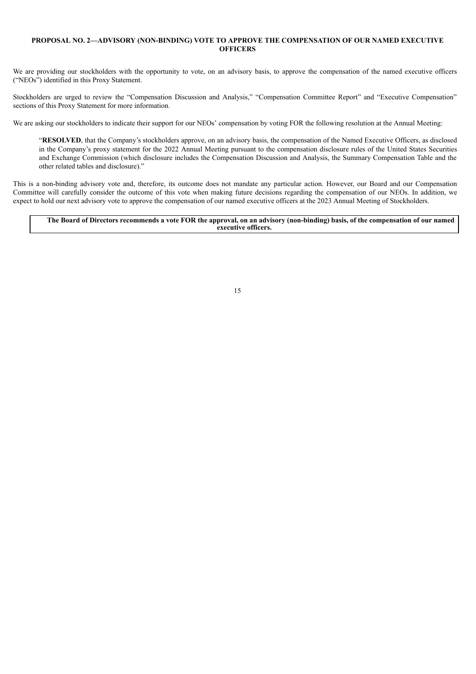# **PROPOSAL NO. 2—ADVISORY (NON-BINDING) VOTE TO APPROVE THE COMPENSATION OF OUR NAMED EXECUTIVE OFFICERS**

We are providing our stockholders with the opportunity to vote, on an advisory basis, to approve the compensation of the named executive officers ("NEOs") identified in this Proxy Statement.

Stockholders are urged to review the "Compensation Discussion and Analysis," "Compensation Committee Report" and "Executive Compensation" sections of this Proxy Statement for more information.

We are asking our stockholders to indicate their support for our NEOs' compensation by voting FOR the following resolution at the Annual Meeting:

"**RESOLVED**, that the Company's stockholders approve, on an advisory basis, the compensation of the Named Executive Officers, as disclosed in the Company's proxy statement for the 2022 Annual Meeting pursuant to the compensation disclosure rules of the United States Securities and Exchange Commission (which disclosure includes the Compensation Discussion and Analysis, the Summary Compensation Table and the other related tables and disclosure)."

This is a non-binding advisory vote and, therefore, its outcome does not mandate any particular action. However, our Board and our Compensation Committee will carefully consider the outcome of this vote when making future decisions regarding the compensation of our NEOs. In addition, we expect to hold our next advisory vote to approve the compensation of our named executive officers at the 2023 Annual Meeting of Stockholders.

# <span id="page-19-0"></span>The Board of Directors recommends a vote FOR the approval, on an advisory (non-binding) basis, of the compensation of our named **executive officers.**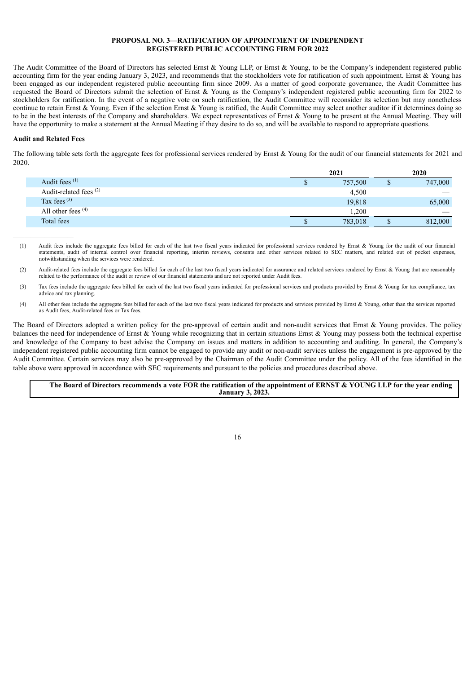# **PROPOSAL NO. 3—RATIFICATION OF APPOINTMENT OF INDEPENDENT REGISTERED PUBLIC ACCOUNTING FIRM FOR 2022**

The Audit Committee of the Board of Directors has selected Ernst & Young LLP, or Ernst & Young, to be the Company's independent registered public accounting firm for the year ending January 3, 2023, and recommends that the stockholders vote for ratification of such appointment. Ernst  $\&$  Young has been engaged as our independent registered public accounting firm since 2009. As a matter of good corporate governance, the Audit Committee has requested the Board of Directors submit the selection of Ernst & Young as the Company's independent registered public accounting firm for 2022 to stockholders for ratification. In the event of a negative vote on such ratification, the Audit Committee will reconsider its selection but may nonetheless continue to retain Ernst & Young. Even if the selection Ernst & Young is ratified, the Audit Committee may select another auditor if it determines doing so to be in the best interests of the Company and shareholders. We expect representatives of Ernst & Young to be present at the Annual Meeting. They will have the opportunity to make a statement at the Annual Meeting if they desire to do so, and will be available to respond to appropriate questions.

# **Audit and Related Fees**

 $\_$ 

The following table sets forth the aggregate fees for professional services rendered by Ernst  $\&$  Young for the audit of our financial statements for 2021 and 2020.

| 2021    | 2020    |
|---------|---------|
| 757,500 | 747,000 |
| 4,500   |         |
| 19,818  | 65,000  |
| 1.200   |         |
| 783,018 | 812,000 |
|         |         |

- (1) Audit fees include the aggregate fees billed for each of the last two fiscal years indicated for professional services rendered by Ernst & Young for the audit of our financial statements, audit of internal control over financial reporting, interim reviews, consents and other services related to SEC matters, and related out of pocket expenses, notwithstanding when the services were rendered.
- (2) Audit-related fees include the aggregate fees billed for each of the last two fiscal years indicated for assurance and related services rendered by Ernst & Young that are reasonably related to the performance of the audit or review of our financial statements and are not reported under Audit fees.
- (3) Tax fees include the aggregate fees billed for each of the last two fiscal years indicated for professional services and products provided by Ernst & Young for tax compliance, tax advice and tax planning.
- (4) All other fees include the aggregate fees billed for each of the last two fiscal years indicated for products and services provided by Ernst & Young, other than the services reported as Audit fees, Audit-related fees or Tax fees.

The Board of Directors adopted a written policy for the pre-approval of certain audit and non-audit services that Ernst & Young provides. The policy balances the need for independence of Ernst  $\&$  Young while recognizing that in certain situations Ernst  $\&$  Young may possess both the technical expertise and knowledge of the Company to best advise the Company on issues and matters in addition to accounting and auditing. In general, the Company's independent registered public accounting firm cannot be engaged to provide any audit or non-audit services unless the engagement is pre-approved by the Audit Committee. Certain services may also be pre-approved by the Chairman of the Audit Committee under the policy. All of the fees identified in the table above were approved in accordance with SEC requirements and pursuant to the policies and procedures described above.

# <span id="page-20-0"></span>The Board of Directors recommends a vote FOR the ratification of the appointment of ERNST & YOUNG LLP for the year ending **January 3, 2023.**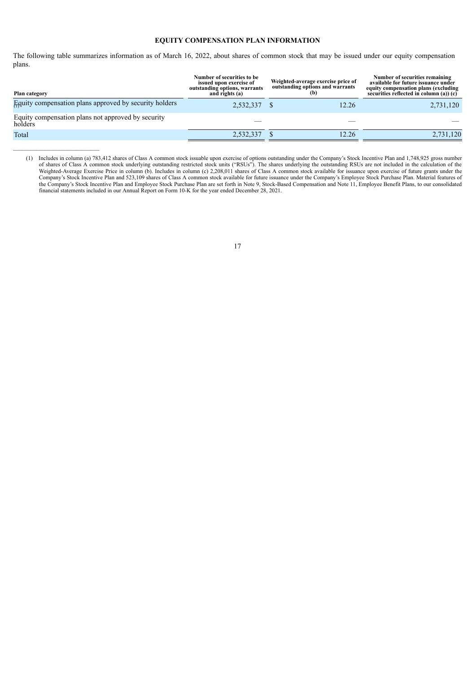# **EQUITY COMPENSATION PLAN INFORMATION**

The following table summarizes information as of March 16, 2022, about shares of common stock that may be issued under our equity compensation plans.

| Plan category                                                 | Number of securities to be<br>issued upon exercise of<br>outstanding options, warrants<br>and rights (a) | Weighted-average exercise price of<br>outstanding options and warrants<br>(b) | Number of securities remaining<br>available for future issuance under<br>equity compensation plans (excluding<br>securities reflected in column (a)) $(c)$ |
|---------------------------------------------------------------|----------------------------------------------------------------------------------------------------------|-------------------------------------------------------------------------------|------------------------------------------------------------------------------------------------------------------------------------------------------------|
| Equity compensation plans approved by security holders        | 2,532,337 \$                                                                                             | 12.26                                                                         | 2,731,120                                                                                                                                                  |
| Equity compensation plans not approved by security<br>holders |                                                                                                          |                                                                               |                                                                                                                                                            |
| Total                                                         | 2,532,337                                                                                                | 12.26                                                                         | 2,731,120                                                                                                                                                  |

 $\mathcal{L}_\text{max}$ 

<span id="page-21-0"></span>(1) Includes in column (a) 783,412 shares of Class A common stock issuable upon exercise of options outstanding under the Company's Stock Incentive Plan and 1,748,925 gross number of shares of Class A common stock underlying outstanding restricted stock units ("RSUs"). The shares underlying the outstanding RSUs are not included in the calculation of the Weighted-Average Exercise Price in column (b). Includes in column (c) 2,208,011 shares of Class A common stock available for issuance upon exercise of future grants under the Company's Stock Incentive Plan and 523,109 shares of Class A common stock available for future issuance under the Company's Employee Stock Purchase Plan. Material features of the Company's Stock Incentive Plan and Employee Stock Purchase Plan are set forth in Note 9, Stock-Based Compensation and Note 11, Employee Benefit Plans, to our consolidated financial statements included in our Annual Report on Form 10-K for the year ended December 28, 2021.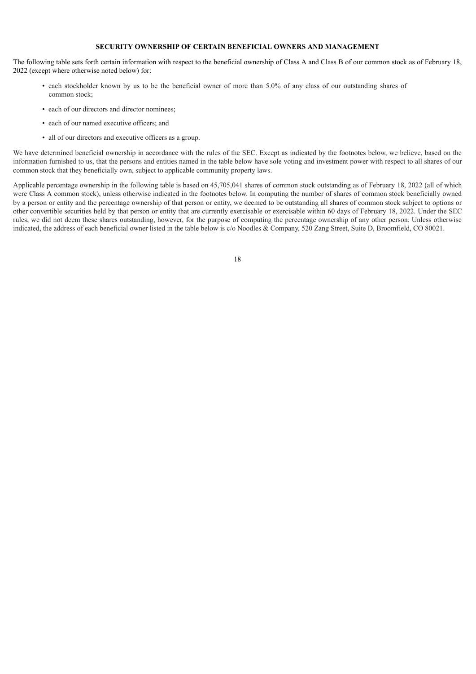# **SECURITY OWNERSHIP OF CERTAIN BENEFICIAL OWNERS AND MANAGEMENT**

The following table sets forth certain information with respect to the beneficial ownership of Class A and Class B of our common stock as of February 18, 2022 (except where otherwise noted below) for:

- each stockholder known by us to be the beneficial owner of more than 5.0% of any class of our outstanding shares of common stock;
- each of our directors and director nominees;
- each of our named executive officers; and
- all of our directors and executive officers as a group.

We have determined beneficial ownership in accordance with the rules of the SEC. Except as indicated by the footnotes below, we believe, based on the information furnished to us, that the persons and entities named in the table below have sole voting and investment power with respect to all shares of our common stock that they beneficially own, subject to applicable community property laws.

Applicable percentage ownership in the following table is based on 45,705,041 shares of common stock outstanding as of February 18, 2022 (all of which were Class A common stock), unless otherwise indicated in the footnotes below. In computing the number of shares of common stock beneficially owned by a person or entity and the percentage ownership of that person or entity, we deemed to be outstanding all shares of common stock subject to options or other convertible securities held by that person or entity that are currently exercisable or exercisable within 60 days of February 18, 2022. Under the SEC rules, we did not deem these shares outstanding, however, for the purpose of computing the percentage ownership of any other person. Unless otherwise indicated, the address of each beneficial owner listed in the table below is c/o Noodles & Company, 520 Zang Street, Suite D, Broomfield, CO 80021.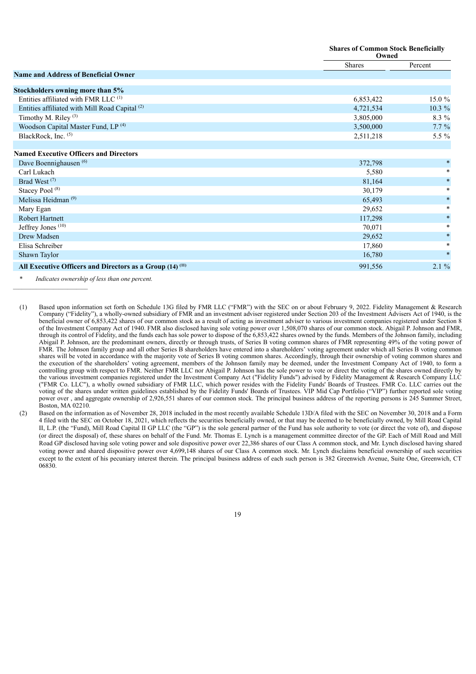|                                                                      | <b>Shares of Common Stock Beneficially</b><br>Owned |           |
|----------------------------------------------------------------------|-----------------------------------------------------|-----------|
|                                                                      | Shares                                              | Percent   |
| <b>Name and Address of Beneficial Owner</b>                          |                                                     |           |
| Stockholders owning more than 5%                                     |                                                     |           |
| Entities affiliated with FMR LLC <sup>(1)</sup>                      | 6,853,422                                           | $15.0 \%$ |
| Entities affiliated with Mill Road Capital <sup>(2)</sup>            | 4,721,534                                           | $10.3 \%$ |
| Timothy M. Riley <sup>(3)</sup>                                      | 3,805,000                                           | $8.3\%$   |
| Woodson Capital Master Fund, LP <sup>(4)</sup>                       | 3,500,000                                           | $7.7\%$   |
| BlackRock, Inc. (5)                                                  | 2,511,218                                           | 5.5 $%$   |
|                                                                      |                                                     |           |
| <b>Named Executive Officers and Directors</b>                        |                                                     |           |
| Dave Boennighausen <sup>(6)</sup>                                    | 372,798                                             | $\ast$    |
| Carl Lukach                                                          | 5,580                                               | $\ast$    |
| Brad West <sup>(7)</sup>                                             | 81,164                                              | $\ast$    |
| Stacey Pool <sup>(8)</sup>                                           | 30,179                                              | $\ast$    |
| Melissa Heidman <sup>(9)</sup>                                       | 65,493                                              | $\ast$    |
| Mary Egan                                                            | 29,652                                              | $\ast$    |
| <b>Robert Hartnett</b>                                               | 117,298                                             | $\ast$    |
| Jeffrey Jones <sup>(10)</sup>                                        | 70,071                                              | $\ast$    |
| Drew Madsen                                                          | 29,652                                              | $\ast$    |
| Elisa Schreiber                                                      | 17,860                                              | $\ast$    |
| Shawn Taylor                                                         | 16,780                                              | $\ast$    |
| All Executive Officers and Directors as a Group (14) <sup>(11)</sup> | 991,556                                             | 2.1%      |

Indicates ownership of less than one percent.

\_\_\_\_\_\_\_\_\_\_\_\_\_\_\_\_\_\_\_\_\_\_\_\_\_\_

<sup>(1)</sup> Based upon information set forth on Schedule 13G filed by FMR LLC ("FMR") with the SEC on or about February 9, 2022. Fidelity Management & Research Company ("Fidelity"), a wholly-owned subsidiary of FMR and an investment adviser registered under Section 203 of the Investment Advisers Act of 1940, is the beneficial owner of 6,853,422 shares of our common stock as a result of acting as investment adviser to various investment companies registered under Section 8 of the Investment Company Act of 1940. FMR also disclosed having sole voting power over 1,508,070 shares of our common stock. Abigail P. Johnson and FMR, through its control of Fidelity, and the funds each has sole power to dispose of the 6,853,422 shares owned by the funds. Members of the Johnson family, including Abigail P. Johnson, are the predominant owners, directly or through trusts, of Series B voting common shares of FMR representing 49% of the voting power of FMR. The Johnson family group and all other Series B shareholders have entered into a shareholders' voting agreement under which all Series B voting common shares will be voted in accordance with the majority vote of Series B voting common shares. Accordingly, through their ownership of voting common shares and the execution of the shareholders' voting agreement, members of the Johnson family may be deemed, under the Investment Company Act of 1940, to form a controlling group with respect to FMR. Neither FMR LLC nor Abigail P. Johnson has the sole power to vote or direct the voting of the shares owned directly by the various investment companies registered under the Investment Company Act ("Fidelity Funds") advised by Fidelity Management & Research Company LLC ("FMR Co. LLC"), a wholly owned subsidiary of FMR LLC, which power resides with the Fidelity Funds' Boards of Trustees. FMR Co. LLC carries out the voting of the shares under written guidelines established by the Fidelity Funds' Boards of Trustees. VIP Mid Cap Portfolio ("VIP") further reported sole voting power over, and aggregate ownership of 2,926,551 shares of our common stock. The principal business address of the reporting persons is 245 Summer Street, Boston, MA 02210.

<sup>(2)</sup> Based on the information as of November 28, 2018 included in the most recently available Schedule 13D/A filed with the SEC on November 30, 2018 and a Form 4 filed with the SEC on October 18, 2021, which reflects the securities beneficially owned, or that may be deemed to be beneficially owned, by Mill Road Capital II, L.P. (the "Fund), Mill Road Capital II GP LLC (the "GP") is the sole general partner of the Fund has sole authority to vote (or direct the vote of), and dispose (or direct the disposal) of, these shares on behalf of the Fund. Mr. Thomas E. Lynch is a management committee director of the GP. Each of Mill Road and Mill Road GP disclosed having sole voting power and sole dispositive power over 22,386 shares of our Class A common stock, and Mr. Lynch disclosed having shared voting power and shared dispositive power over 4,699,148 shares of our Class A common stock. Mr. Lynch disclaims beneficial ownership of such securities except to the extent of his pecuniary interest therein. The principal business address of each such person is 382 Greenwich Avenue, Suite One, Greenwich, CT 06830.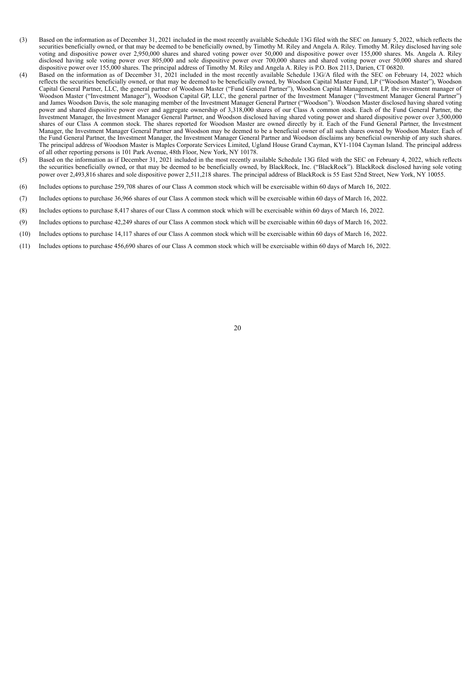- (3) Based on the information as of December 31, 2021 included in the most recently available Schedule 13G filed with the SEC on January 5, 2022, which reflects the securities beneficially owned, or that may be deemed to be beneficially owned, by Timothy M. Riley and Angela A. Riley. Timothy M. Riley disclosed having sole voting and dispositive power over 2,950,000 shares and shared voting power over 50,000 and dispositive power over 155,000 shares. Ms. Angela A. Riley disclosed having sole voting power over 805,000 and sole dispositive power over 700,000 shares and shared voting power over 50,000 shares and shared dispositive power over 155,000 shares. The principal address of Timothy M. Riley and Angela A. Riley is P.O. Box 2113, Darien, CT 06820.
- (4) Based on the information as of December 31, 2021 included in the most recently available Schedule 13G/A filed with the SEC on February 14, 2022 which reflects the securities beneficially owned, or that may be deemed to be beneficially owned, by Woodson Capital Master Fund, LP ("Woodson Master"), Woodson Capital General Partner, LLC, the general partner of Woodson Master ("Fund General Partner"), Woodson Capital Management, LP, the investment manager of Woodson Master ("Investment Manager"), Woodson Capital GP, LLC, the general partner of the Investment Manager ("Investment Manager General Partner") and James Woodson Davis, the sole managing member of the Investment Manager General Partner ("Woodson"). Woodson Master disclosed having shared voting power and shared dispositive power over and aggregate ownership of 3,318,000 shares of our Class A common stock. Each of the Fund General Partner, the Investment Manager, the Investment Manager General Partner, and Woodson disclosed having shared voting power and shared dispositive power over 3,500,000 shares of our Class A common stock. The shares reported for Woodson Master are owned directly by it. Each of the Fund General Partner, the Investment Manager, the Investment Manager General Partner and Woodson may be deemed to be a beneficial owner of all such shares owned by Woodson Master. Each of the Fund General Partner, the Investment Manager, the Investment Manager General Partner and Woodson disclaims any beneficial ownership of any such shares. The principal address of Woodson Master is Maples Corporate Services Limited, Ugland House Grand Cayman, KY1-1104 Cayman Island. The principal address of all other reporting persons is 101 Park Avenue, 48th Floor, New York, NY 10178.
- (5) Based on the information as if December 31, 2021 included in the most recently available Schedule 13G filed with the SEC on February 4, 2022, which reflects the securities beneficially owned, or that may be deemed to be beneficially owned, by BlackRock, Inc. ("BlackRock"). BlackRock disclosed having sole voting power over 2,493,816 shares and sole dispositive power 2,511,218 shares. The principal address of BlackRock is 55 East 52nd Street, New York, NY 10055.
- (6) Includes options to purchase 259,708 shares of our Class A common stock which will be exercisable within 60 days of March 16, 2022.
- (7) Includes options to purchase 36,966 shares of our Class A common stock which will be exercisable within 60 days of March 16, 2022.
- (8) Includes options to purchase 8,417 shares of our Class A common stock which will be exercisable within 60 days of March 16, 2022.
- (9) Includes options to purchase 42,249 shares of our Class A common stock which will be exercisable within 60 days of March 16, 2022.
- (10) Includes options to purchase 14,117 shares of our Class A common stock which will be exercisable within 60 days of March 16, 2022.
- <span id="page-24-0"></span>(11) Includes options to purchase 456,690 shares of our Class A common stock which will be exercisable within 60 days of March 16, 2022.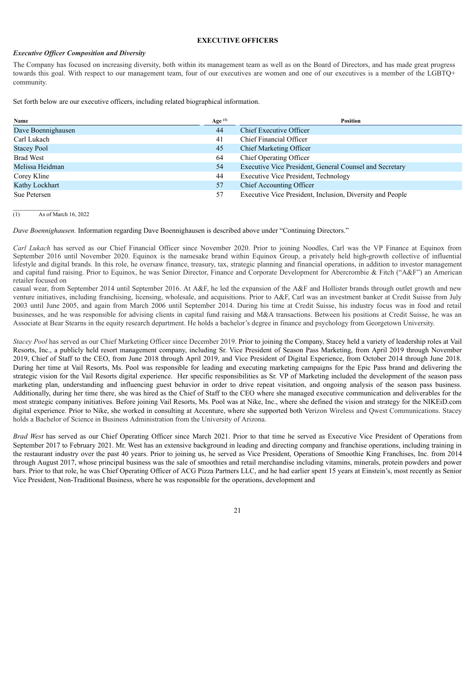# **EXECUTIVE OFFICERS**

# *Executive Of icer Composition and Diversity*

The Company has focused on increasing diversity, both within its management team as well as on the Board of Directors, and has made great progress towards this goal. With respect to our management team, four of our executives are women and one of our executives is a member of the LGBTQ+ community.

Set forth below are our executive officers, including related biographical information.

| Name               | Age $(1)$ | <b>Position</b>                                           |
|--------------------|-----------|-----------------------------------------------------------|
| Dave Boennighausen | 44        | Chief Executive Officer                                   |
| Carl Lukach        | 41        | Chief Financial Officer                                   |
| <b>Stacey Pool</b> | 45        | <b>Chief Marketing Officer</b>                            |
| <b>Brad West</b>   | 64        | Chief Operating Officer                                   |
| Melissa Heidman    | 54        | Executive Vice President, General Counsel and Secretary   |
| Corey Kline        | 44        | <b>Executive Vice President, Technology</b>               |
| Kathy Lockhart     | 57        | Chief Accounting Officer                                  |
| Sue Petersen       | 57        | Executive Vice President, Inclusion, Diversity and People |

 $\overline{(1)}$  As of March 16, 2022

*Dave Boennighausen.* Information regarding Dave Boennighausen is described above under "Continuing Directors."

*Carl Lukach* has served as our Chief Financial Officer since November 2020. Prior to joining Noodles, Carl was the VP Finance at Equinox from September 2016 until November 2020. Equinox is the namesake brand within Equinox Group, a privately held high-growth collective of influential lifestyle and digital brands. In this role, he oversaw finance, treasury, tax, strategic planning and financial operations, in addition to investor management and capital fund raising. Prior to Equinox, he was Senior Director, Finance and Corporate Development for Abercrombie & Fitch ("A&F") an American retailer focused on

casual wear, from September 2014 until September 2016. At A&F, he led the expansion of the A&F and Hollister brands through outlet growth and new venture initiatives, including franchising, licensing, wholesale, and acquisitions. Prior to A&F, Carl was an investment banker at Credit Suisse from July 2003 until June 2005, and again from March 2006 until September 2014. During his time at Credit Suisse, his industry focus was in food and retail businesses, and he was responsible for advising clients in capital fund raising and M&A transactions. Between his positions at Credit Suisse, he was an Associate at Bear Stearns in the equity research department. He holds a bachelor's degree in finance and psychology from Georgetown University.

*Stacey Pool* has served as our Chief Marketing Officer since December 2019. Prior to joining the Company, Stacey held a variety of leadership roles at Vail Resorts, Inc., a publicly held resort management company, including Sr. Vice President of Season Pass Marketing, from April 2019 through November 2019, Chief of Staff to the CEO, from June 2018 through April 2019, and Vice President of Digital Experience, from October 2014 through June 2018. During her time at Vail Resorts, Ms. Pool was responsible for leading and executing marketing campaigns for the Epic Pass brand and delivering the strategic vision for the Vail Resorts digital experience. Her specific responsibilities as Sr. VP of Marketing included the development of the season pass marketing plan, understanding and influencing guest behavior in order to drive repeat visitation, and ongoing analysis of the season pass business. Additionally, during her time there, she was hired as the Chief of Staff to the CEO where she managed executive communication and deliverables for the most strategic company initiatives. Before joining Vail Resorts, Ms. Pool was at Nike, Inc., where she defined the vision and strategy for the NIKEiD.com digital experience. Prior to Nike, she worked in consulting at Accenture, where she supported both Verizon Wireless and Qwest Communications. Stacey holds a Bachelor of Science in Business Administration from the University of Arizona.

*Brad West* has served as our Chief Operating Officer since March 2021. Prior to that time he served as Executive Vice President of Operations from September 2017 to February 2021. Mr. West has an extensive background in leading and directing company and franchise operations, including training in the restaurant industry over the past 40 years. Prior to joining us, he served as Vice President, Operations of Smoothie King Franchises, Inc. from 2014 through August 2017, whose principal business was the sale of smoothies and retail merchandise including vitamins, minerals, protein powders and power bars. Prior to that role, he was Chief Operating Officer of ACG Pizza Partners LLC, and he had earlier spent 15 years at Einstein's, most recently as Senior Vice President, Non-Traditional Business, where he was responsible for the operations, development and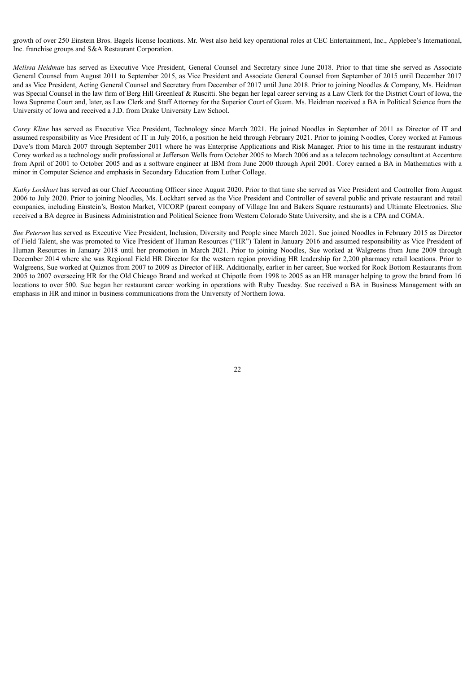growth of over 250 Einstein Bros. Bagels license locations. Mr. West also held key operational roles at CEC Entertainment, Inc., Applebee's International, Inc. franchise groups and S&A Restaurant Corporation.

*Melissa Heidman* has served as Executive Vice President, General Counsel and Secretary since June 2018. Prior to that time she served as Associate General Counsel from August 2011 to September 2015, as Vice President and Associate General Counsel from September of 2015 until December 2017 and as Vice President, Acting General Counsel and Secretary from December of 2017 until June 2018. Prior to joining Noodles & Company, Ms. Heidman was Special Counsel in the law firm of Berg Hill Greenleaf & Ruscitti. She began her legal career serving as a Law Clerk for the District Court of Iowa, the Iowa Supreme Court and, later, as Law Clerk and Staff Attorney for the Superior Court of Guam. Ms. Heidman received a BA in Political Science from the University of Iowa and received a J.D. from Drake University Law School.

*Corey Kline* has served as Executive Vice President, Technology since March 2021. He joined Noodles in September of 2011 as Director of IT and assumed responsibility as Vice President of IT in July 2016, a position he held through February 2021. Prior to joining Noodles, Corey worked at Famous Dave's from March 2007 through September 2011 where he was Enterprise Applications and Risk Manager. Prior to his time in the restaurant industry Corey worked as a technology audit professional at Jefferson Wells from October 2005 to March 2006 and as a telecom technology consultant at Accenture from April of 2001 to October 2005 and as a software engineer at IBM from June 2000 through April 2001. Corey earned a BA in Mathematics with a minor in Computer Science and emphasis in Secondary Education from Luther College.

*Kathy Lockhart* has served as our Chief Accounting Officer since August 2020. Prior to that time she served as Vice President and Controller from August 2006 to July 2020. Prior to joining Noodles, Ms. Lockhart served as the Vice President and Controller of several public and private restaurant and retail companies, including Einstein's, Boston Market, VICORP (parent company of Village Inn and Bakers Square restaurants) and Ultimate Electronics. She received a BA degree in Business Administration and Political Science from Western Colorado State University, and she is a CPA and CGMA.

<span id="page-26-0"></span>*Sue Petersen* has served as Executive Vice President, Inclusion, Diversity and People since March 2021. Sue joined Noodles in February 2015 as Director of Field Talent, she was promoted to Vice President of Human Resources ("HR") Talent in January 2016 and assumed responsibility as Vice President of Human Resources in January 2018 until her promotion in March 2021. Prior to joining Noodles, Sue worked at Walgreens from June 2009 through December 2014 where she was Regional Field HR Director for the western region providing HR leadership for 2,200 pharmacy retail locations. Prior to Walgreens, Sue worked at Quiznos from 2007 to 2009 as Director of HR. Additionally, earlier in her career, Sue worked for Rock Bottom Restaurants from 2005 to 2007 overseeing HR for the Old Chicago Brand and worked at Chipotle from 1998 to 2005 as an HR manager helping to grow the brand from 16 locations to over 500. Sue began her restaurant career working in operations with Ruby Tuesday. Sue received a BA in Business Management with an emphasis in HR and minor in business communications from the University of Northern Iowa.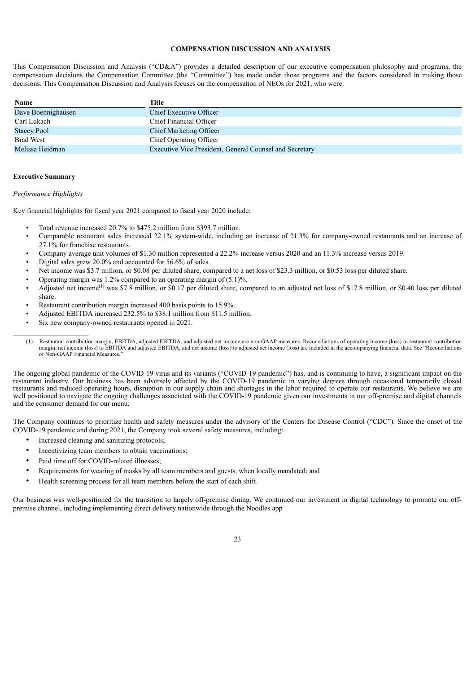# **COMPENSATION DISCUSSION AND ANALYSIS**

This Compensation Discussion and Analysis ("CD&A") provides a detailed description of our executive compensation philosophy and programs, the compensation decisions the Compensation Committee (the "Committee") has made under those programs and the factors considered in making those decisions. This Compensation Discussion and Analysis focuses on the compensation of NEOs for 2021, who were:

| Name               | Title                                                   |
|--------------------|---------------------------------------------------------|
| Dave Boennighausen | Chief Executive Officer                                 |
| Carl Lukach        | Chief Financial Officer                                 |
| <b>Stacey Pool</b> | <b>Chief Marketing Officer</b>                          |
| <b>Brad West</b>   | Chief Operating Officer                                 |
| Melissa Heidman    | Executive Vice President, General Counsel and Secretary |

# **Executive Summary**

#### *Performance Highlights*

Key financial highlights for fiscal year 2021 compared to fiscal year 2020 include:

- Total revenue increased 20.7% to \$475.2 million from \$393.7 million.
- Comparable restaurant sales increased 22.1% system-wide, including an increase of 21.3% for company-owned restaurants and an increase of 27.1% for franchise restaurants.
- Company average unit volumes of \$1.30 million represented a 22.2% increase versus 2020 and an 11.3% increase versus 2019.
- Digital sales grew 20.0% and accounted for 56.6% of sales.
- Net income was \$3.7 million, or \$0.08 per diluted share, compared to a net loss of \$23.3 million, or \$0.53 loss per diluted share.
- Operating margin was 1.2% compared to an operating margin of (5.1)%.
- Adjusted net income<sup>(1)</sup> was \$7.8 million, or \$0.17 per diluted share, compared to an adjusted net loss of \$17.8 million, or \$0.40 loss per diluted share.
- Restaurant contribution margin increased 400 basis points to 15.9%.
- Adjusted EBITDA increased 232.5% to \$38.1 million from \$11.5 million.
- Six new company-owned restaurants opened in 2021.
- (1) Restaurant contribution margin, EBITDA, adjusted EBITDA, and adjusted net income are non-GAAP measures. Reconciliations of operating income (loss) to restaurant contribution margin, net income (loss) to EBITDA and adjusted EBITDA, and net income (loss) to adjusted net income (loss) are included in the accompanying financial data. See "Reconciliations of Non-GAAP Financial Measures."

The ongoing global pandemic of the COVID-19 virus and its variants ("COVID-19 pandemic") has, and is continuing to have, a significant impact on the restaurant industry. Our business has been adversely affected by the COVID-19 pandemic in varying degrees through occasional temporarily closed restaurants and reduced operating hours, disruption in our supply chain and shortages in the labor required to operate our restaurants. We believe we are well positioned to navigate the ongoing challenges associated with the COVID-19 pandemic given our investments in our off-premise and digital channels and the consumer demand for our menu.

The Company continues to prioritize health and safety measures under the advisory of the Centers for Disease Control ("CDC"). Since the onset of the COVID-19 pandemic and during 2021, the Company took several safety measures, including:

- Increased cleaning and sanitizing protocols;
- Incentivizing team members to obtain vaccinations;
- Paid time off for COVID-related illnesses:
- Requirements for wearing of masks by all team members and guests, when locally mandated; and
- Health screening process for all team members before the start of each shift.

Our business was well-positioned for the transition to largely off-premise dining. We continued our investment in digital technology to promote our offpremise channel, including implementing direct delivery nationwide through the Noodles app

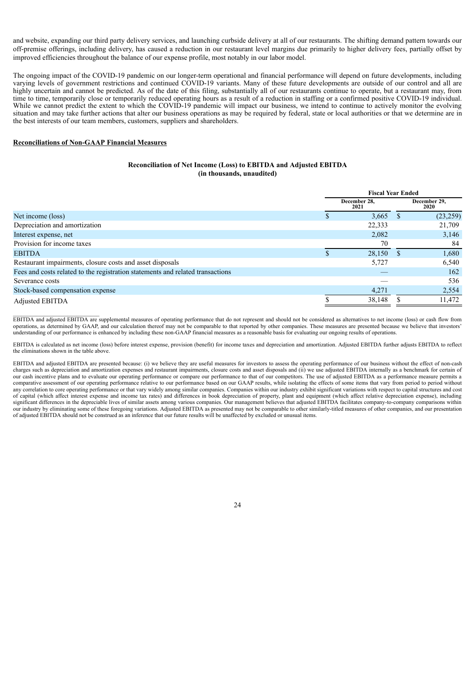and website, expanding our third party delivery services, and launching curbside delivery at all of our restaurants. The shifting demand pattern towards our off-premise offerings, including delivery, has caused a reduction in our restaurant level margins due primarily to higher delivery fees, partially offset by improved efficiencies throughout the balance of our expense profile, most notably in our labor model.

The ongoing impact of the COVID-19 pandemic on our longer-term operational and financial performance will depend on future developments, including varying levels of government restrictions and continued COVID-19 variants. Many of these future developments are outside of our control and all are highly uncertain and cannot be predicted. As of the date of this filing, substantially all of our restaurants continue to operate, but a restaurant may, from time to time, temporarily close or temporarily reduced operating hours as a result of a reduction in staffing or a confirmed positive COVID-19 individual. While we cannot predict the extent to which the COVID-19 pandemic will impact our business, we intend to continue to actively monitor the evolving situation and may take further actions that alter our business operations as may be required by federal, state or local authorities or that we determine are in the best interests of our team members, customers, suppliers and shareholders.

#### **Reconciliations of Non-GAAP Financial Measures**

\_\_\_\_\_\_\_\_\_\_\_\_\_\_\_\_\_\_\_\_\_\_\_\_\_\_\_\_\_\_

# **Reconciliation of Net Income (Loss) to EBITDA and Adjusted EBITDA (in thousands, unaudited)**

|                                                                                | <b>Fiscal Year Ended</b> |                      |  |                      |
|--------------------------------------------------------------------------------|--------------------------|----------------------|--|----------------------|
|                                                                                |                          | December 28,<br>2021 |  | December 29,<br>2020 |
| Net income (loss)                                                              |                          | 3,665                |  | (23,259)             |
| Depreciation and amortization                                                  |                          | 22,333               |  | 21,709               |
| Interest expense, net                                                          |                          | 2,082                |  | 3,146                |
| Provision for income taxes                                                     |                          | 70                   |  | 84                   |
| <b>EBITDA</b>                                                                  |                          | 28,150               |  | 1,680                |
| Restaurant impairments, closure costs and asset disposals                      |                          | 5,727                |  | 6,540                |
| Fees and costs related to the registration statements and related transactions |                          |                      |  | 162                  |
| Severance costs                                                                |                          |                      |  | 536                  |
| Stock-based compensation expense                                               |                          | 4.271                |  | 2,554                |
| <b>Adjusted EBITDA</b>                                                         |                          | 38,148               |  | 11,472               |

EBITDA and adjusted EBITDA are supplemental measures of operating performance that do not represent and should not be considered as alternatives to net income (loss) or cash flow from operations, as determined by GAAP, and our calculation thereof may not be comparable to that reported by other companies. These measures are presented because we believe that investors' understanding of our performance is enhanced by including these non-GAAP financial measures as a reasonable basis for evaluating our ongoing results of operations.

EBITDA is calculated as net income (loss) before interest expense, provision (benefit) for income taxes and depreciation and amortization. Adjusted EBITDA further adjusts EBITDA to reflect the eliminations shown in the table above.

EBITDA and adjusted EBITDA are presented because: (i) we believe they are useful measures for investors to assess the operating performance of our business without the effect of non-cash charges such as depreciation and amortization expenses and restaurant impairments, closure costs and asset disposals and (ii) we use adjusted EBITDA internally as a benchmark for certain of our cash incentive plans and to evaluate our operating performance or compare our performance to that of our competitors. The use of adjusted EBITDA as a performance measure permits a comparative assessment of our operating performance relative to our performance based on our GAAP results, while isolating the effects of some items that vary from period to period without any correlation to core operating performance or that vary widely among similar companies. Companies within our industry exhibit significant variations with respect to capital structures and cost of capital (which affect interest expense and income tax rates) and differences in book depreciation of property, plant and equipment (which affect relative depreciation expense), including significant differences in the depreciable lives of similar assets among various companies. Our management believes that adjusted EBITDA facilitates company-to-company comparisons within our industry by eliminating some of these foregoing variations. Adjusted EBITDA as presented may not be comparable to other similarly-titled measures of other companies, and our presentation of adjusted EBITDA should not be construed as an inference that our future results will be unaffected by excluded or unusual items.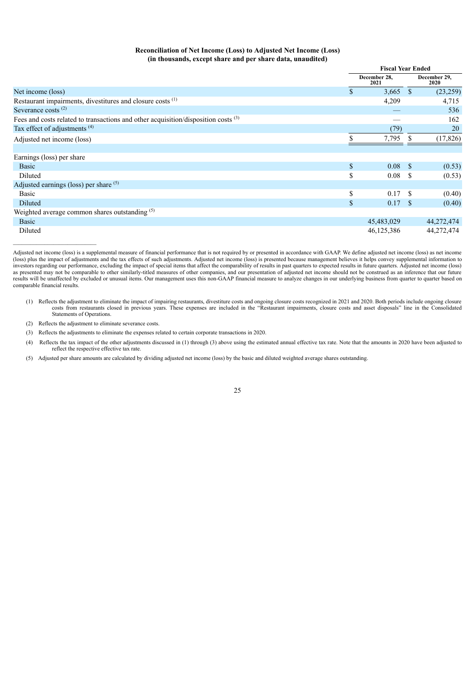# **Reconciliation of Net Income (Loss) to Adjusted Net Income (Loss) (in thousands, except share and per share data, unaudited)**

|                                                                                               | <b>Fiscal Year Ended</b> |                      |              |                             |
|-----------------------------------------------------------------------------------------------|--------------------------|----------------------|--------------|-----------------------------|
|                                                                                               |                          | December 28,<br>2021 |              | December 29,<br><b>2020</b> |
| Net income (loss)                                                                             | \$                       | 3,665                | <sup>S</sup> | (23,259)                    |
| Restaurant impairments, divestitures and closure costs <sup>(1)</sup>                         |                          | 4,209                |              | 4,715                       |
| Severance costs $(2)$                                                                         |                          |                      |              | 536                         |
| Fees and costs related to transactions and other acquisition/disposition costs <sup>(3)</sup> |                          |                      |              | 162                         |
| Tax effect of adjustments <sup>(4)</sup>                                                      |                          | (79)                 |              | 20                          |
| Adjusted net income (loss)                                                                    |                          | 7,795                |              | (17, 826)                   |
|                                                                                               |                          |                      |              |                             |
| Earnings (loss) per share                                                                     |                          |                      |              |                             |
| <b>Basic</b>                                                                                  | $\mathbb{S}$             | $0.08 \quad$ \$      |              | (0.53)                      |
| Diluted                                                                                       | \$                       | 0.08                 | -S           | (0.53)                      |
| Adjusted earnings (loss) per share (5)                                                        |                          |                      |              |                             |
| <b>Basic</b>                                                                                  | \$                       | 0.17                 | -S           | (0.40)                      |
| Diluted                                                                                       | \$                       | 0.17S                |              | (0.40)                      |
| Weighted average common shares outstanding (5)                                                |                          |                      |              |                             |
| <b>Basic</b>                                                                                  |                          | 45,483,029           |              | 44,272,474                  |
| Diluted                                                                                       |                          | 46,125,386           |              | 44,272,474                  |

Adjusted net income (loss) is a supplemental measure of financial performance that is not required by or presented in accordance with GAAP. We define adjusted net income (loss) as net income (loss) plus the impact of adjustments and the tax effects of such adjustments. Adjusted net income (loss) is presented because management believes it helps convey supplemental information to (loss) plus the impact of adjus investors regarding our performance, excluding the impact of special items that affect the comparability of results in past quarters to expected results in future quarters. Adjusted net income (loss) as presented may not be comparable to other similarly-titled measures of other companies, and our presentation of adjusted net income should not be construed as an inference that our future results will be unaffected by excluded or unusual items. Our management uses this non-GAAP financial measure to analyze changes in our underlying business from quarter to quarter based on comparable financial results.

(1) Reflects the adjustment to eliminate the impact of impairing restaurants, divestiture costs and ongoing closure costs recognized in 2021 and 2020. Both periods include ongoing closure costs from restaurants closed in previous years. These expenses are included in the "Restaurant impairments, closure costs and asset disposals" line in the Consolidated Statements of Operations.

(2) Reflects the adjustment to eliminate severance costs.

 $\mathcal{L}_\text{max}$ 

(3) Reflects the adjustments to eliminate the expenses related to certain corporate transactions in 2020.

- (4) Reflects the tax impact of the other adjustments discussed in (1) through (3) above using the estimated annual effective tax rate. Note that the amounts in 2020 have been adjusted to reflect the respective effective tax rate.
- (5) Adjusted per share amounts are calculated by dividing adjusted net income (loss) by the basic and diluted weighted average shares outstanding.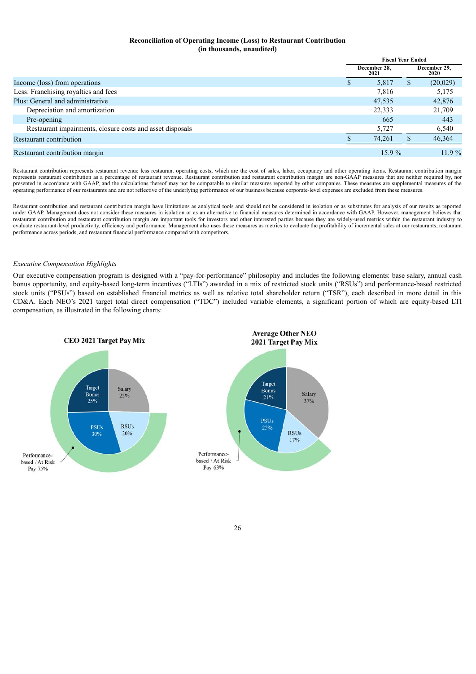# **Reconciliation of Operating Income (Loss) to Restaurant Contribution (in thousands, unaudited)**

|                                                           |  | <b>Fiscal Year Ended</b> |  |          |  |                      |
|-----------------------------------------------------------|--|--------------------------|--|----------|--|----------------------|
|                                                           |  | December 28.<br>2021     |  |          |  | December 29.<br>2020 |
| Income (loss) from operations                             |  | 5,817                    |  | (20,029) |  |                      |
| Less: Franchising royalties and fees                      |  | 7,816                    |  | 5,175    |  |                      |
| Plus: General and administrative                          |  | 47,535                   |  | 42,876   |  |                      |
| Depreciation and amortization                             |  | 22,333                   |  | 21,709   |  |                      |
| Pre-opening                                               |  | 665                      |  | 443      |  |                      |
| Restaurant impairments, closure costs and asset disposals |  | 5,727                    |  | 6,540    |  |                      |
| Restaurant contribution                                   |  | 74.261                   |  | 46,364   |  |                      |
| Restaurant contribution margin                            |  | 15.9%                    |  | $11.9\%$ |  |                      |

\_\_\_\_\_\_\_\_\_\_\_\_\_\_\_\_\_\_\_\_\_\_\_\_\_\_\_\_\_ Restaurant contribution represents restaurant revenue less restaurant operating costs, which are the cost of sales, labor, occupancy and other operating items. Restaurant contribution margin represents restaurant contribution as a percentage of restaurant revenue. Restaurant contribution and restaurant contribution margin are non-GAAP measures that are neither required by, nor presented in accordance with GAAP, and the calculations thereof may not be comparable to similar measures reported by other companies. These measures are supplemental measures of the operating performance of our restaurants and are not reflective of the underlying performance of our business because corporate-level expenses are excluded from these measures.

Restaurant contribution and restaurant contribution margin have limitations as analytical tools and should not be considered in isolation or as substitutes for analysis of our results as reported under GAAP. Management does not consider these measures in isolation or as an alternative to financial measures determined in accordance with GAAP. However, management believes that restaurant contribution and restaurant contribution margin are important tools for investors and other interested parties because they are widely-used metrics within the restaurant industry to evaluate restaurant-level productivity, efficiency and performance. Management also uses these measures as metrics to evaluate the profitability of incremental sales at our restaurants, restaurant performance across periods, and restaurant financial performance compared with competitors.

# *Executive Compensation Highlights*

Our executive compensation program is designed with a "pay-for-performance" philosophy and includes the following elements: base salary, annual cash bonus opportunity, and equity-based long-term incentives ("LTIs") awarded in a mix of restricted stock units ("RSUs") and performance-based restricted stock units ("PSUs") based on established financial metrics as well as relative total shareholder return ("TSR"), each described in more detail in this CD&A. Each NEO's 2021 target total direct compensation ("TDC") included variable elements, a significant portion of which are equity-based LTI compensation, as illustrated in the following charts:

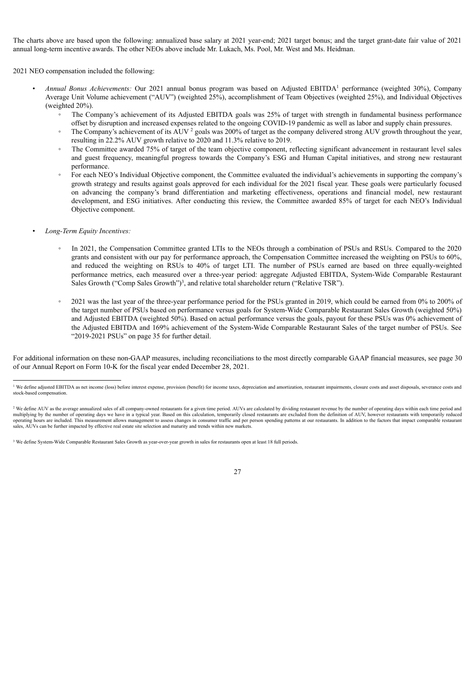The charts above are based upon the following: annualized base salary at 2021 year-end; 2021 target bonus; and the target grant-date fair value of 2021 annual long-term incentive awards. The other NEOs above include Mr. Lukach, Ms. Pool, Mr. West and Ms. Heidman.

2021 NEO compensation included the following:

- *Annual Bonus Achievements:* Our 2021 annual bonus program was based on Adjusted EBITDA<sup>1</sup> performance (weighted 30%), Company Average Unit Volume achievement ("AUV") (weighted 25%), accomplishment of Team Objectives (weighted 25%), and Individual Objectives (weighted 20%).
	- The Company's achievement of its Adjusted EBITDA goals was 25% of target with strength in fundamental business performance offset by disruption and increased expenses related to the ongoing COVID-19 pandemic as well as labor and supply chain pressures.
	- The Company's achievement of its AUV  $^2$  goals was 200% of target as the company delivered strong AUV growth throughout the year, resulting in 22.2% AUV growth relative to 2020 and 11.3% relative to 2019.
	- The Committee awarded 75% of target of the team objective component, reflecting significant advancement in restaurant level sales and guest frequency, meaningful progress towards the Company's ESG and Human Capital initiatives, and strong new restaurant performance.
	- For each NEO's Individual Objective component, the Committee evaluated the individual's achievements in supporting the company's growth strategy and results against goals approved for each individual for the 2021 fiscal year. These goals were particularly focused on advancing the company's brand differentiation and marketing effectiveness, operations and financial model, new restaurant development, and ESG initiatives. After conducting this review, the Committee awarded 85% of target for each NEO's Individual Objective component.
- *Long-Term Equity Incentives:*
	- In 2021, the Compensation Committee granted LTIs to the NEOs through a combination of PSUs and RSUs. Compared to the 2020 grants and consistent with our pay for performance approach, the Compensation Committee increased the weighting on PSUs to 60%, and reduced the weighting on RSUs to 40% of target LTI. The number of PSUs earned are based on three equally-weighted performance metrics, each measured over a three-year period: aggregate Adjusted EBITDA, System-Wide Comparable Restaurant Sales Growth ("Comp Sales Growth")<sup>3</sup>, and relative total shareholder return ("Relative TSR").
	- 2021 was the last year of the three-year performance period for the PSUs granted in 2019, which could be earned from 0% to 200% of the target number of PSUs based on performance versus goals for System-Wide Comparable Restaurant Sales Growth (weighted 50%) and Adjusted EBITDA (weighted 50%). Based on actual performance versus the goals, payout for these PSUs was 0% achievement of the Adjusted EBITDA and 169% achievement of the System-Wide Comparable Restaurant Sales of the target number of PSUs. See "2019-2021 PSUs" on page 35 for further detail.

For additional information on these non-GAAP measures, including reconciliations to the most directly comparable GAAP financial measures, see page 30 of our Annual Report on Form 10-K for the fiscal year ended December 28, 2021.

<sup>&</sup>lt;sup>3</sup> We define System-Wide Comparable Restaurant Sales Growth as year-over-year growth in sales for restaurants open at least 18 full periods.



<sup>&</sup>lt;sup>1</sup> We define adjusted EBITDA as net income (loss) before interest expense, provision (benefit) for income taxes, depreciation and amortization, restaurant impairments, closure costs and asset disposals, severance costs an stock-based compensation.

<sup>&</sup>lt;sup>2</sup> We define AUV as the average annualized sales of all company-owned restaurants for a given time period. AUVs are calculated by dividing restaurant revenue by the number of operating days within each time period and multiplying by the number of operating days we have in a typical year. Based on this calculation, temporarily closed restaurants are excluded from the definition of AUV, however restaurants with temporarily reduced operating hours are included. This measurement allows management to assess changes in consumer traffic and per person spending patterns at our restaurants. In addition to the factors that impact comparable restaurant<br>sales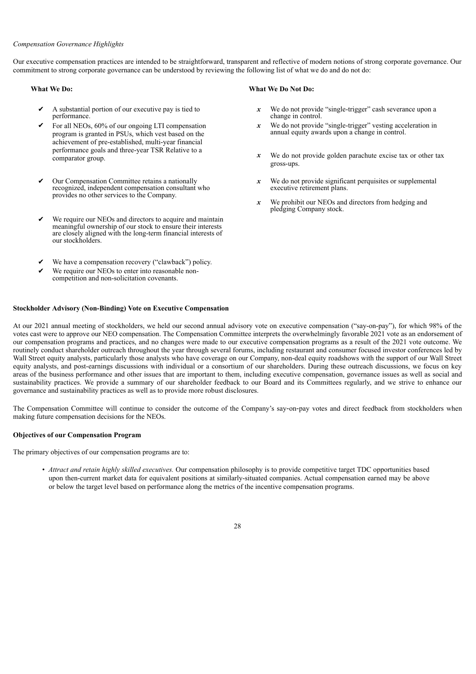# *Compensation Governance Highlights*

Our executive compensation practices are intended to be straightforward, transparent and reflective of modern notions of strong corporate governance. Our commitment to strong corporate governance can be understood by reviewing the following list of what we do and do not do:

- ✔ A substantial portion of our executive pay is tied to performance.
- For all NEOs,  $60\%$  of our ongoing LTI compensation program is granted in PSUs, which vest based on the achievement of pre-established, multi-year financial performance goals and three-year TSR Relative to a comparator group.
- Our Compensation Committee retains a nationally recognized, independent compensation consultant who provides no other services to the Company.
- We require our NEOs and directors to acquire and maintain meaningful ownership of our stock to ensure their interests are closely aligned with the long-term financial interests of our stockholders.
- We have a compensation recovery ("clawback") policy.
- We require our NEOs to enter into reasonable noncompetition and non-solicitation covenants.

# **Stockholder Advisory (Non-Binding) Vote on Executive Compensation**

# **What We Do: What We Do Not Do:**

- *x* We do not provide "single-trigger" cash severance upon a change in control.
- *x* We do not provide "single-trigger" vesting acceleration in annual equity awards upon a change in control.
- *x* We do not provide golden parachute excise tax or other tax gross-ups.
- *x* We do not provide significant perquisites or supplemental executive retirement plans.
- *x* We prohibit our NEOs and directors from hedging and pledging Company stock.

At our 2021 annual meeting of stockholders, we held our second annual advisory vote on executive compensation ("say-on-pay"), for which 98% of the votes cast were to approve our NEO compensation. The Compensation Committee interprets the overwhelmingly favorable 2021 vote as an endorsement of our compensation programs and practices, and no changes were made to our executive compensation programs as a result of the 2021 vote outcome. We routinely conduct shareholder outreach throughout the year through several forums, including restaurant and consumer focused investor conferences led by Wall Street equity analysts, particularly those analysts who have coverage on our Company, non-deal equity roadshows with the support of our Wall Street equity analysts, and post-earnings discussions with individual or a consortium of our shareholders. During these outreach discussions, we focus on key areas of the business performance and other issues that are important to them, including executive compensation, governance issues as well as social and sustainability practices. We provide a summary of our shareholder feedback to our Board and its Committees regularly, and we strive to enhance our governance and sustainability practices as well as to provide more robust disclosures.

The Compensation Committee will continue to consider the outcome of the Company's say-on-pay votes and direct feedback from stockholders when making future compensation decisions for the NEOs.

# **Objectives of our Compensation Program**

The primary objectives of our compensation programs are to:

• *Attract and retain highly skilled executives.* Our compensation philosophy is to provide competitive target TDC opportunities based upon then-current market data for equivalent positions at similarly-situated companies. Actual compensation earned may be above or below the target level based on performance along the metrics of the incentive compensation programs.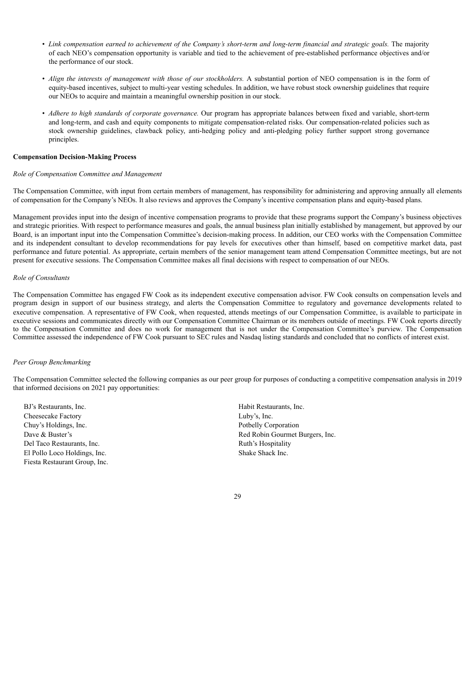- Link compensation earned to achievement of the Company's short-term and long-term financial and strategic goals. The majority of each NEO's compensation opportunity is variable and tied to the achievement of pre-established performance objectives and/or the performance of our stock.
- *Align the interests of management with those of our stockholders.* A substantial portion of NEO compensation is in the form of equity-based incentives, subject to multi-year vesting schedules. In addition, we have robust stock ownership guidelines that require our NEOs to acquire and maintain a meaningful ownership position in our stock.
- *Adhere to high standards of corporate governance.* Our program has appropriate balances between fixed and variable, short-term and long-term, and cash and equity components to mitigate compensation-related risks. Our compensation-related policies such as stock ownership guidelines, clawback policy, anti-hedging policy and anti-pledging policy further support strong governance principles.

#### **Compensation Decision-Making Process**

#### *Role of Compensation Committee and Management*

The Compensation Committee, with input from certain members of management, has responsibility for administering and approving annually all elements of compensation for the Company's NEOs. It also reviews and approves the Company's incentive compensation plans and equity-based plans.

Management provides input into the design of incentive compensation programs to provide that these programs support the Company's business objectives and strategic priorities. With respect to performance measures and goals, the annual business plan initially established by management, but approved by our Board, is an important input into the Compensation Committee's decision-making process. In addition, our CEO works with the Compensation Committee and its independent consultant to develop recommendations for pay levels for executives other than himself, based on competitive market data, past performance and future potential. As appropriate, certain members of the senior management team attend Compensation Committee meetings, but are not present for executive sessions. The Compensation Committee makes all final decisions with respect to compensation of our NEOs.

# *Role of Consultants*

The Compensation Committee has engaged FW Cook as its independent executive compensation advisor. FW Cook consults on compensation levels and program design in support of our business strategy, and alerts the Compensation Committee to regulatory and governance developments related to executive compensation. A representative of FW Cook, when requested, attends meetings of our Compensation Committee, is available to participate in executive sessions and communicates directly with our Compensation Committee Chairman or its members outside of meetings. FW Cook reports directly to the Compensation Committee and does no work for management that is not under the Compensation Committee's purview. The Compensation Committee assessed the independence of FW Cook pursuant to SEC rules and Nasdaq listing standards and concluded that no conflicts of interest exist.

## *Peer Group Benchmarking*

The Compensation Committee selected the following companies as our peer group for purposes of conducting a competitive compensation analysis in 2019 that informed decisions on 2021 pay opportunities:

BJ's Restaurants, Inc. Habit Restaurants, Inc. Cheesecake Factory Luby's, Inc. Chuy's Holdings, Inc. Potbelly Corporation Del Taco Restaurants, Inc. **Ruth** Ruth's Hospitality Ruth's Hospitality El Pollo Loco Holdings, Inc. Shake Shack Inc. Fiesta Restaurant Group, Inc.

Dave & Buster's **Red Robin Gourmet Burgers**, Inc.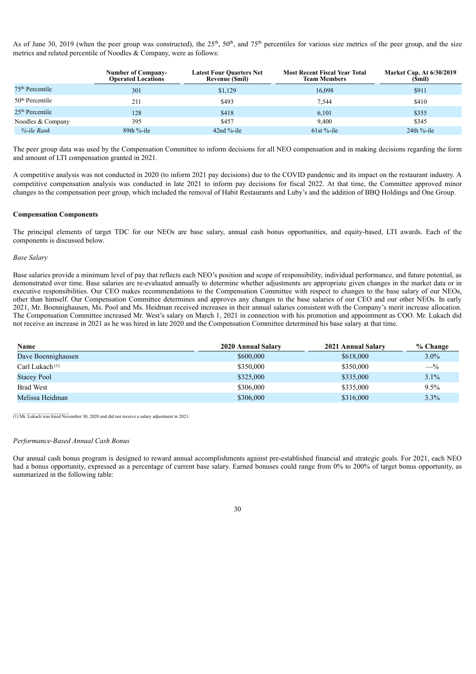As of June 30, 2019 (when the peer group was constructed), the  $25<sup>th</sup>$ ,  $50<sup>th</sup>$ , and  $75<sup>th</sup>$  percentiles for various size metrics of the peer group, and the size metrics and related percentile of Noodles & Company, were as follows:

|                             | <b>Number of Company-</b><br><b>Operated Locations</b> | <b>Latest Four Quarters Net</b><br><b>Revenue (Smil)</b> | <b>Most Recent Fiscal Year Total</b><br><b>Team Members</b> | <b>Market Cap. At 6/30/2019</b><br>(Smil) |
|-----------------------------|--------------------------------------------------------|----------------------------------------------------------|-------------------------------------------------------------|-------------------------------------------|
| $75th$ Percentile           | 301                                                    | \$1,129                                                  | 16,098                                                      | \$911                                     |
| 50 <sup>th</sup> Percentile | 211                                                    | \$493                                                    | 7.544                                                       | \$410                                     |
| $25th$ Percentile           | 128                                                    | \$418                                                    | 6.101                                                       | \$355                                     |
| Noodles & Company           | 395                                                    | \$457                                                    | 9.400                                                       | \$345                                     |
| %-ile Rank                  | $89th$ %-ile                                           | 42nd $%$ -ile                                            | $61st$ %-ile                                                | $24th$ %-ile                              |

The peer group data was used by the Compensation Committee to inform decisions for all NEO compensation and in making decisions regarding the form and amount of LTI compensation granted in 2021.

A competitive analysis was not conducted in 2020 (to inform 2021 pay decisions) due to the COVID pandemic and its impact on the restaurant industry. A competitive compensation analysis was conducted in late 2021 to inform pay decisions for fiscal 2022. At that time, the Committee approved minor changes to the compensation peer group, which included the removal of Habit Restaurants and Luby's and the addition of BBQ Holdings and One Group.

# **Compensation Components**

The principal elements of target TDC for our NEOs are base salary, annual cash bonus opportunities, and equity-based, LTI awards. Each of the components is discussed below.

#### *Base Salary*

Base salaries provide a minimum level of pay that reflects each NEO's position and scope of responsibility, individual performance, and future potential, as demonstrated over time. Base salaries are re-evaluated annually to determine whether adjustments are appropriate given changes in the market data or in executive responsibilities. Our CEO makes recommendations to the Compensation Committee with respect to changes to the base salary of our NEOs, other than himself. Our Compensation Committee determines and approves any changes to the base salaries of our CEO and our other NEOs. In early 2021, Mr. Boennighausen, Ms. Pool and Ms. Heidman received increases in their annual salaries consistent with the Company's merit increase allocation. The Compensation Committee increased Mr. West's salary on March 1, 2021 in connection with his promotion and appointment as COO. Mr. Lukach did not receive an increase in 2021 as he was hired in late 2020 and the Compensation Committee determined his base salary at that time.

| Name                       | 2020 Annual Salary | 2021 Annual Salary | % Change |
|----------------------------|--------------------|--------------------|----------|
| Dave Boennighausen         | \$600,000          | \$618,000          | $3.0\%$  |
| Carl Lukach <sup>(1)</sup> | \$350,000          | \$350,000          | $-$ %    |
| <b>Stacey Pool</b>         | \$325,000          | \$335,000          | $3.1\%$  |
| <b>Brad West</b>           | \$306,000          | \$335,000          | 9.5%     |
| Melissa Heidman            | \$306,000          | \$316,000          | $3.3\%$  |

 $\frac{1}{(1)$  Mr. Lukach was hired November 30, 2020 and did not receive a salary adjustment in 2021.

# *Performance-Based Annual Cash Bonus*

Our annual cash bonus program is designed to reward annual accomplishments against pre-established financial and strategic goals. For 2021, each NEO had a bonus opportunity, expressed as a percentage of current base salary. Earned bonuses could range from 0% to 200% of target bonus opportunity, as summarized in the following table: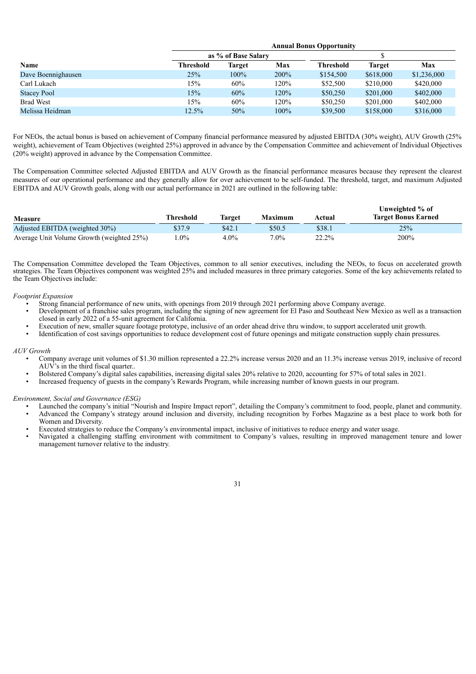|                    | <b>Annual Bonus Opportunity</b> |                     |      |                  |           |             |  |  |  |  |  |  |  |
|--------------------|---------------------------------|---------------------|------|------------------|-----------|-------------|--|--|--|--|--|--|--|
|                    |                                 | as % of Base Salary |      |                  |           |             |  |  |  |  |  |  |  |
| <b>Name</b>        | <b>Threshold</b>                | Target              | Max  | <b>Threshold</b> | Target    | Max         |  |  |  |  |  |  |  |
| Dave Boennighausen | 25%                             | $100\%$             | 200% | \$154,500        | \$618,000 | \$1,236,000 |  |  |  |  |  |  |  |
| Carl Lukach        | 15%                             | 60%                 | 120% | \$52,500         | \$210,000 | \$420,000   |  |  |  |  |  |  |  |
| <b>Stacey Pool</b> | 15%                             | 60%                 | 120% | \$50,250         | \$201,000 | \$402,000   |  |  |  |  |  |  |  |
| <b>Brad West</b>   | 15%                             | 60%                 | 120% | \$50,250         | \$201,000 | \$402,000   |  |  |  |  |  |  |  |
| Melissa Heidman    | 12.5%                           | 50%                 | 100% | \$39,500         | \$158,000 | \$316,000   |  |  |  |  |  |  |  |

For NEOs, the actual bonus is based on achievement of Company financial performance measured by adjusted EBITDA (30% weight), AUV Growth (25% weight), achievement of Team Objectives (weighted 25%) approved in advance by the Compensation Committee and achievement of Individual Objectives (20% weight) approved in advance by the Compensation Committee.

The Compensation Committee selected Adjusted EBITDA and AUV Growth as the financial performance measures because they represent the clearest measures of our operational performance and they generally allow for over achievement to be self-funded. The threshold, target, and maximum Adjusted EBITDA and AUV Growth goals, along with our actual performance in 2021 are outlined in the following table:

| <b>Measure</b>                            | Threshold | Target  | <b>Maximum</b> | Actual | Unweighted % of<br><b>Target Bonus Earned</b> |
|-------------------------------------------|-----------|---------|----------------|--------|-----------------------------------------------|
| Adjusted EBITDA (weighted 30%)            | \$37.9    | \$42.1  | \$50.5         | \$38.1 | 25%                                           |
| Average Unit Volume Growth (weighted 25%) | .0%       | $4.0\%$ | $7.0\%$        | 22.2%  | 200%                                          |

The Compensation Committee developed the Team Objectives, common to all senior executives, including the NEOs, to focus on accelerated growth strategies. The Team Objectives component was weighted 25% and included measures in three primary categories. Some of the key achievements related to the Team Objectives include:

# *Footprint Expansion*

- Strong financial performance of new units, with openings from 2019 through 2021 performing above Company average.
- Development of a franchise sales program, including the signing of new agreement for El Paso and Southeast New Mexico as well as a transaction closed in early 2022 of a 55-unit agreement for California.
- Execution of new, smaller square footage prototype, inclusive of an order ahead drive thru window, to support accelerated unit growth.
- Identification of cost savings opportunities to reduce development cost of future openings and mitigate construction supply chain pressures.

# *AUV Growth*

- Company average unit volumes of \$1.30 million represented a 22.2% increase versus 2020 and an 11.3% increase versus 2019, inclusive of record  $AUV$ 's in the third fiscal quarter..
- Bolstered Company's digital sales capabilities, increasing digital sales 20% relative to 2020, accounting for 57% of total sales in 2021.
- Increased frequency of guests in the company's Rewards Program, while increasing number of known guests in our program.

#### *Environment, Social and Governance (ESG)*

- Launched the company's initial "Nourish and Inspire Impact report", detailing the Company's commitment to food, people, planet and community.
- Advanced the Company's strategy around inclusion and diversity, including recognition by Forbes Magazine as a best place to work both for Women and Diversity.
- Executed strategies to reduce the Company's environmental impact, inclusive of initiatives to reduce energy and water usage.
- Navigated a challenging staffing environment with commitment to Company's values, resulting in improved management tenure and lower management turnover relative to the industry.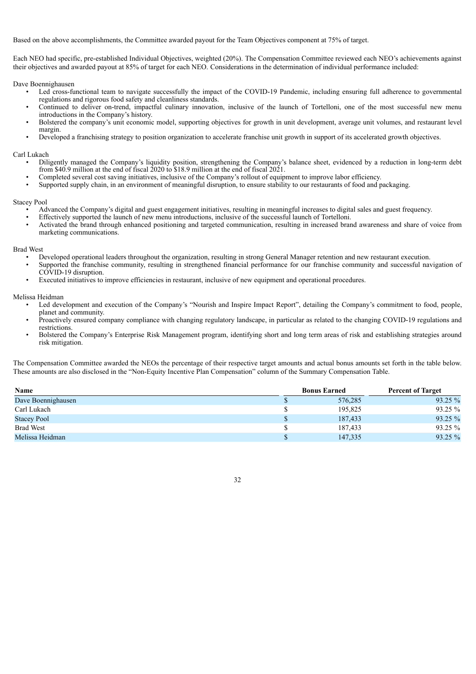Based on the above accomplishments, the Committee awarded payout for the Team Objectives component at 75% of target.

Each NEO had specific, pre-established Individual Objectives, weighted (20%). The Compensation Committee reviewed each NEO's achievements against their objectives and awarded payout at 85% of target for each NEO. Considerations in the determination of individual performance included:

Dave Boennighausen

- Led cross-functional team to navigate successfully the impact of the COVID-19 Pandemic, including ensuring full adherence to governmental regulations and rigorous food safety and cleanliness standards.
- Continued to deliver on-trend, impactful culinary innovation, inclusive of the launch of Tortelloni, one of the most successful new menu introductions in the Company's history.
- Bolstered the company's unit economic model, supporting objectives for growth in unit development, average unit volumes, and restaurant level margin.
- Developed a franchising strategy to position organization to accelerate franchise unit growth in support of its accelerated growth objectives.

# Carl Lukach

- Diligently managed the Company's liquidity position, strengthening the Company's balance sheet, evidenced by a reduction in long-term debt from \$40.9 million at the end of fiscal 2020 to \$18.9 million at the end of fiscal 2021.
- Completed several cost saving initiatives, inclusive of the Company's rollout of equipment to improve labor efficiency.
- Supported supply chain, in an environment of meaningful disruption, to ensure stability to our restaurants of food and packaging.

# Stacey Pool

- Advanced the Company's digital and guest engagement initiatives, resulting in meaningful increases to digital sales and guest frequency.
- Effectively supported the launch of new menu introductions, inclusive of the successful launch of Tortelloni.
- Activated the brand through enhanced positioning and targeted communication, resulting in increased brand awareness and share of voice from marketing communications.

# Brad West

- Developed operational leaders throughout the organization, resulting in strong General Manager retention and new restaurant execution.
- Supported the franchise community, resulting in strengthened financial performance for our franchise community and successful navigation of  $C\overrightarrow{O}$ VID-19 disruption.
- Executed initiatives to improve efficiencies in restaurant, inclusive of new equipment and operational procedures.

# Melissa Heidman

- Led development and execution of the Company's "Nourish and Inspire Impact Report", detailing the Company's commitment to food, people, planet and community.
- Proactively ensured company compliance with changing regulatory landscape, in particular as related to the changing COVID-19 regulations and restrictions.
- Bolstered the Company's Enterprise Risk Management program, identifying short and long term areas of risk and establishing strategies around risk mitigation.

The Compensation Committee awarded the NEOs the percentage of their respective target amounts and actual bonus amounts set forth in the table below. These amounts are also disclosed in the "Non-Equity Incentive Plan Compensation" column of the Summary Compensation Table.

| Name               | <b>Bonus Earned</b> | <b>Percent of Target</b> |
|--------------------|---------------------|--------------------------|
| Dave Boennighausen | 576,285             | 93.25 %                  |
| Carl Lukach        | 195,825             | 93.25 %                  |
| <b>Stacey Pool</b> | 187,433             | 93.25 %                  |
| <b>Brad West</b>   | 187.433             | 93.25 %                  |
| Melissa Heidman    | 147,335             | 93.25 %                  |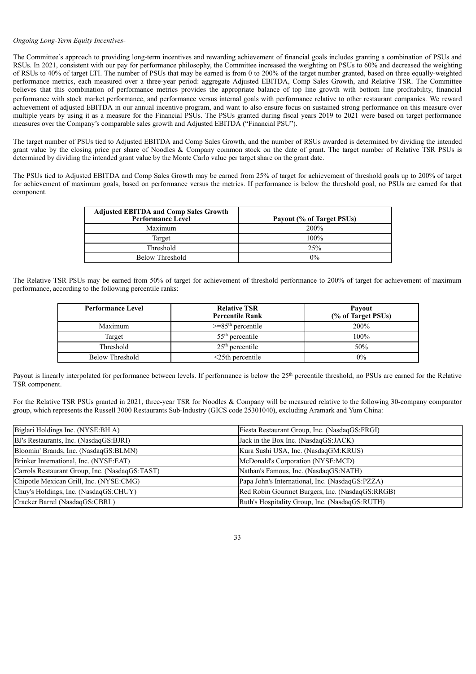# *Ongoing Long-Term Equity Incentives-*

The Committee's approach to providing long-term incentives and rewarding achievement of financial goals includes granting a combination of PSUs and RSUs. In 2021, consistent with our pay for performance philosophy, the Committee increased the weighting on PSUs to 60% and decreased the weighting of RSUs to 40% of target LTI. The number of PSUs that may be earned is from 0 to 200% of the target number granted, based on three equally-weighted performance metrics, each measured over a three-year period: aggregate Adjusted EBITDA, Comp Sales Growth, and Relative TSR. The Committee believes that this combination of performance metrics provides the appropriate balance of top line growth with bottom line profitability, financial performance with stock market performance, and performance versus internal goals with performance relative to other restaurant companies. We reward achievement of adjusted EBITDA in our annual incentive program, and want to also ensure focus on sustained strong performance on this measure over multiple years by using it as a measure for the Financial PSUs. The PSUs granted during fiscal years 2019 to 2021 were based on target performance measures over the Company's comparable sales growth and Adjusted EBITDA ("Financial PSU").

The target number of PSUs tied to Adjusted EBITDA and Comp Sales Growth, and the number of RSUs awarded is determined by dividing the intended grant value by the closing price per share of Noodles & Company common stock on the date of grant. The target number of Relative TSR PSUs is determined by dividing the intended grant value by the Monte Carlo value per target share on the grant date.

The PSUs tied to Adjusted EBITDA and Comp Sales Growth may be earned from 25% of target for achievement of threshold goals up to 200% of target for achievement of maximum goals, based on performance versus the metrics. If performance is below the threshold goal, no PSUs are earned for that component.

| <b>Adjusted EBITDA and Comp Sales Growth</b><br><b>Performance Level</b> | Payout (% of Target PSUs) |
|--------------------------------------------------------------------------|---------------------------|
| Maximum                                                                  | 200%                      |
| Target                                                                   | 100%                      |
| Threshold                                                                | $2.5\%$                   |
| <b>Below Threshold</b>                                                   | $0\%$                     |

The Relative TSR PSUs may be earned from 50% of target for achievement of threshold performance to 200% of target for achievement of maximum performance, according to the following percentile ranks:

| <b>Performance Level</b> | <b>Relative TSR</b><br><b>Percentile Rank</b> | Payout<br>(% of Target PSUs) |
|--------------------------|-----------------------------------------------|------------------------------|
| Maximum                  | $>=85th$ percentile                           | 200%                         |
| Target                   | $55th$ percentile                             | $100\%$                      |
| Threshold                | $25th$ percentile                             | 50%                          |
| Below Threshold          | $\leq$ 25th percentile                        | $0\%$                        |

Payout is linearly interpolated for performance between levels. If performance is below the 25<sup>th</sup> percentile threshold, no PSUs are earned for the Relative TSR component.

For the Relative TSR PSUs granted in 2021, three-year TSR for Noodles & Company will be measured relative to the following 30-company comparator group, which represents the Russell 3000 Restaurants Sub-Industry (GICS code 25301040), excluding Aramark and Yum China:

| Biglari Holdings Inc. (NYSE:BH.A)              | Fiesta Restaurant Group, Inc. (NasdaqGS:FRGI)   |
|------------------------------------------------|-------------------------------------------------|
| BJ's Restaurants, Inc. (NasdaqGS:BJRI)         | Jack in the Box Inc. (NasdagGS:JACK)            |
| Bloomin' Brands, Inc. (NasdaqGS:BLMN)          | Kura Sushi USA, Inc. (NasdaqGM:KRUS)            |
| Brinker International, Inc. (NYSE:EAT)         | McDonald's Corporation (NYSE:MCD)               |
| Carrols Restaurant Group, Inc. (NasdaqGS:TAST) | Nathan's Famous, Inc. (NasdaqGS:NATH)           |
| Chipotle Mexican Grill, Inc. (NYSE:CMG)        | Papa John's International, Inc. (NasdaqGS:PZZA) |
| Chuy's Holdings, Inc. (NasdaqGS:CHUY)          | Red Robin Gourmet Burgers, Inc. (NasdaqGS:RRGB) |
| Cracker Barrel (NasdaqGS:CBRL)                 | Ruth's Hospitality Group, Inc. (NasdaqGS:RUTH)  |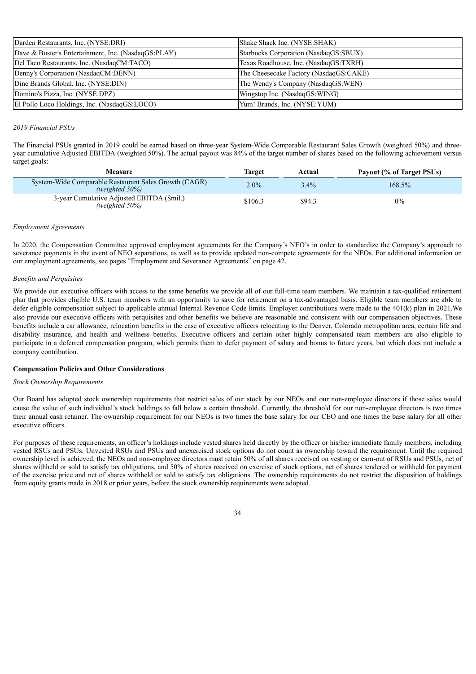| Darden Restaurants, Inc. (NYSE:DRI)                 | Shake Shack Inc. (NYSE:SHAK)           |
|-----------------------------------------------------|----------------------------------------|
| Dave & Buster's Entertainment, Inc. (NasdaqGS:PLAY) | Starbucks Corporation (NasdaqGS:SBUX)  |
| Del Taco Restaurants, Inc. (NasdaqCM:TACO)          | Texas Roadhouse, Inc. (NasdaqGS:TXRH)  |
| Denny's Corporation (NasdaqCM:DENN)                 | The Cheesecake Factory (NasdaqGS:CAKE) |
| Dine Brands Global, Inc. (NYSE:DIN)                 | The Wendy's Company (NasdaqGS:WEN)     |
| Domino's Pizza, Inc. (NYSE:DPZ)                     | Wingstop Inc. (NasdaqGS:WING)          |
| El Pollo Loco Holdings, Inc. (NasdaqGS:LOCO)        | Yum! Brands, Inc. (NYSE:YUM)           |

# *2019 Financial PSUs*

The Financial PSUs granted in 2019 could be earned based on three-year System-Wide Comparable Restaurant Sales Growth (weighted 50%) and threeyear cumulative Adjusted EBITDA (weighted 50%). The actual payout was 84% of the target number of shares based on the following achievement versus target goals:

| Measure                                                                     | Target  | Actual  | Payout (% of Target PSUs) |  |  |  |
|-----------------------------------------------------------------------------|---------|---------|---------------------------|--|--|--|
| System-Wide Comparable Restaurant Sales Growth (CAGR)<br>(weighted $50\%$ ) | $2.0\%$ | $3.4\%$ | 168.5%                    |  |  |  |
| 3-year Cumulative Adjusted EBITDA (\$mil.)<br>(weighted $50\%$ )            | \$106.3 | \$94.3  | 0%                        |  |  |  |

# *Employment Agreements*

In 2020, the Compensation Committee approved employment agreements for the Company's NEO's in order to standardize the Company's approach to severance payments in the event of NEO separations, as well as to provide updated non-compete agreements for the NEOs. For additional information on our employment agreements, see pages "Employment and Severance Agreements" on page 42.

# *Benefits and Perquisites*

We provide our executive officers with access to the same benefits we provide all of our full-time team members. We maintain a tax-qualified retirement plan that provides eligible U.S. team members with an opportunity to save for retirement on a tax-advantaged basis. Eligible team members are able to defer eligible compensation subject to applicable annual Internal Revenue Code limits. Employer contributions were made to the 401(k) plan in 2021.We also provide our executive officers with perquisites and other benefits we believe are reasonable and consistent with our compensation objectives. These benefits include a car allowance, relocation benefits in the case of executive officers relocating to the Denver, Colorado metropolitan area, certain life and disability insurance, and health and wellness benefits. Executive officers and certain other highly compensated team members are also eligible to participate in a deferred compensation program, which permits them to defer payment of salary and bonus to future years, but which does not include a company contribution.

# **Compensation Policies and Other Considerations**

# *Stock Ownership Requirements*

Our Board has adopted stock ownership requirements that restrict sales of our stock by our NEOs and our non-employee directors if those sales would cause the value of such individual's stock holdings to fall below a certain threshold. Currently, the threshold for our non-employee directors is two times their annual cash retainer. The ownership requirement for our NEOs is two times the base salary for our CEO and one times the base salary for all other executive officers.

For purposes of these requirements, an officer's holdings include vested shares held directly by the officer or his/her immediate family members, including vested RSUs and PSUs. Unvested RSUs and PSUs and unexercised stock options do not count as ownership toward the requirement. Until the required ownership level is achieved, the NEOs and non-employee directors must retain 50% of all shares received on vesting or earn-out of RSUs and PSUs, net of shares withheld or sold to satisfy tax obligations, and 50% of shares received on exercise of stock options, net of shares tendered or withheld for payment of the exercise price and net of shares withheld or sold to satisfy tax obligations. The ownership requirements do not restrict the disposition of holdings from equity grants made in 2018 or prior years, before the stock ownership requirements were adopted.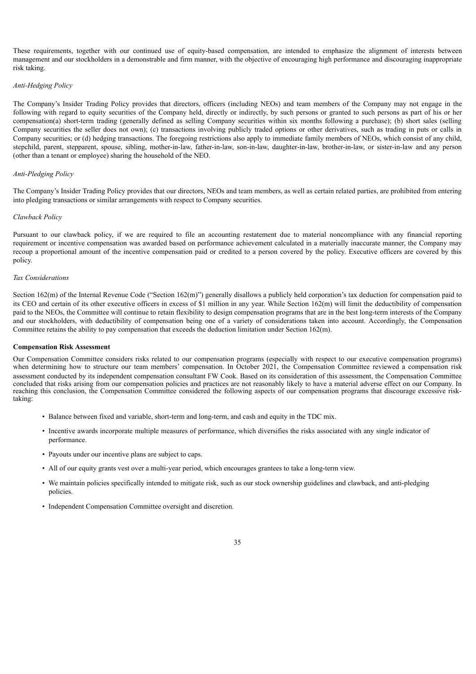These requirements, together with our continued use of equity-based compensation, are intended to emphasize the alignment of interests between management and our stockholders in a demonstrable and firm manner, with the objective of encouraging high performance and discouraging inappropriate risk taking.

# *Anti-Hedging Policy*

The Company's Insider Trading Policy provides that directors, officers (including NEOs) and team members of the Company may not engage in the following with regard to equity securities of the Company held, directly or indirectly, by such persons or granted to such persons as part of his or her compensation(a) short-term trading (generally defined as selling Company securities within six months following a purchase); (b) short sales (selling Company securities the seller does not own); (c) transactions involving publicly traded options or other derivatives, such as trading in puts or calls in Company securities; or (d) hedging transactions. The foregoing restrictions also apply to immediate family members of NEOs, which consist of any child, stepchild, parent, stepparent, spouse, sibling, mother-in-law, father-in-law, son-in-law, daughter-in-law, brother-in-law, or sister-in-law and any person (other than a tenant or employee) sharing the household of the NEO.

## *Anti-Pledging Policy*

The Company's Insider Trading Policy provides that our directors, NEOs and team members, as well as certain related parties, are prohibited from entering into pledging transactions or similar arrangements with respect to Company securities.

#### *Clawback Policy*

Pursuant to our clawback policy, if we are required to file an accounting restatement due to material noncompliance with any financial reporting requirement or incentive compensation was awarded based on performance achievement calculated in a materially inaccurate manner, the Company may recoup a proportional amount of the incentive compensation paid or credited to a person covered by the policy. Executive officers are covered by this policy.

## *Tax Considerations*

Section 162(m) of the Internal Revenue Code ("Section 162(m)") generally disallows a publicly held corporation's tax deduction for compensation paid to its CEO and certain of its other executive officers in excess of \$1 million in any year. While Section 162(m) will limit the deductibility of compensation paid to the NEOs, the Committee will continue to retain flexibility to design compensation programs that are in the best long-term interests of the Company and our stockholders, with deductibility of compensation being one of a variety of considerations taken into account. Accordingly, the Compensation Committee retains the ability to pay compensation that exceeds the deduction limitation under Section 162(m).

#### **Compensation Risk Assessment**

Our Compensation Committee considers risks related to our compensation programs (especially with respect to our executive compensation programs) when determining how to structure our team members' compensation. In October 2021, the Compensation Committee reviewed a compensation risk assessment conducted by its independent compensation consultant FW Cook. Based on its consideration of this assessment, the Compensation Committee concluded that risks arising from our compensation policies and practices are not reasonably likely to have a material adverse effect on our Company. In reaching this conclusion, the Compensation Committee considered the following aspects of our compensation programs that discourage excessive risktaking:

- Balance between fixed and variable, short-term and long-term, and cash and equity in the TDC mix.
- Incentive awards incorporate multiple measures of performance, which diversifies the risks associated with any single indicator of performance.
- Payouts under our incentive plans are subject to caps.
- All of our equity grants vest over a multi-year period, which encourages grantees to take a long-term view.
- We maintain policies specifically intended to mitigate risk, such as our stock ownership guidelines and clawback, and anti-pledging policies.
- <span id="page-39-0"></span>• Independent Compensation Committee oversight and discretion.
	- 35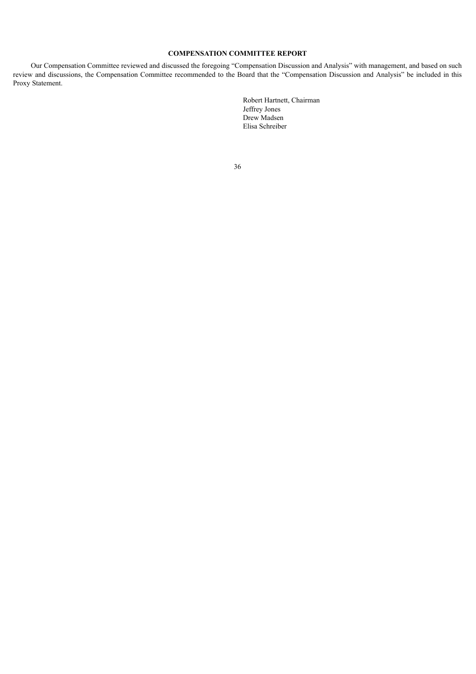# **COMPENSATION COMMITTEE REPORT**

<span id="page-40-0"></span>Our Compensation Committee reviewed and discussed the foregoing "Compensation Discussion and Analysis" with management, and based on such review and discussions, the Compensation Committee recommended to the Board that the "Compensation Discussion and Analysis" be included in this Proxy Statement.

> Robert Hartnett, Chairman Jeffrey Jones Drew Madsen Elisa Schreiber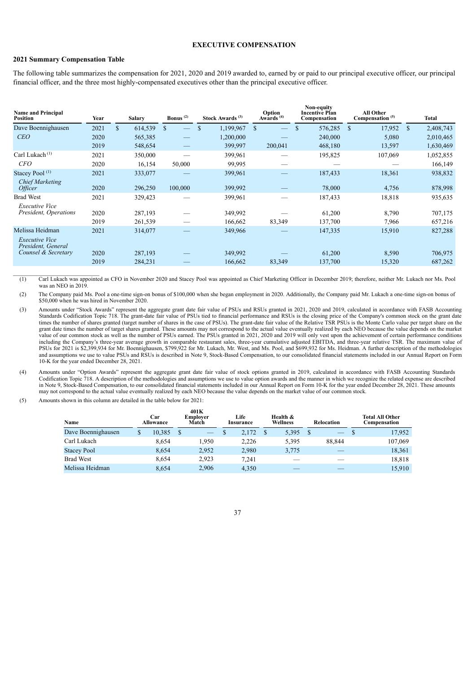# **EXECUTIVE COMPENSATION**

# **2021 Summary Compensation Table**

\_\_\_\_\_\_\_\_\_\_\_\_\_\_\_\_\_\_\_\_\_\_\_\_\_\_\_\_\_\_

The following table summarizes the compensation for 2021, 2020 and 2019 awarded to, earned by or paid to our principal executive officer, our principal financial officer, and the three most highly-compensated executives other than the principal executive officer.

| <b>Name and Principal</b><br>Position           | Year | <b>Salary</b>           | Bonus $(2)$                        | Stock Awards <sup>(3)</sup> | Option<br>Awards $(4)$ | Non-equity<br><b>Incentive Plan</b><br>Compensation | All Other<br>Compensation <sup>(5)</sup> | Total                      |
|-------------------------------------------------|------|-------------------------|------------------------------------|-----------------------------|------------------------|-----------------------------------------------------|------------------------------------------|----------------------------|
| Dave Boennighausen                              | 2021 | $\mathbf{s}$<br>614,539 | <sup>\$</sup><br>$\qquad \qquad -$ | 1,199,967<br>\$             | \$.                    | 576,285<br>$\mathbf S$                              | 17,952<br><sup>\$</sup>                  | 2,408,743<br><sup>\$</sup> |
| CEO                                             | 2020 | 565,385                 |                                    | 1,200,000                   |                        | 240,000                                             | 5,080                                    | 2,010,465                  |
|                                                 | 2019 | 548,654                 |                                    | 399,997                     | 200,041                | 468,180                                             | 13,597                                   | 1,630,469                  |
| Carl Lukach <sup>(1)</sup>                      | 2021 | 350,000                 |                                    | 399,961                     |                        | 195,825                                             | 107,069                                  | 1,052,855                  |
| <b>CFO</b>                                      | 2020 | 16,154                  | 50,000                             | 99,995                      |                        |                                                     |                                          | 166,149                    |
| Stacey Pool <sup>(1)</sup>                      | 2021 | 333,077                 |                                    | 399,961                     |                        | 187,433                                             | 18,361                                   | 938,832                    |
| <b>Chief Marketing</b><br><i><b>Officer</b></i> | 2020 | 296,250                 | 100,000                            | 399,992                     |                        | 78,000                                              | 4,756                                    | 878,998                    |
| <b>Brad West</b><br><b>Executive Vice</b>       | 2021 | 329,423                 | –                                  | 399,961                     |                        | 187,433                                             | 18,818                                   | 935,635                    |
| President, Operations                           | 2020 | 287,193                 |                                    | 349,992                     |                        | 61,200                                              | 8,790                                    | 707,175                    |
|                                                 | 2019 | 261,539                 |                                    | 166,662                     | 83,349                 | 137,700                                             | 7,966                                    | 657,216                    |
| Melissa Heidman<br><i>Executive Vice</i>        | 2021 | 314,077                 |                                    | 349,966                     |                        | 147,335                                             | 15,910                                   | 827,288                    |
| President, General                              |      |                         |                                    |                             |                        |                                                     |                                          |                            |
| Counsel & Secretary                             | 2020 | 287,193                 |                                    | 349,992                     |                        | 61,200                                              | 8,590                                    | 706,975                    |
|                                                 | 2019 | 284,231                 |                                    | 166,662                     | 83,349                 | 137,700                                             | 15,320                                   | 687,262                    |

(1) Carl Lukach was appointed as CFO in November 2020 and Stacey Pool was appointed as Chief Marketing Officer in December 2019; therefore, neither Mr. Lukach nor Ms. Pool was an NEO in 2019

(2) The Company paid Ms. Pool a one-time sign-on bonus of \$100,000 when she began employment in 2020. Additionally, the Company paid Mr. Lukach a one-time sign-on bonus of \$50,000 when he was hired in November 2020.

(3) Amounts under "Stock Awards" represent the aggregate grant date fair value of PSUs and RSUs granted in 2021, 2020 and 2019, calculated in accordance with FASB Accounting Standards Codification Topic 718. The grant-date fair value of PSUs tied to financial performance and RSUs is the closing price of the Company's common stock on the grant date times the number of shares granted (target number of shares in the case of PSUs). The grant-date fair value of the Relative TSR PSUs is the Monte Carlo value per target share on the grant date times the number of target shares granted. These amounts may not correspond to the actual value eventually realized by each NEO because the value depends on the market value of our common stock as well as the number of PSUs earned. The PSUs granted in 2021, 2020 and 2019 will only vest upon the achievement of certain performance conditions including the Company's three-year average growth in comparable restaurant sales, three-year cumulative adjusted EBITDA, and three-year relative TSR. The maximum value of PSUs for 2021 is \$2,399,934 for Mr. Boennighausen, \$799,922 for Mr. Lukach, Mr. West, and Ms. Pool, and \$699,932 for Ms. Heidman. A further description of the methodologies and assumptions we use to value PSUs and RSUs is described in Note 9, Stock-Based Compensation, to our consolidated financial statements included in our Annual Report on Form 10-K for the year ended December 28, 2021.

(4) Amounts under "Option Awards" represent the aggregate grant date fair value of stock options granted in 2019, calculated in accordance with FASB Accounting Standards Codification Topic 718. A description of the methodologies and assumptions we use to value option awards and the manner in which we recognize the related expense are described in Note 9, Stock-Based Compensation, to our consolidated financial statements included in our Annual Report on Form 10-K for the year ended December 28, 2021. These amounts may not correspond to the actual value eventually realized by each NEO because the value depends on the market value of our common stock.

(5) Amounts shown in this column are detailed in the table below for 2021:

| Name               | Car<br><b>Allowance</b> |        | 401K<br>Emplover<br>Match |       | Life<br>Insurance |  | Health &<br>Wellness |  | Relocation               |  | <b>Total All Other</b><br>Compensation |
|--------------------|-------------------------|--------|---------------------------|-------|-------------------|--|----------------------|--|--------------------------|--|----------------------------------------|
| Dave Boennighausen | \$                      | 10,385 |                           |       | 2.172             |  | 5,395                |  | $\overline{\phantom{0}}$ |  | 17,952                                 |
| Carl Lukach        |                         | 8.654  |                           | 1.950 | 2,226             |  | 5,395                |  | 88.844                   |  | 107,069                                |
| <b>Stacey Pool</b> |                         | 8.654  |                           | 2,952 | 2,980             |  | 3,775                |  |                          |  | 18,361                                 |
| <b>Brad West</b>   |                         | 8.654  |                           | 2,923 | 7.241             |  |                      |  |                          |  | 18,818                                 |
| Melissa Heidman    |                         | 8.654  |                           | 2,906 | 4.350             |  |                      |  |                          |  | 15.910                                 |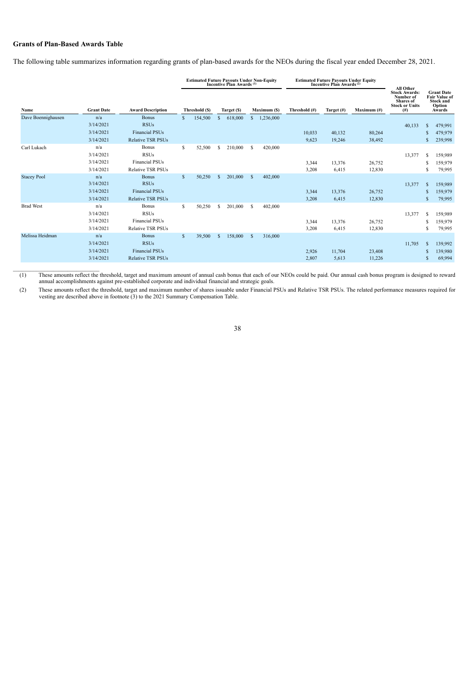# **Grants of Plan-Based Awards Table**

The following table summarizes information regarding grants of plan-based awards for the NEOs during the fiscal year ended December 28, 2021.

|                    |                   |                          |              | <b>Estimated Future Payouts Under Non-Equity<br/>Incentive Plan Awards</b> (1) |               |             |              |              | <b>Estimated Future Payouts Under Equity<br/>Incentive Plan Awards</b> <sup>(2)</sup> | All Other  |                |                                                                                        |               |                                                                                   |
|--------------------|-------------------|--------------------------|--------------|--------------------------------------------------------------------------------|---------------|-------------|--------------|--------------|---------------------------------------------------------------------------------------|------------|----------------|----------------------------------------------------------------------------------------|---------------|-----------------------------------------------------------------------------------|
| Name               | <b>Grant Date</b> | <b>Award Description</b> |              | Threshold (\$)                                                                 |               | Target (\$) |              | Maximum (\$) | Threshold (#)                                                                         | Target (#) | Maximum $(\#)$ | <b>Stock Awards:</b><br>Number of<br><b>Shares</b> of<br><b>Stock or Units</b><br>(# ) |               | <b>Grant Date</b><br><b>Fair Value of</b><br><b>Stock and</b><br>Option<br>Awards |
| Dave Boennighausen | n/a               | <b>Bonus</b>             |              | 154,500                                                                        | S             | 618,000     | S.           | 1,236,000    |                                                                                       |            |                |                                                                                        |               |                                                                                   |
|                    | 3/14/2021         | <b>RSUs</b>              |              |                                                                                |               |             |              |              |                                                                                       |            |                | 40,133                                                                                 | £.            | 479,991                                                                           |
|                    | 3/14/2021         | <b>Financial PSUs</b>    |              |                                                                                |               |             |              |              | 10.033                                                                                | 40,132     | 80,264         |                                                                                        | S             | 479,979                                                                           |
|                    | 3/14/2021         | <b>Relative TSR PSUs</b> |              |                                                                                |               |             |              |              | 9,623                                                                                 | 19,246     | 38,492         |                                                                                        | S             | 239,998                                                                           |
| Carl Lukach        | n/a               | <b>Bonus</b>             | S            | 52,500                                                                         | s             | 210,000     | S.           | 420,000      |                                                                                       |            |                |                                                                                        |               |                                                                                   |
|                    | 3/14/2021         | <b>RSUs</b>              |              |                                                                                |               |             |              |              |                                                                                       |            |                | 13,377                                                                                 | S             | 159,989                                                                           |
|                    | 3/14/2021         | <b>Financial PSUs</b>    |              |                                                                                |               |             |              |              | 3,344                                                                                 | 13,376     | 26,752         |                                                                                        | S             | 159,979                                                                           |
|                    | 3/14/2021         | <b>Relative TSR PSUs</b> |              |                                                                                |               |             |              |              | 3,208                                                                                 | 6,415      | 12,830         |                                                                                        | S             | 79,995                                                                            |
| <b>Stacey Pool</b> | n/a               | <b>Bonus</b>             | <sup>S</sup> | 50,250                                                                         | <sup>\$</sup> | 201,000     | <sup>S</sup> | 402,000      |                                                                                       |            |                |                                                                                        |               |                                                                                   |
|                    | 3/14/2021         | <b>RSUs</b>              |              |                                                                                |               |             |              |              |                                                                                       |            |                | 13,377                                                                                 | <b>S</b>      | 159,989                                                                           |
|                    | 3/14/2021         | <b>Financial PSUs</b>    |              |                                                                                |               |             |              |              | 3,344                                                                                 | 13,376     | 26,752         |                                                                                        | S             | 159,979                                                                           |
|                    | 3/14/2021         | <b>Relative TSR PSUs</b> |              |                                                                                |               |             |              |              | 3,208                                                                                 | 6,415      | 12,830         |                                                                                        | S.            | 79,995                                                                            |
| <b>Brad West</b>   | n/a               | <b>Bonus</b>             | S            | 50,250                                                                         | s             | 201,000     | S.           | 402,000      |                                                                                       |            |                |                                                                                        |               |                                                                                   |
|                    | 3/14/2021         | <b>RSUs</b>              |              |                                                                                |               |             |              |              |                                                                                       |            |                | 13,377                                                                                 | S             | 159,989                                                                           |
|                    | 3/14/2021         | <b>Financial PSUs</b>    |              |                                                                                |               |             |              |              | 3,344                                                                                 | 13,376     | 26,752         |                                                                                        | S             | 159,979                                                                           |
|                    | 3/14/2021         | <b>Relative TSR PSUs</b> |              |                                                                                |               |             |              |              | 3,208                                                                                 | 6,415      | 12,830         |                                                                                        | s             | 79,995                                                                            |
| Melissa Heidman    | n/a               | <b>Bonus</b>             | $\mathbf{s}$ | 39,500                                                                         | S             | 158,000     | S            | 316,000      |                                                                                       |            |                |                                                                                        |               |                                                                                   |
|                    | 3/14/2021         | <b>RSUs</b>              |              |                                                                                |               |             |              |              |                                                                                       |            |                | 11,705                                                                                 | <sup>\$</sup> | 139,992                                                                           |
|                    | 3/14/2021         | <b>Financial PSUs</b>    |              |                                                                                |               |             |              |              | 2,926                                                                                 | 11,704     | 23,408         |                                                                                        |               | 139,980                                                                           |
|                    | 3/14/2021         | <b>Relative TSR PSUs</b> |              |                                                                                |               |             |              |              | 2,807                                                                                 | 5,613      | 11,226         |                                                                                        | S             | 69,994                                                                            |

(1) These amounts reflect the threshold, target and maximum amount of annual cash bonus that each of our NEOs could be paid. Our annual cash bonus program is designed to reward annual accomplishments against pre-established corporate and individual financial and strategic goals.

(2) These amounts reflect the threshold, target and maximum number of shares issuable under Financial PSUs and Relative TSR PSUs. The related performance measures required for vesting are described above in footnote (3) to the 2021 Summary Compensation Table.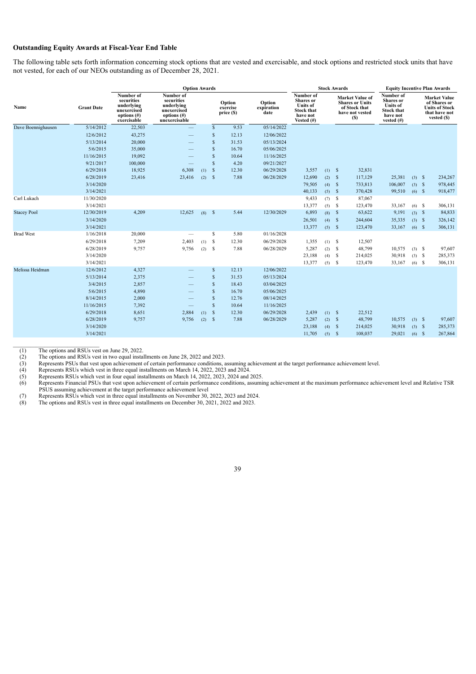# **Outstanding Equity Awards at Fiscal-Year End Table**

The following table sets forth information concerning stock options that are vested and exercisable, and stock options and restricted stock units that have not vested, for each of our NEOs outstanding as of December 28, 2021.

|                    |                        |                                                                                       | <b>Option Awards</b>                                                                    |     |               |                                  |                              |                                                                                                    |                     | <b>Stock Awards</b> |                                                                                             | <b>Equity Incentive Plan Awards</b>                                                             |                  |                                                                                               |
|--------------------|------------------------|---------------------------------------------------------------------------------------|-----------------------------------------------------------------------------------------|-----|---------------|----------------------------------|------------------------------|----------------------------------------------------------------------------------------------------|---------------------|---------------------|---------------------------------------------------------------------------------------------|-------------------------------------------------------------------------------------------------|------------------|-----------------------------------------------------------------------------------------------|
| Name               | <b>Grant Date</b>      | Number of<br>securities<br>underlying<br>unexercised<br>options $(\#)$<br>exercisable | Number of<br>securities<br>underlying<br>unexercised<br>options $(\#)$<br>unexercisable |     |               | Option<br>exercise<br>price (\$) | Option<br>expiration<br>date | Number of<br><b>Shares</b> or<br><b>Units of</b><br><b>Stock that</b><br>have not<br>Vested $(\#)$ |                     |                     | <b>Market Value of</b><br><b>Shares or Units</b><br>of Stock that<br>have not vested<br>(S) | Number of<br><b>Shares</b> or<br><b>Units of</b><br><b>Stock that</b><br>have not<br>vested (#) |                  | <b>Market Value</b><br>of Shares or<br><b>Units of Stock</b><br>that have not<br>vested $(S)$ |
| Dave Boennighausen | 5/14/2012              | 22,503                                                                                |                                                                                         |     | $\mathbf{s}$  | 9.53                             | 05/14/2022                   |                                                                                                    |                     |                     |                                                                                             |                                                                                                 |                  |                                                                                               |
|                    | 12/6/2012              | 43,275                                                                                |                                                                                         |     | $\mathbf{s}$  | 12.13                            | 12/06/2022                   |                                                                                                    |                     |                     |                                                                                             |                                                                                                 |                  |                                                                                               |
|                    | 5/13/2014              | 20,000                                                                                |                                                                                         |     | <sup>S</sup>  | 31.53                            | 05/13/2024                   |                                                                                                    |                     |                     |                                                                                             |                                                                                                 |                  |                                                                                               |
|                    | 5/6/2015               | 35,000                                                                                |                                                                                         |     | <sup>\$</sup> | 16.70                            | 05/06/2025                   |                                                                                                    |                     |                     |                                                                                             |                                                                                                 |                  |                                                                                               |
|                    | 11/16/2015             | 19,092                                                                                |                                                                                         |     | <sup>S</sup>  | 10.64                            | 11/16/2025                   |                                                                                                    |                     |                     |                                                                                             |                                                                                                 |                  |                                                                                               |
|                    | 9/21/2017              | 100,000                                                                               |                                                                                         |     | <sup>S</sup>  | 4.20                             | 09/21/2027                   |                                                                                                    |                     |                     |                                                                                             |                                                                                                 |                  |                                                                                               |
|                    | 6/29/2018              | 18,925                                                                                | 6,308                                                                                   | (1) | $\mathbf{s}$  | 12.30                            | 06/29/2028                   | 3,557                                                                                              | $(1)$ \$            |                     | 32,831                                                                                      |                                                                                                 |                  |                                                                                               |
|                    | 6/28/2019              | 23,416                                                                                | 23,416                                                                                  |     | $(2)$ \$      | 7.88                             | 06/28/2029                   | 12,690                                                                                             | $(2)$ \$            |                     | 117,129                                                                                     | 25,381                                                                                          | $(3)$ \$         | 234,267                                                                                       |
|                    | 3/14/2020              |                                                                                       |                                                                                         |     |               |                                  |                              | 79,505                                                                                             | $(4)$ \$            |                     | 733,813                                                                                     | 106,007                                                                                         | $(3)$ $\sqrt{5}$ | 978,445                                                                                       |
|                    | 3/14/2021              |                                                                                       |                                                                                         |     |               |                                  |                              | 40,133                                                                                             | $(5)$ \$            |                     | 370,428                                                                                     | 99,510                                                                                          | $(6)$ \$         | 918,477                                                                                       |
| Carl Lukach        | 11/30/2020             |                                                                                       |                                                                                         |     |               |                                  |                              | 9,433                                                                                              | $(7)$ \$            |                     | 87,067                                                                                      |                                                                                                 |                  |                                                                                               |
|                    | 3/14/2021              |                                                                                       |                                                                                         |     |               |                                  |                              | 13,377                                                                                             | $(5)$ \$            |                     | 123,470                                                                                     | 33,167                                                                                          | $(6)$ \$         | 306,131                                                                                       |
| <b>Stacey Pool</b> | 12/30/2019             | 4,209                                                                                 | 12,625                                                                                  |     | $(8)$ \$      | 5.44                             | 12/30/2029                   | 6,893                                                                                              | $(8)$ $\frac{1}{5}$ |                     | 63,622                                                                                      | 9,191                                                                                           | $(3)$ \$         | 84,833                                                                                        |
|                    | 3/14/2020              |                                                                                       |                                                                                         |     |               |                                  |                              | 26,501                                                                                             | $(4)$ \$            |                     | 244,604                                                                                     | 35,335                                                                                          | $(3)$ \$         | 326,142                                                                                       |
|                    | 3/14/2021              |                                                                                       |                                                                                         |     |               |                                  |                              | 13,377                                                                                             | $(5)$ \$            |                     | 123,470                                                                                     | 33,167                                                                                          | $(6)$ \$         | 306,131                                                                                       |
| <b>Brad West</b>   | 1/16/2018              | 20,000                                                                                |                                                                                         |     | $\mathbf S$   | 5.80                             | 01/16/2028                   |                                                                                                    |                     |                     |                                                                                             |                                                                                                 |                  |                                                                                               |
|                    | 6/29/2018              | 7,209                                                                                 | 2,403                                                                                   | (1) | $\mathbf{s}$  | 12.30                            | 06/29/2028                   | 1,355                                                                                              | $(1)$ \$            |                     | 12,507                                                                                      |                                                                                                 |                  |                                                                                               |
|                    | 6/28/2019              | 9,757                                                                                 | 9,756                                                                                   | (2) | -S            | 7.88                             | 06/28/2029                   | 5,287                                                                                              | $(2)$ \$            |                     | 48,799                                                                                      | 10,575                                                                                          | $(3)$ \$         | 97,607                                                                                        |
|                    | 3/14/2020<br>3/14/2021 |                                                                                       |                                                                                         |     |               |                                  |                              | 23,188<br>13,377                                                                                   | $(4)$ \$            |                     | 214,025                                                                                     | 30,918                                                                                          | $(3)$ \$         | 285,373<br>306,131                                                                            |
| Melissa Heidman    | 12/6/2012              | 4,327                                                                                 |                                                                                         |     | $\mathbf{s}$  | 12.13                            | 12/06/2022                   |                                                                                                    | $(5)$ \$            |                     | 123,470                                                                                     | 33,167                                                                                          | $(6)$ \$         |                                                                                               |
|                    |                        |                                                                                       |                                                                                         |     | <sup>S</sup>  |                                  |                              |                                                                                                    |                     |                     |                                                                                             |                                                                                                 |                  |                                                                                               |
|                    | 5/13/2014<br>3/4/2015  | 2,375<br>2,857                                                                        |                                                                                         |     | $\mathcal{S}$ | 31.53<br>18.43                   | 05/13/2024<br>03/04/2025     |                                                                                                    |                     |                     |                                                                                             |                                                                                                 |                  |                                                                                               |
|                    | 5/6/2015               | 4,890                                                                                 |                                                                                         |     | $\mathbf{s}$  | 16.70                            | 05/06/2025                   |                                                                                                    |                     |                     |                                                                                             |                                                                                                 |                  |                                                                                               |
|                    | 8/14/2015              | 2,000                                                                                 |                                                                                         |     | $\mathbf{s}$  | 12.76                            | 08/14/2025                   |                                                                                                    |                     |                     |                                                                                             |                                                                                                 |                  |                                                                                               |
|                    | 11/16/2015             | 7,392                                                                                 |                                                                                         |     | $\mathbf{s}$  | 10.64                            | 11/16/2025                   |                                                                                                    |                     |                     |                                                                                             |                                                                                                 |                  |                                                                                               |
|                    | 6/29/2018              | 8,651                                                                                 | 2,884                                                                                   | (1) | $\mathbf{s}$  | 12.30                            | 06/29/2028                   | 2,439                                                                                              | $(1)$ \$            |                     | 22,512                                                                                      |                                                                                                 |                  |                                                                                               |
|                    | 6/28/2019              | 9,757                                                                                 | 9,756                                                                                   |     | $(2)$ \$      | 7.88                             | 06/28/2029                   | 5,287                                                                                              | $(2)$ \$            |                     | 48,799                                                                                      | 10,575                                                                                          | $(3)$ \$         | 97,607                                                                                        |
|                    | 3/14/2020              |                                                                                       |                                                                                         |     |               |                                  |                              | 23,188                                                                                             | $(4)$ \$            |                     | 214,025                                                                                     | 30,918                                                                                          | $(3)$ \$         | 285,373                                                                                       |
|                    | 3/14/2021              |                                                                                       |                                                                                         |     |               |                                  |                              | 11,705                                                                                             | $(5)$ \$            |                     | 108,037                                                                                     | 29,021                                                                                          | $(6)$ \$         | 267,864                                                                                       |
|                    |                        |                                                                                       |                                                                                         |     |               |                                  |                              |                                                                                                    |                     |                     |                                                                                             |                                                                                                 |                  |                                                                                               |

(1) The options and RSUs vest on June 29, 2022.

(1) The options and RSUs vest on June 29, 2022.<br>
(2) The options and RSUs vest in two equal installments on June 28, 2022 and 2023.<br>
(3) Represents PSUs that vest upon achievement of certain performance conditions,<br>
(4) R

(3) Represents PSUs that vest upon achievement of certain performance conditions, assuming achievement at the target performance achievement level.

Represents RSUs which vest in three equal installments on March 14, 2022, 2023 and 2024.

(5) Represents RSUs which vest in four equal installments on March 14, 2022, 2023, 2024 and 2025.

(6) Represents Financial PSUs that vest upon achievement of certain performance conditions, assuming achievement at the maximum performance achievement level and Relative TSR PSUS assuming achievement at the target performance achievement level

(7) Represents RSUs which vest in three equal installments on November 30, 2022, 2023 and 2024.

(8) The options and RSUs vest in three equal installments on December 30, 2021, 2022 and 2023.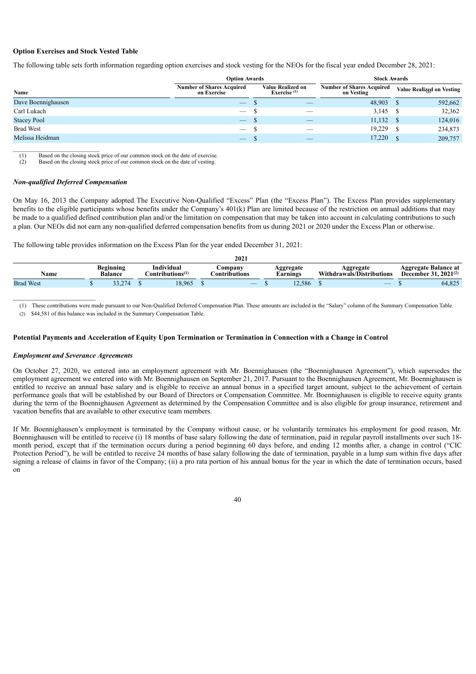# **Option Exercises and Stock Vested Table**

The following table sets forth information regarding option exercises and stock vesting for the NEOs for the fiscal year ended December 28, 2021:

|                    | <b>Option Awards</b>                            |                                            | <b>Stock Awards</b>                            |                           |
|--------------------|-------------------------------------------------|--------------------------------------------|------------------------------------------------|---------------------------|
| Name               | <b>Number of Shares Acquired</b><br>on Exercise | <b>Value Realized on</b><br>Exercise $(1)$ | <b>Number of Shares Acquired</b><br>on Vesting | Value Realized on Vesting |
| Dave Boennighausen | $\overbrace{\phantom{13333}}$                   |                                            | 48,903                                         | 592,662                   |
| Carl Lukach        | $\overline{\phantom{0}}$                        |                                            | 3,145                                          | 32,362                    |
| <b>Stacey Pool</b> | $\overline{\phantom{0}}$                        |                                            | 11,132                                         | 124,016                   |
| <b>Brad West</b>   |                                                 |                                            | 19,229                                         | 234,873                   |
| Melissa Heidman    | $\overbrace{\phantom{13333}}$                   |                                            | 17,220                                         | 209,757                   |

(1) Based on the closing stock price of our common stock on the date of exercise.

 $(2)$  Based on the closing stock price of our common stock on the date of vesting.

# *Non-qualified Deferred Compensation*

On May 16, 2013 the Company adopted The Executive Non-Qualified "Excess" Plan (the "Excess Plan"). The Excess Plan provides supplementary benefits to the eligible participants whose benefits under the Company's 401(k) Plan are limited because of the restriction on annual additions that may be made to a qualified defined contribution plan and/or the limitation on compensation that may be taken into account in calculating contributions to such a plan. Our NEOs did not earn any non-qualified deferred compensation benefits from us during 2021 or 2020 under the Excess Plan or otherwise.

The following table provides information on the Excess Plan for the year ended December 31, 2021:

|                  |                                    |                                                               | 2021                    |                       |                                        |          |                                             |
|------------------|------------------------------------|---------------------------------------------------------------|-------------------------|-----------------------|----------------------------------------|----------|---------------------------------------------|
| Name             | <b>Beginning</b><br><b>Balance</b> | Individual<br>$^{\bullet}$ .<br>.'ontributions <sup>(1)</sup> | ompany<br>Contributions | Aggregate<br>Larnings | Aggregate<br>Withdrawals/Distributions | December | <b>Aggregate Balance at</b><br>$2021^{(2)}$ |
| <b>Brad West</b> | $\sqrt{2}$<br>ے ۔ ۔                | 18,965                                                        |                         | 12.586                |                                        |          | 64,825                                      |

(1) These contributions were made pursuant to our Non-Qualified Deferred Compensation Plan. These amounts are included in the "Salary" column of the Summary Compensation Table.

(2) \$44,581 of this balance was included in the Summary Compensation Table.

#### Potential Payments and Acceleration of Equity Upon Termination or Termination in Connection with a Change in Control

# *Employment and Severance Agreements*

 $\_$ 

On October 27, 2020, we entered into an employment agreement with Mr. Boennighausen (the "Boennighausen Agreement"), which supersedes the employment agreement we entered into with Mr. Boennighausen on September 21, 2017. Pursuant to the Boennighausen Agreement, Mr. Boennighausen is entitled to receive an annual base salary and is eligible to receive an annual bonus in a specified target amount, subject to the achievement of certain performance goals that will be established by our Board of Directors or Compensation Committee. Mr. Boennighausen is eligible to receive equity grants during the term of the Boennighausen Agreement as determined by the Compensation Committee and is also eligible for group insurance, retirement and vacation benefits that are available to other executive team members.

If Mr. Boennighausen's employment is terminated by the Company without cause, or he voluntarily terminates his employment for good reason, Mr. Boennighausen will be entitled to receive (i) 18 months of base salary following the date of termination, paid in regular payroll installments over such 18month period, except that if the termination occurs during a period beginning 60 days before, and ending 12 months after, a change in control ("CIC Protection Period"), he will be entitled to receive 24 months of base salary following the date of termination, payable in a lump sum within five days after signing a release of claims in favor of the Company; (ii) a pro rata portion of his annual bonus for the year in which the date of termination occurs, based on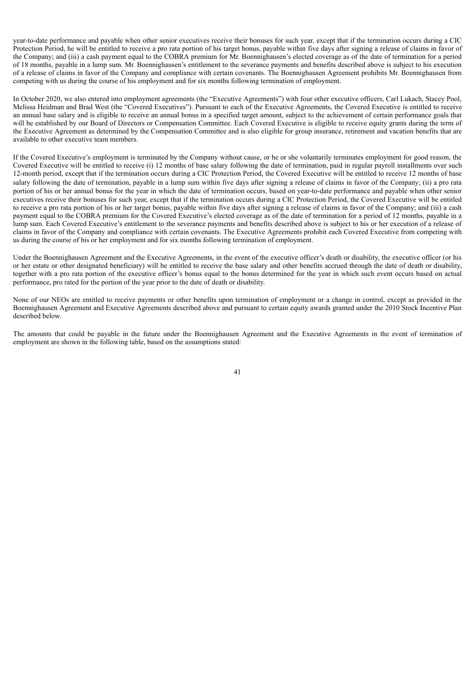year-to-date performance and payable when other senior executives receive their bonuses for such year, except that if the termination occurs during a CIC Protection Period, he will be entitled to receive a pro rata portion of his target bonus, payable within five days after signing a release of claims in favor of the Company; and (iii) a cash payment equal to the COBRA premium for Mr. Boennighausen's elected coverage as of the date of termination for a period of 18 months, payable in a lump sum. Mr. Boennighausen's entitlement to the severance payments and benefits described above is subject to his execution of a release of claims in favor of the Company and compliance with certain covenants. The Boennighausen Agreement prohibits Mr. Boennighausen from competing with us during the course of his employment and for six months following termination of employment.

In October 2020, we also entered into employment agreements (the "Executive Agreements") with four other executive officers, Carl Lukach, Stacey Pool, Melissa Heidman and Brad West (the "Covered Executives"). Pursuant to each of the Executive Agreements, the Covered Executive is entitled to receive an annual base salary and is eligible to receive an annual bonus in a specified target amount, subject to the achievement of certain performance goals that will be established by our Board of Directors or Compensation Committee. Each Covered Executive is eligible to receive equity grants during the term of the Executive Agreement as determined by the Compensation Committee and is also eligible for group insurance, retirement and vacation benefits that are available to other executive team members.

If the Covered Executive's employment is terminated by the Company without cause, or he or she voluntarily terminates employment for good reason, the Covered Executive will be entitled to receive (i) 12 months of base salary following the date of termination, paid in regular payroll installments over such 12-month period, except that if the termination occurs during a CIC Protection Period, the Covered Executive will be entitled to receive 12 months of base salary following the date of termination, payable in a lump sum within five days after signing a release of claims in favor of the Company; (ii) a pro rata portion of his or her annual bonus for the year in which the date of termination occurs, based on year-to-date performance and payable when other senior executives receive their bonuses for such year, except that if the termination occurs during a CIC Protection Period, the Covered Executive will be entitled to receive a pro rata portion of his or her target bonus, payable within five days after signing a release of claims in favor of the Company; and (iii) a cash payment equal to the COBRA premium for the Covered Executive's elected coverage as of the date of termination for a period of 12 months, payable in a lump sum. Each Covered Executive's entitlement to the severance payments and benefits described above is subject to his or her execution of a release of claims in favor of the Company and compliance with certain covenants. The Executive Agreements prohibit each Covered Executive from competing with us during the course of his or her employment and for six months following termination of employment.

Under the Boennighausen Agreement and the Executive Agreements, in the event of the executive officer's death or disability, the executive officer (or his or her estate or other designated beneficiary) will be entitled to receive the base salary and other benefits accrued through the date of death or disability, together with a pro rata portion of the executive officer's bonus equal to the bonus determined for the year in which such event occurs based on actual performance, pro rated for the portion of the year prior to the date of death or disability.

None of our NEOs are entitled to receive payments or other benefits upon termination of employment or a change in control, except as provided in the Boennighausen Agreement and Executive Agreements described above and pursuant to certain equity awards granted under the 2010 Stock Incentive Plan described below.

The amounts that could be payable in the future under the Boennighausen Agreement and the Executive Agreements in the event of termination of employment are shown in the following table, based on the assumptions stated: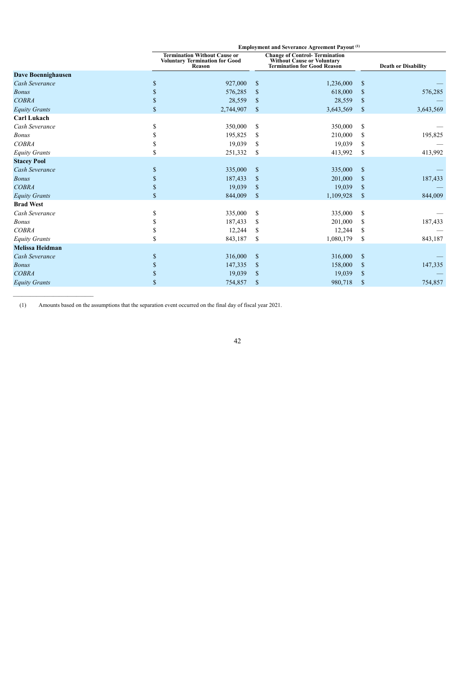|                           |    |                                                                                        | <b>Employment and Severance Agreement Payout (1)</b> |                                                                                                           |               |                            |  |  |
|---------------------------|----|----------------------------------------------------------------------------------------|------------------------------------------------------|-----------------------------------------------------------------------------------------------------------|---------------|----------------------------|--|--|
|                           |    | <b>Termination Without Cause or</b><br><b>Voluntary Termination for Good</b><br>Reason |                                                      | <b>Change of Control-Termination</b><br><b>Without Cause or Voluntary<br/>Termination for Good Reason</b> |               | <b>Death or Disability</b> |  |  |
| <b>Dave Boennighausen</b> |    |                                                                                        |                                                      |                                                                                                           |               |                            |  |  |
| Cash Severance            | S  | 927,000                                                                                | S                                                    | 1,236,000                                                                                                 | \$            |                            |  |  |
| <b>Bonus</b>              | S  | 576,285                                                                                | \$                                                   | 618,000                                                                                                   | S             | 576,285                    |  |  |
| <b>COBRA</b>              | \$ | 28,559                                                                                 | $\mathbb{S}$                                         | 28,559                                                                                                    | \$            |                            |  |  |
| <b>Equity Grants</b>      | \$ | 2,744,907                                                                              | $\mathbb{S}$                                         | 3,643,569                                                                                                 | $\mathsf{\$}$ | 3,643,569                  |  |  |
| <b>Carl Lukach</b>        |    |                                                                                        |                                                      |                                                                                                           |               |                            |  |  |
| Cash Severance            | S  | 350,000                                                                                | \$                                                   | 350,000                                                                                                   | \$            |                            |  |  |
| <b>Bonus</b>              |    | 195,825                                                                                | \$                                                   | 210,000                                                                                                   | S             | 195,825                    |  |  |
| <b>COBRA</b>              |    | 19,039                                                                                 | S                                                    | 19,039                                                                                                    | S             |                            |  |  |
| <b>Equity Grants</b>      | \$ | 251,332                                                                                | \$                                                   | 413,992                                                                                                   | \$            | 413,992                    |  |  |
| <b>Stacey Pool</b>        |    |                                                                                        |                                                      |                                                                                                           |               |                            |  |  |
| Cash Severance            | \$ | 335,000                                                                                | $\mathbb{S}$                                         | 335,000                                                                                                   | \$            |                            |  |  |
| <b>Bonus</b>              | \$ | 187,433                                                                                | \$                                                   | 201,000                                                                                                   | \$            | 187,433                    |  |  |
| <b>COBRA</b>              | \$ | 19,039                                                                                 | \$                                                   | 19,039                                                                                                    | \$            |                            |  |  |
| <b>Equity Grants</b>      | \$ | 844,009                                                                                | $\mathcal{S}$                                        | 1,109,928                                                                                                 | $\mathsf{\$}$ | 844,009                    |  |  |
| <b>Brad West</b>          |    |                                                                                        |                                                      |                                                                                                           |               |                            |  |  |
| Cash Severance            | \$ | 335,000                                                                                | \$                                                   | 335,000                                                                                                   | \$            |                            |  |  |
| <b>Bonus</b>              |    | 187,433                                                                                | \$                                                   | 201,000                                                                                                   | S             | 187,433                    |  |  |
| <b>COBRA</b>              | \$ | 12,244                                                                                 | \$                                                   | 12,244                                                                                                    | \$            |                            |  |  |
| <b>Equity Grants</b>      | \$ | 843,187                                                                                | \$                                                   | 1,080,179                                                                                                 | \$            | 843,187                    |  |  |
| <b>Melissa Heidman</b>    |    |                                                                                        |                                                      |                                                                                                           |               |                            |  |  |
| Cash Severance            | \$ | 316,000                                                                                | $\mathbb{S}$                                         | 316,000                                                                                                   | <sup>\$</sup> |                            |  |  |
| <b>Bonus</b>              | \$ | 147,335                                                                                | \$                                                   | 158,000                                                                                                   | \$            | 147,335                    |  |  |
| <b>COBRA</b>              | S  | 19,039                                                                                 | \$                                                   | 19,039                                                                                                    | \$            |                            |  |  |
| <b>Equity Grants</b>      | \$ | 754,857                                                                                | $\mathbb{S}$                                         | 980,718                                                                                                   | \$            | 754,857                    |  |  |
|                           |    |                                                                                        |                                                      |                                                                                                           |               |                            |  |  |

(1) Amounts based on the assumptions that the separation event occurred on the final day of fiscal year 2021.

 $\mathcal{L}_\text{max}$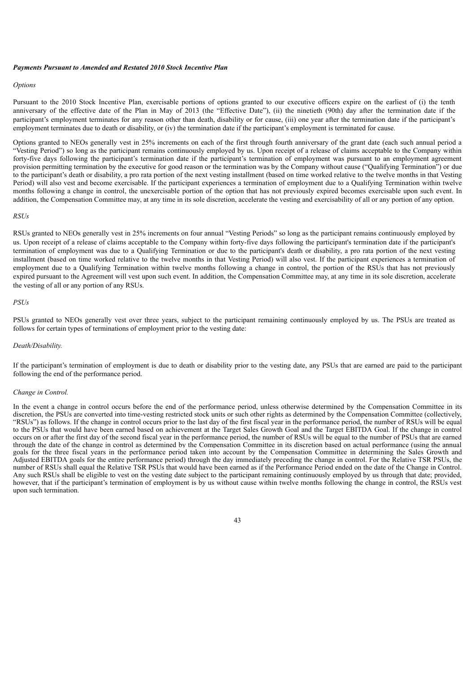#### *Payments Pursuant to Amended and Restated 2010 Stock Incentive Plan*

#### *Options*

Pursuant to the 2010 Stock Incentive Plan, exercisable portions of options granted to our executive officers expire on the earliest of (i) the tenth anniversary of the effective date of the Plan in May of 2013 (the "Effective Date"), (ii) the ninetieth (90th) day after the termination date if the participant's employment terminates for any reason other than death, disability or for cause, (iii) one year after the termination date if the participant's employment terminates due to death or disability, or (iv) the termination date if the participant's employment is terminated for cause.

Options granted to NEOs generally vest in 25% increments on each of the first through fourth anniversary of the grant date (each such annual period a "Vesting Period") so long as the participant remains continuously employed by us. Upon receipt of a release of claims acceptable to the Company within forty-five days following the participant's termination date if the participant's termination of employment was pursuant to an employment agreement provision permitting termination by the executive for good reason or the termination was by the Company without cause ("Qualifying Termination") or due to the participant's death or disability, a pro rata portion of the next vesting installment (based on time worked relative to the twelve months in that Vesting Period) will also vest and become exercisable. If the participant experiences a termination of employment due to a Qualifying Termination within twelve months following a change in control, the unexercisable portion of the option that has not previously expired becomes exercisable upon such event. In addition, the Compensation Committee may, at any time in its sole discretion, accelerate the vesting and exercisability of all or any portion of any option.

#### *RSUs*

RSUs granted to NEOs generally vest in 25% increments on four annual "Vesting Periods" so long as the participant remains continuously employed by us. Upon receipt of a release of claims acceptable to the Company within forty-five days following the participant's termination date if the participant's termination of employment was due to a Qualifying Termination or due to the participant's death or disability, a pro rata portion of the next vesting installment (based on time worked relative to the twelve months in that Vesting Period) will also vest. If the participant experiences a termination of employment due to a Qualifying Termination within twelve months following a change in control, the portion of the RSUs that has not previously expired pursuant to the Agreement will vest upon such event. In addition, the Compensation Committee may, at any time in its sole discretion, accelerate the vesting of all or any portion of any RSUs.

# *PSUs*

PSUs granted to NEOs generally vest over three years, subject to the participant remaining continuously employed by us. The PSUs are treated as follows for certain types of terminations of employment prior to the vesting date:

# *Death/Disability.*

If the participant's termination of employment is due to death or disability prior to the vesting date, any PSUs that are earned are paid to the participant following the end of the performance period.

#### *Change in Control.*

In the event a change in control occurs before the end of the performance period, unless otherwise determined by the Compensation Committee in its discretion, the PSUs are converted into time-vesting restricted stock units or such other rights as determined by the Compensation Committee (collectively, "RSUs") as follows. If the change in control occurs prior to the last day of the first fiscal year in the performance period, the number of RSUs will be equal to the PSUs that would have been earned based on achievement at the Target Sales Growth Goal and the Target EBITDA Goal. If the change in control occurs on or after the first day of the second fiscal year in the performance period, the number of RSUs will be equal to the number of PSUs that are earned through the date of the change in control as determined by the Compensation Committee in its discretion based on actual performance (using the annual goals for the three fiscal years in the performance period taken into account by the Compensation Committee in determining the Sales Growth and Adjusted EBITDA goals for the entire performance period) through the day immediately preceding the change in control. For the Relative TSR PSUs, the number of RSUs shall equal the Relative TSR PSUs that would have been earned as if the Performance Period ended on the date of the Change in Control. Any such RSUs shall be eligible to vest on the vesting date subject to the participant remaining continuously employed by us through that date; provided, however, that if the participant's termination of employment is by us without cause within twelve months following the change in control, the RSUs vest upon such termination.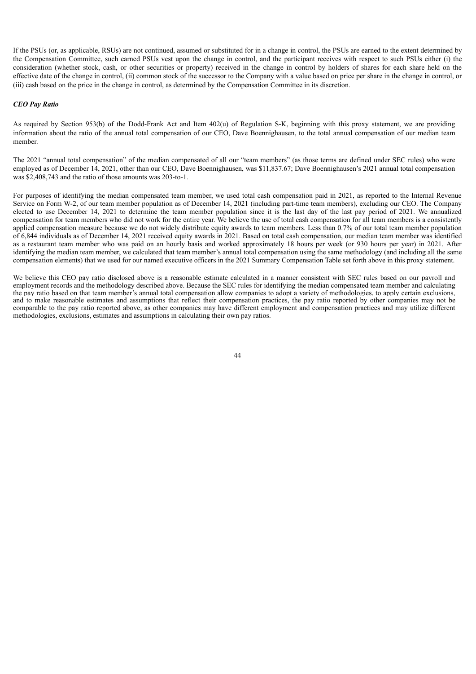If the PSUs (or, as applicable, RSUs) are not continued, assumed or substituted for in a change in control, the PSUs are earned to the extent determined by the Compensation Committee, such earned PSUs vest upon the change in control, and the participant receives with respect to such PSUs either (i) the consideration (whether stock, cash, or other securities or property) received in the change in control by holders of shares for each share held on the effective date of the change in control, (ii) common stock of the successor to the Company with a value based on price per share in the change in control, or (iii) cash based on the price in the change in control, as determined by the Compensation Committee in its discretion.

# *CEO Pay Ratio*

As required by Section 953(b) of the Dodd-Frank Act and Item 402(u) of Regulation S-K, beginning with this proxy statement, we are providing information about the ratio of the annual total compensation of our CEO, Dave Boennighausen, to the total annual compensation of our median team member.

The 2021 "annual total compensation" of the median compensated of all our "team members" (as those terms are defined under SEC rules) who were employed as of December 14, 2021, other than our CEO, Dave Boennighausen, was \$11,837.67; Dave Boennighausen's 2021 annual total compensation was \$2,408,743 and the ratio of those amounts was 203-to-1.

For purposes of identifying the median compensated team member, we used total cash compensation paid in 2021, as reported to the Internal Revenue Service on Form W-2, of our team member population as of December 14, 2021 (including part-time team members), excluding our CEO. The Company elected to use December 14, 2021 to determine the team member population since it is the last day of the last pay period of 2021. We annualized compensation for team members who did not work for the entire year. We believe the use of total cash compensation for all team members is a consistently applied compensation measure because we do not widely distribute equity awards to team members. Less than 0.7% of our total team member population of 6,844 individuals as of December 14, 2021 received equity awards in 2021. Based on total cash compensation, our median team member was identified as a restaurant team member who was paid on an hourly basis and worked approximately 18 hours per week (or 930 hours per year) in 2021. After identifying the median team member, we calculated that team member's annual total compensation using the same methodology (and including all the same compensation elements) that we used for our named executive officers in the 2021 Summary Compensation Table set forth above in this proxy statement.

<span id="page-48-0"></span>We believe this CEO pay ratio disclosed above is a reasonable estimate calculated in a manner consistent with SEC rules based on our payroll and employment records and the methodology described above. Because the SEC rules for identifying the median compensated team member and calculating the pay ratio based on that team member's annual total compensation allow companies to adopt a variety of methodologies, to apply certain exclusions, and to make reasonable estimates and assumptions that reflect their compensation practices, the pay ratio reported by other companies may not be comparable to the pay ratio reported above, as other companies may have different employment and compensation practices and may utilize different methodologies, exclusions, estimates and assumptions in calculating their own pay ratios.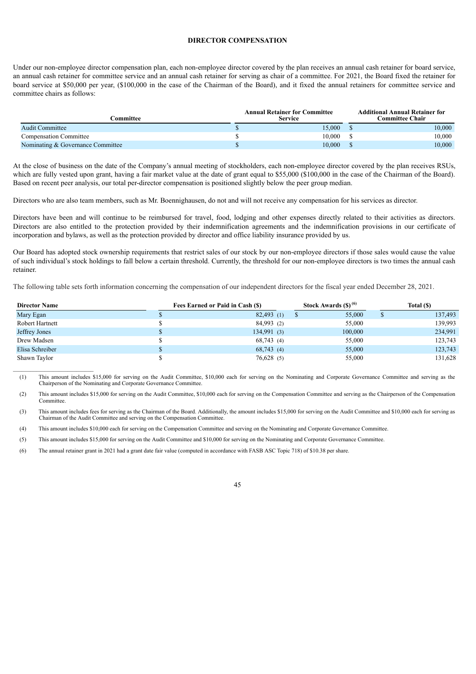# **DIRECTOR COMPENSATION**

Under our non-employee director compensation plan, each non-employee director covered by the plan receives an annual cash retainer for board service, an annual cash retainer for committee service and an annual cash retainer for serving as chair of a committee. For 2021, the Board fixed the retainer for board service at \$50,000 per year, (\$100,000 in the case of the Chairman of the Board), and it fixed the annual retainers for committee service and committee chairs as follows:

| <b>Committee</b>                  | <b>Annual Retainer for Committee</b><br><b>Service</b> | <b>Additional Annual Retainer for</b><br><b>Committee Chair</b> |
|-----------------------------------|--------------------------------------------------------|-----------------------------------------------------------------|
| <b>Audit Committee</b>            | 15,000                                                 | $10{,}000$                                                      |
| <b>Compensation Committee</b>     | 10.000                                                 | 10,000                                                          |
| Nominating & Governance Committee | 10.000                                                 | 10,000                                                          |

At the close of business on the date of the Company's annual meeting of stockholders, each non-employee director covered by the plan receives RSUs, which are fully vested upon grant, having a fair market value at the date of grant equal to \$55,000 (\$100,000 in the case of the Chairman of the Board). Based on recent peer analysis, our total per-director compensation is positioned slightly below the peer group median.

Directors who are also team members, such as Mr. Boennighausen, do not and will not receive any compensation for his services as director.

Directors have been and will continue to be reimbursed for travel, food, lodging and other expenses directly related to their activities as directors. Directors are also entitled to the protection provided by their indemnification agreements and the indemnification provisions in our certificate of incorporation and bylaws, as well as the protection provided by director and office liability insurance provided by us.

Our Board has adopted stock ownership requirements that restrict sales of our stock by our non-employee directors if those sales would cause the value of such individual's stock holdings to fall below a certain threshold. Currently, the threshold for our non-employee directors is two times the annual cash retainer.

The following table sets forth information concerning the compensation of our independent directors for the fiscal year ended December 28, 2021.

| <b>Director Name</b> | Fees Earned or Paid in Cash (\$) | Stock Awards (\$) <sup>(6)</sup> |             | Total (\$) |
|----------------------|----------------------------------|----------------------------------|-------------|------------|
| Mary Egan            | $82,493$ (1)                     |                                  | 55,000<br>Φ | 137,493    |
| Robert Hartnett      | 84,993 (2)                       |                                  | 55,000      | 139,993    |
| Jeffrey Jones        | 134,991(3)                       |                                  | 100,000     | 234,991    |
| Drew Madsen          | 68,743(4)                        |                                  | 55,000      | 123,743    |
| Elisa Schreiber      | 68,743(4)                        |                                  | 55,000      | 123,743    |
| Shawn Taylor         | 76,628(5)                        |                                  | 55,000      | 131,628    |

(1) This amount includes \$15,000 for serving on the Audit Committee, \$10,000 each for serving on the Nominating and Corporate Governance Committee and serving as the Chairperson of the Nominating and Corporate Governance Committee.

(2) This amount includes \$15,000 for serving on the Audit Committee, \$10,000 each for serving on the Compensation Committee and serving as the Chairperson of the Compensation **Committee.** 

(3) This amount includes fees for serving as the Chairman of the Board. Additionally, the amount includes \$15,000 for serving on the Audit Committee and \$10,000 each for serving as Chairman of the Audit Committee and serving on the Compensation Committee.

(4) This amount includes \$10,000 each for serving on the Compensation Committee and serving on the Nominating and Corporate Governance Committee.

(5) This amount includes \$15,000 for serving on the Audit Committee and \$10,000 for serving on the Nominating and Corporate Governance Committee.

<span id="page-49-0"></span>(6) The annual retainer grant in 2021 had a grant date fair value (computed in accordance with FASB ASC Topic 718) of \$10.38 per share.

 $\mathcal{L}_\text{max}$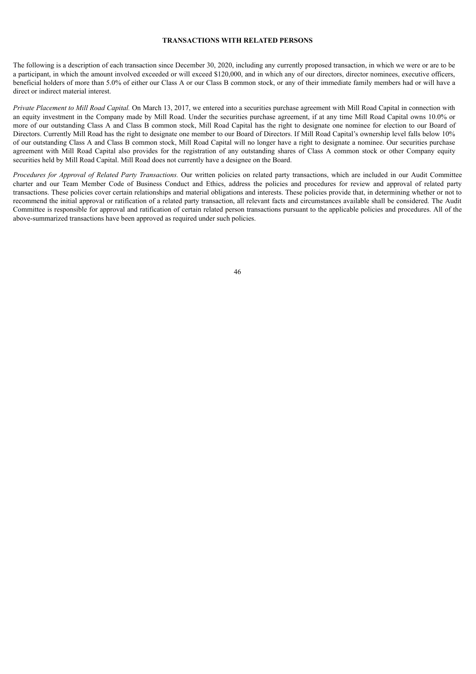# **TRANSACTIONS WITH RELATED PERSONS**

The following is a description of each transaction since December 30, 2020, including any currently proposed transaction, in which we were or are to be a participant, in which the amount involved exceeded or will exceed \$120,000, and in which any of our directors, director nominees, executive officers, beneficial holders of more than 5.0% of either our Class A or our Class B common stock, or any of their immediate family members had or will have a direct or indirect material interest.

*Private Placement to Mill Road Capital.* On March 13, 2017, we entered into a securities purchase agreement with Mill Road Capital in connection with an equity investment in the Company made by Mill Road. Under the securities purchase agreement, if at any time Mill Road Capital owns 10.0% or more of our outstanding Class A and Class B common stock, Mill Road Capital has the right to designate one nominee for election to our Board of Directors. Currently Mill Road has the right to designate one member to our Board of Directors. If Mill Road Capital's ownership level falls below 10% of our outstanding Class A and Class B common stock, Mill Road Capital will no longer have a right to designate a nominee. Our securities purchase agreement with Mill Road Capital also provides for the registration of any outstanding shares of Class A common stock or other Company equity securities held by Mill Road Capital. Mill Road does not currently have a designee on the Board.

<span id="page-50-0"></span>*Procedures for Approval of Related Party Transactions.* Our written policies on related party transactions, which are included in our Audit Committee charter and our Team Member Code of Business Conduct and Ethics, address the policies and procedures for review and approval of related party transactions. These policies cover certain relationships and material obligations and interests. These policies provide that, in determining whether or not to recommend the initial approval or ratification of a related party transaction, all relevant facts and circumstances available shall be considered. The Audit Committee is responsible for approval and ratification of certain related person transactions pursuant to the applicable policies and procedures. All of the above-summarized transactions have been approved as required under such policies.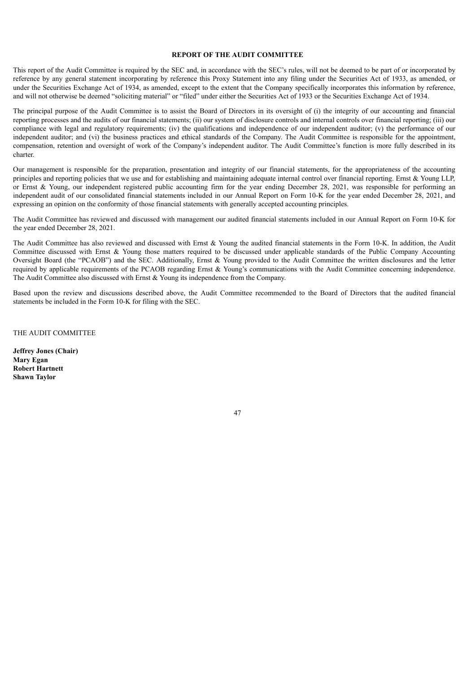# **REPORT OF THE AUDIT COMMITTEE**

This report of the Audit Committee is required by the SEC and, in accordance with the SEC's rules, will not be deemed to be part of or incorporated by reference by any general statement incorporating by reference this Proxy Statement into any filing under the Securities Act of 1933, as amended, or under the Securities Exchange Act of 1934, as amended, except to the extent that the Company specifically incorporates this information by reference, and will not otherwise be deemed "soliciting material" or "filed" under either the Securities Act of 1933 or the Securities Exchange Act of 1934.

The principal purpose of the Audit Committee is to assist the Board of Directors in its oversight of (i) the integrity of our accounting and financial reporting processes and the audits of our financial statements; (ii) our system of disclosure controls and internal controls over financial reporting; (iii) our compliance with legal and regulatory requirements; (iv) the qualifications and independence of our independent auditor; (v) the performance of our independent auditor; and (vi) the business practices and ethical standards of the Company. The Audit Committee is responsible for the appointment, compensation, retention and oversight of work of the Company's independent auditor. The Audit Committee's function is more fully described in its charter.

Our management is responsible for the preparation, presentation and integrity of our financial statements, for the appropriateness of the accounting principles and reporting policies that we use and for establishing and maintaining adequate internal control over financial reporting. Ernst & Young LLP, or Ernst & Young, our independent registered public accounting firm for the year ending December 28, 2021, was responsible for performing an independent audit of our consolidated financial statements included in our Annual Report on Form 10-K for the year ended December 28, 2021, and expressing an opinion on the conformity of those financial statements with generally accepted accounting principles.

The Audit Committee has reviewed and discussed with management our audited financial statements included in our Annual Report on Form 10-K for the year ended December 28, 2021.

The Audit Committee has also reviewed and discussed with Ernst & Young the audited financial statements in the Form 10-K. In addition, the Audit Committee discussed with Ernst & Young those matters required to be discussed under applicable standards of the Public Company Accounting Oversight Board (the "PCAOB") and the SEC. Additionally, Ernst & Young provided to the Audit Committee the written disclosures and the letter required by applicable requirements of the PCAOB regarding Ernst & Young's communications with the Audit Committee concerning independence. The Audit Committee also discussed with Ernst & Young its independence from the Company.

Based upon the review and discussions described above, the Audit Committee recommended to the Board of Directors that the audited financial statements be included in the Form 10-K for filing with the SEC.

THE AUDIT COMMITTEE

<span id="page-51-0"></span>**Jeffrey Jones (Chair) Mary Egan Robert Hartnett Shawn Taylor**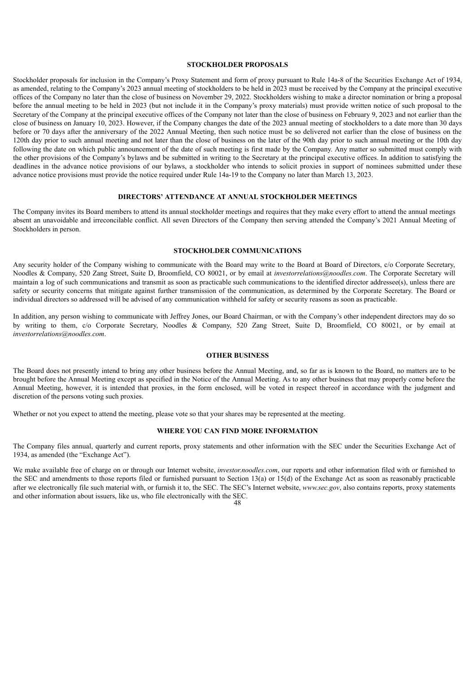# **STOCKHOLDER PROPOSALS**

Stockholder proposals for inclusion in the Company's Proxy Statement and form of proxy pursuant to Rule 14a-8 of the Securities Exchange Act of 1934, as amended, relating to the Company's 2023 annual meeting of stockholders to be held in 2023 must be received by the Company at the principal executive offices of the Company no later than the close of business on November 29, 2022. Stockholders wishing to make a director nomination or bring a proposal before the annual meeting to be held in 2023 (but not include it in the Company's proxy materials) must provide written notice of such proposal to the Secretary of the Company at the principal executive offices of the Company not later than the close of business on February 9, 2023 and not earlier than the close of business on January 10, 2023. However, if the Company changes the date of the 2023 annual meeting of stockholders to a date more than 30 days before or 70 days after the anniversary of the 2022 Annual Meeting, then such notice must be so delivered not earlier than the close of business on the 120th day prior to such annual meeting and not later than the close of business on the later of the 90th day prior to such annual meeting or the 10th day following the date on which public announcement of the date of such meeting is first made by the Company. Any matter so submitted must comply with the other provisions of the Company's bylaws and be submitted in writing to the Secretary at the principal executive offices. In addition to satisfying the deadlines in the advance notice provisions of our bylaws, a stockholder who intends to solicit proxies in support of nominees submitted under these advance notice provisions must provide the notice required under Rule 14a-19 to the Company no later than March 13, 2023.

# **DIRECTORS' ATTENDANCE AT ANNUAL STOCKHOLDER MEETINGS**

<span id="page-52-0"></span>The Company invites its Board members to attend its annual stockholder meetings and requires that they make every effort to attend the annual meetings absent an unavoidable and irreconcilable conflict. All seven Directors of the Company then serving attended the Company's 2021 Annual Meeting of Stockholders in person.

# **STOCKHOLDER COMMUNICATIONS**

<span id="page-52-1"></span>Any security holder of the Company wishing to communicate with the Board may write to the Board at Board of Directors, c/o Corporate Secretary, Noodles & Company, 520 Zang Street, Suite D, Broomfield, CO 80021, or by email at *investorrelations@noodles.com*. The Corporate Secretary will maintain a log of such communications and transmit as soon as practicable such communications to the identified director addressee(s), unless there are safety or security concerns that mitigate against further transmission of the communication, as determined by the Corporate Secretary. The Board or individual directors so addressed will be advised of any communication withheld for safety or security reasons as soon as practicable.

In addition, any person wishing to communicate with Jeffrey Jones, our Board Chairman, or with the Company's other independent directors may do so by writing to them, c/o Corporate Secretary, Noodles & Company, 520 Zang Street, Suite D, Broomfield, CO 80021, or by email at *investorrelations@noodles.com*.

# **OTHER BUSINESS**

<span id="page-52-2"></span>The Board does not presently intend to bring any other business before the Annual Meeting, and, so far as is known to the Board, no matters are to be brought before the Annual Meeting except as specified in the Notice of the Annual Meeting. As to any other business that may properly come before the Annual Meeting, however, it is intended that proxies, in the form enclosed, will be voted in respect thereof in accordance with the judgment and discretion of the persons voting such proxies.

Whether or not you expect to attend the meeting, please vote so that your shares may be represented at the meeting.

# **WHERE YOU CAN FIND MORE INFORMATION**

<span id="page-52-3"></span>The Company files annual, quarterly and current reports, proxy statements and other information with the SEC under the Securities Exchange Act of 1934, as amended (the "Exchange Act").

We make available free of charge on or through our Internet website, *investor.noodles.com*, our reports and other information filed with or furnished to the SEC and amendments to those reports filed or furnished pursuant to Section 13(a) or 15(d) of the Exchange Act as soon as reasonably practicable after we electronically file such material with, or furnish it to, the SEC. The SEC's Internet website, *www.sec.gov*, also contains reports, proxy statements and other information about issuers, like us, who file electronically with the SEC.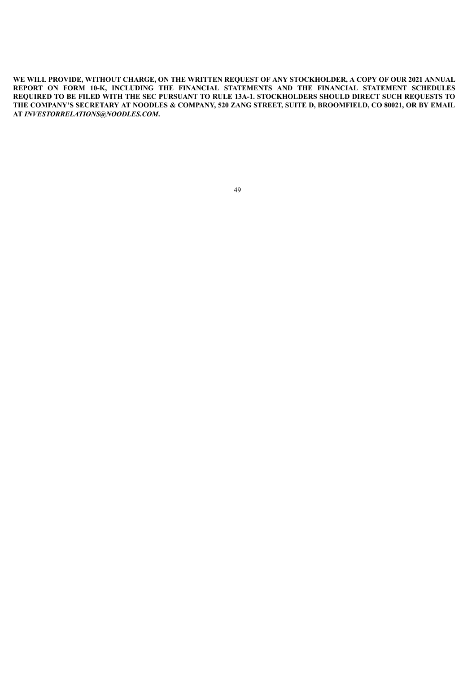WE WILL PROVIDE, WITHOUT CHARGE, ON THE WRITTEN REQUEST OF ANY STOCKHOLDER, A COPY OF OUR 2021 ANNUAL **REPORT ON FORM 10-K, INCLUDING THE FINANCIAL STATEMENTS AND THE FINANCIAL STATEMENT SCHEDULES REQUIRED TO BE FILED WITH THE SEC PURSUANT TO RULE 13A-1. STOCKHOLDERS SHOULD DIRECT SUCH REQUESTS TO** THE COMPANY'S SECRETARY AT NOODLES & COMPANY, 520 ZANG STREET, SUITE D, BROOMFIELD, CO 80021, OR BY EMAIL **AT** *INVESTORRELATIONS@NOODLES.COM***.**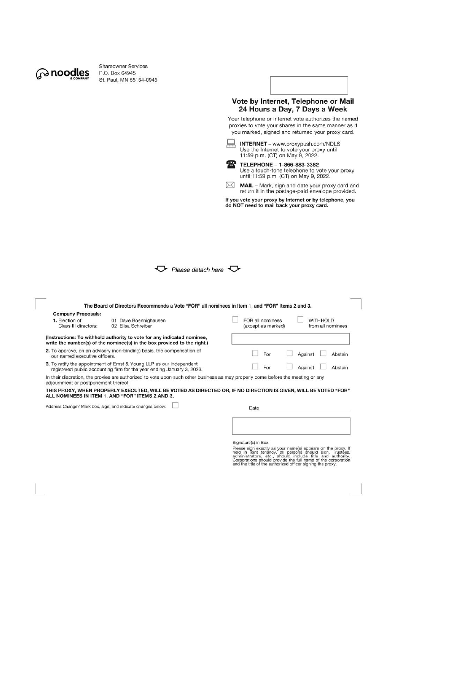

Shareowner Services P.O. Box 64945 St. Paul, MN 55164-0945



Please detach here

|                                                                     | The Board of Directors Recommends a Vote "FOR" all nominees in Item 1, and "FOR" Items 2 and 3.                                                     |                                                                                                                 |
|---------------------------------------------------------------------|-----------------------------------------------------------------------------------------------------------------------------------------------------|-----------------------------------------------------------------------------------------------------------------|
| <b>Company Proposals:</b><br>1. Election of<br>Class III directors: | 01 Dave Boennighausen<br>02 Elisa Schreiber                                                                                                         | FOR all nominees<br><b>WITHHOLD</b><br>from all nominees<br>(except as marked)                                  |
|                                                                     | (Instructions: To withhold authority to vote for any indicated nominee,<br>write the number(s) of the nominee(s) in the box provided to the right.) |                                                                                                                 |
| our named executive officers.                                       | 2. To approve, on an advisory (non-binding) basis, the compensation of                                                                              | For<br>Against<br>Abstain                                                                                       |
|                                                                     | 3. To ratify the appointment of Ernst & Young LLP as our independent<br>registered public accounting firm for the year ending January 3, 2023.      | For<br>Abstain<br>Against                                                                                       |
| adjournment or postponement thereof.                                | In their discretion, the proxies are authorized to vote upon such other business as may properly come before the meeting or any                     |                                                                                                                 |
|                                                                     | ALL NOMINEES IN ITEM 1, AND "FOR" ITEMS 2 AND 3.                                                                                                    | THIS PROXY, WHEN PROPERLY EXECUTED, WILL BE VOTED AS DIRECTED OR, IF NO DIRECTION IS GIVEN, WILL BE VOTED "FOR" |
|                                                                     | Address Change? Mark box, sign, and indicate changes below:                                                                                         | Date                                                                                                            |
|                                                                     |                                                                                                                                                     |                                                                                                                 |

Signature(s) in Box

Distance sign exactly as your name(s) appears on the proxy. If<br>held in joint tenancy, all persons should sign. Trustees,<br>administrators, etc., should include title and authority.<br>Corporations should provide the full name o